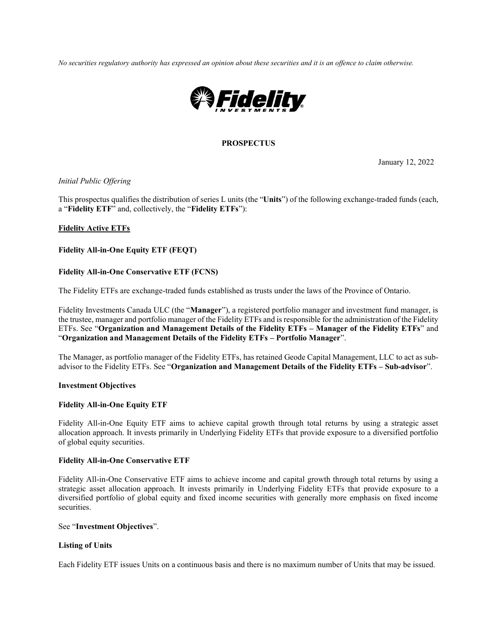*No securities regulatory authority has expressed an opinion about these securities and it is an offence to claim otherwise.*



#### **PROSPECTUS**

January 12, 2022

#### *Initial Public Offering*

This prospectus qualifies the distribution of series L units (the "**Units**") of the following exchange-traded funds (each, a "**Fidelity ETF**" and, collectively, the "**Fidelity ETFs**"):

## **Fidelity Active ETFs**

#### **Fidelity All-in-One Equity ETF (FEQT)**

#### **Fidelity All-in-One Conservative ETF (FCNS)**

The Fidelity ETFs are exchange-traded funds established as trusts under the laws of the Province of Ontario.

Fidelity Investments Canada ULC (the "**Manager**"), a registered portfolio manager and investment fund manager, is the trustee, manager and portfolio manager of the Fidelity ETFs and is responsible for the administration of the Fidelity ETFs. See "**[Organization and Management Details of the Fidelity ETFs](#page-46-0) – [Manager of the Fidelity ETFs](#page-46-1)**" and "**[Organization and Management Details of the Fidelity ETFs](#page-46-0) – [Portfolio Manager](#page-49-0)**".

The Manager, as portfolio manager of the Fidelity ETFs, has retained Geode Capital Management, LLC to act as subadvisor to the Fidelity ETFs. See "**Organization and Management Details of the Fidelity ETFs – Sub-advisor**".

#### **Investment Objectives**

#### **Fidelity All-in-One Equity ETF**

Fidelity All-in-One Equity ETF aims to achieve capital growth through total returns by using a strategic asset allocation approach. It invests primarily in Underlying Fidelity ETFs that provide exposure to a diversified portfolio of global equity securities.

#### **Fidelity All-in-One Conservative ETF**

Fidelity All-in-One Conservative ETF aims to achieve income and capital growth through total returns by using a strategic asset allocation approach. It invests primarily in Underlying Fidelity ETFs that provide exposure to a diversified portfolio of global equity and fixed income securities with generally more emphasis on fixed income securities.

## See "**Investment Objectives**".

#### **Listing of Units**

Each Fidelity ETF issues Units on a continuous basis and there is no maximum number of Units that may be issued.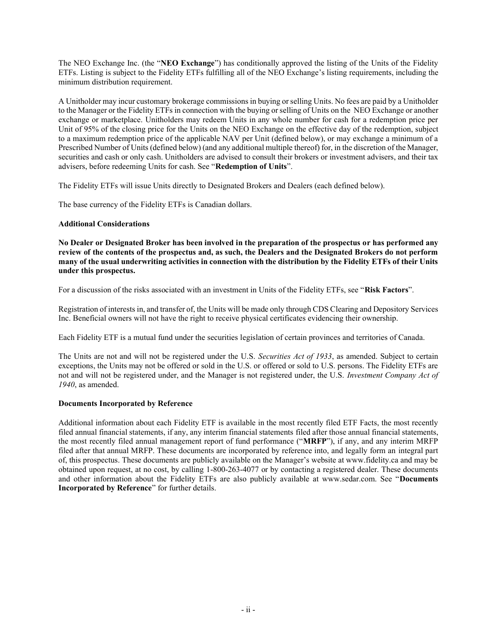The NEO Exchange Inc. (the "**NEO Exchange**") has conditionally approved the listing of the Units of the Fidelity ETFs. Listing is subject to the Fidelity ETFs fulfilling all of the NEO Exchange's listing requirements, including the minimum distribution requirement.

A Unitholder may incur customary brokerage commissions in buying or selling Units. No fees are paid by a Unitholder to the Manager or the Fidelity ETFs in connection with the buying or selling of Units on the NEO Exchange or another exchange or marketplace. Unitholders may redeem Units in any whole number for cash for a redemption price per Unit of 95% of the closing price for the Units on the NEO Exchange on the effective day of the redemption, subject to a maximum redemption price of the applicable NAV per Unit (defined below), or may exchange a minimum of a Prescribed Number of Units (defined below) (and any additional multiple thereof) for, in the discretion of the Manager, securities and cash or only cash. Unitholders are advised to consult their brokers or investment advisers, and their tax advisers, before redeeming Units for cash. See "**[Redemption](#page-40-0) of Units**".

The Fidelity ETFs will issue Units directly to Designated Brokers and Dealers (each defined below).

The base currency of the Fidelity ETFs is Canadian dollars.

# **Additional Considerations**

**No Dealer or Designated Broker has been involved in the preparation of the prospectus or has performed any review of the contents of the prospectus and, as such, the Dealers and the Designated Brokers do not perform many of the usual underwriting activities in connection with the distribution by the Fidelity ETFs of their Units under this prospectus.**

For a discussion of the risks associated with an investment in Units of the Fidelity ETFs, see "**[Risk Factors](#page-22-0)**".

Registration of interests in, and transfer of, the Units will be made only through CDS Clearing and Depository Services Inc. Beneficial owners will not have the right to receive physical certificates evidencing their ownership.

Each Fidelity ETF is a mutual fund under the securities legislation of certain provinces and territories of Canada.

The Units are not and will not be registered under the U.S. *Securities Act of 1933*, as amended. Subject to certain exceptions, the Units may not be offered or sold in the U.S. or offered or sold to U.S. persons. The Fidelity ETFs are not and will not be registered under, and the Manager is not registered under, the U.S. *Investment Company Act of 1940*, as amended.

## <span id="page-1-0"></span>**Documents Incorporated by Reference**

Additional information about each Fidelity ETF is available in the most recently filed ETF Facts, the most recently filed annual financial statements, if any, any interim financial statements filed after those annual financial statements, the most recently filed annual management report of fund performance ("**MRFP**"), if any, and any interim MRFP filed after that annual MRFP. These documents are incorporated by reference into, and legally form an integral part of, this prospectus. These documents are publicly available on the Manager's website at www.fidelity.ca and may be obtained upon request, at no cost, by calling 1-800-263-4077 or by contacting a registered dealer. These documents and other information about the Fidelity ETFs are also publicly available at www.sedar.com. See "**[Documents](#page-63-0)  [Incorporated by Reference](#page-63-0)**" for further details.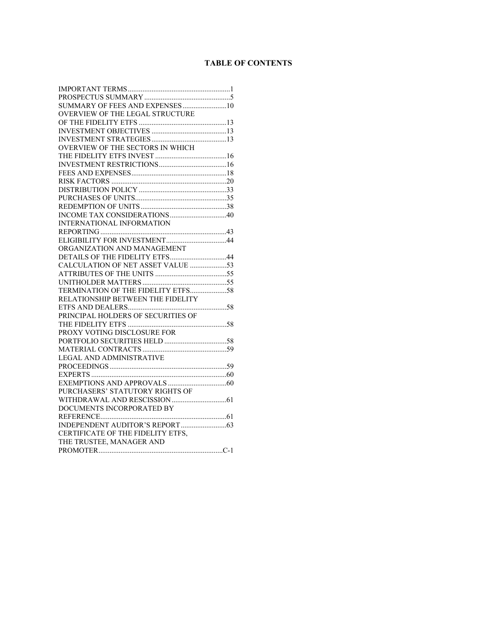# **TABLE OF CONTENTS**

| SUMMARY OF FEES AND EXPENSES10     |  |
|------------------------------------|--|
| OVERVIEW OF THE LEGAL STRUCTURE    |  |
|                                    |  |
|                                    |  |
|                                    |  |
| OVERVIEW OF THE SECTORS IN WHICH   |  |
|                                    |  |
|                                    |  |
|                                    |  |
|                                    |  |
|                                    |  |
|                                    |  |
|                                    |  |
| INCOME TAX CONSIDERATIONS40        |  |
| INTERNATIONAL INFORMATION          |  |
|                                    |  |
|                                    |  |
| ORGANIZATION AND MANAGEMENT        |  |
| DETAILS OF THE FIDELITY ETFS44     |  |
| CALCULATION OF NET ASSET VALUE 53  |  |
|                                    |  |
|                                    |  |
| TERMINATION OF THE FIDELITY ETFS58 |  |
| RELATIONSHIP BETWEEN THE FIDELITY  |  |
|                                    |  |
| PRINCIPAL HOLDERS OF SECURITIES OF |  |
|                                    |  |
| PROXY VOTING DISCLOSURE FOR        |  |
|                                    |  |
|                                    |  |
| LEGAL AND ADMINISTRATIVE           |  |
|                                    |  |
|                                    |  |
|                                    |  |
| PURCHASERS' STATUTORY RIGHTS OF    |  |
|                                    |  |
| DOCUMENTS INCORPORATED BY          |  |
|                                    |  |
|                                    |  |
| CERTIFICATE OF THE FIDELITY ETFS.  |  |
| THE TRUSTEE, MANAGER AND           |  |
|                                    |  |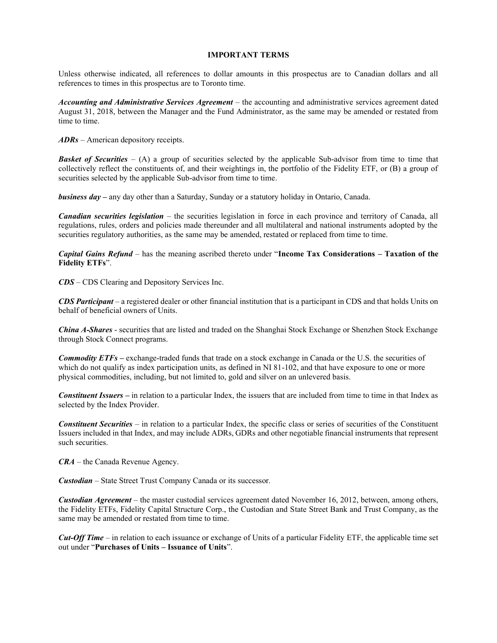#### **IMPORTANT TERMS**

<span id="page-3-0"></span>Unless otherwise indicated, all references to dollar amounts in this prospectus are to Canadian dollars and all references to times in this prospectus are to Toronto time.

*Accounting and Administrative Services Agreement* – the accounting and administrative services agreement dated August 31, 2018, between the Manager and the Fund Administrator, as the same may be amended or restated from time to time.

*ADRs* – American depository receipts.

*Basket of Securities* – (A) a group of securities selected by the applicable Sub-advisor from time to time that collectively reflect the constituents of, and their weightings in, the portfolio of the Fidelity ETF, or (B) a group of securities selected by the applicable Sub-advisor from time to time.

*business day* **–** any day other than a Saturday, Sunday or a statutory holiday in Ontario, Canada.

*Canadian securities legislation* – the securities legislation in force in each province and territory of Canada, all regulations, rules, orders and policies made thereunder and all multilateral and national instruments adopted by the securities regulatory authorities, as the same may be amended, restated or replaced from time to time.

*Capital Gains Refund* – has the meaning ascribed thereto under "**Income Tax Considerations – Taxation of the Fidelity ETFs**".

*CDS* – CDS Clearing and Depository Services Inc.

*CDS Participant* – a registered dealer or other financial institution that is a participant in CDS and that holds Units on behalf of beneficial owners of Units.

*China A-Shares* - securities that are listed and traded on the Shanghai Stock Exchange or Shenzhen Stock Exchange through Stock Connect programs.

*Commodity ETFs –* exchange-traded funds that trade on a stock exchange in Canada or the U.S. the securities of which do not qualify as index participation units, as defined in NI 81-102, and that have exposure to one or more physical commodities, including, but not limited to, gold and silver on an unlevered basis.

*Constituent Issuers* **–** in relation to a particular Index, the issuers that are included from time to time in that Index as selected by the Index Provider.

*Constituent Securities* – in relation to a particular Index, the specific class or series of securities of the Constituent Issuers included in that Index, and may include ADRs, GDRs and other negotiable financial instruments that represent such securities.

*CRA* – the Canada Revenue Agency.

*Custodian* – State Street Trust Company Canada or its successor.

*Custodian Agreement* – the master custodial services agreement dated November 16, 2012, between, among others, the Fidelity ETFs, Fidelity Capital Structure Corp., the Custodian and State Street Bank and Trust Company, as the same may be amended or restated from time to time.

*Cut-Off Time* – in relation to each issuance or exchange of Units of a particular Fidelity ETF, the applicable time set out under "**[Purchases of Units](#page-37-0) – [Issuance of Units](#page-37-1)**".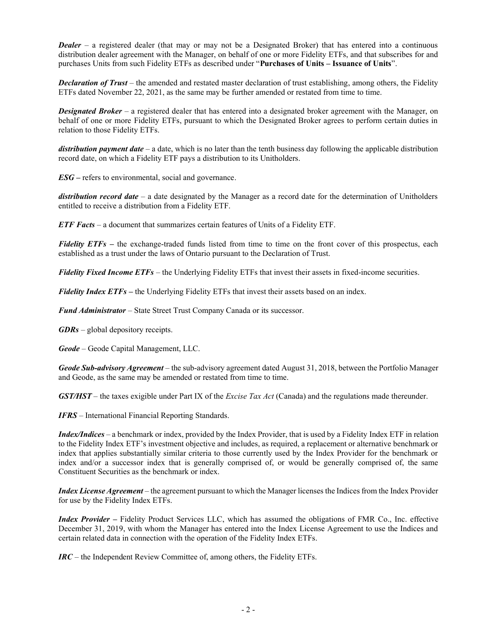*Dealer* – a registered dealer (that may or may not be a Designated Broker) that has entered into a continuous distribution dealer agreement with the Manager, on behalf of one or more Fidelity ETFs, and that subscribes for and purchases Units from such Fidelity ETFs as described under "**[Purchases of Units](#page-37-0) – [Issuance of Units](#page-37-1)**".

*Declaration of Trust* – the amended and restated master declaration of trust establishing, among others, the Fidelity ETFs dated November 22, 2021, as the same may be further amended or restated from time to time.

*Designated Broker* – a registered dealer that has entered into a designated broker agreement with the Manager, on behalf of one or more Fidelity ETFs, pursuant to which the Designated Broker agrees to perform certain duties in relation to those Fidelity ETFs.

*distribution payment date* – a date, which is no later than the tenth business day following the applicable distribution record date, on which a Fidelity ETF pays a distribution to its Unitholders.

*ESG –* refers to environmental, social and governance.

*distribution record date* – a date designated by the Manager as a record date for the determination of Unitholders entitled to receive a distribution from a Fidelity ETF.

*ETF Facts* – a document that summarizes certain features of Units of a Fidelity ETF.

*Fidelity ETFs* – the exchange-traded funds listed from time to time on the front cover of this prospectus, each established as a trust under the laws of Ontario pursuant to the Declaration of Trust.

*Fidelity Fixed Income ETFs* – the Underlying Fidelity ETFs that invest their assets in fixed-income securities.

*Fidelity Index ETFs* **–** the Underlying Fidelity ETFs that invest their assets based on an index.

*Fund Administrator* – State Street Trust Company Canada or its successor.

*GDRs* – global depository receipts.

*Geode* – Geode Capital Management, LLC.

*Geode Sub-advisory Agreement* – the sub-advisory agreement dated August 31, 2018, between the Portfolio Manager and Geode, as the same may be amended or restated from time to time.

*GST/HST* – the taxes exigible under Part IX of the *Excise Tax Act* (Canada) and the regulations made thereunder.

*IFRS* – International Financial Reporting Standards.

*Index/Indices* – a benchmark or index, provided by the Index Provider, that is used by a Fidelity Index ETF in relation to the Fidelity Index ETF's investment objective and includes, as required, a replacement or alternative benchmark or index that applies substantially similar criteria to those currently used by the Index Provider for the benchmark or index and/or a successor index that is generally comprised of, or would be generally comprised of, the same Constituent Securities as the benchmark or index.

*Index License Agreement* – the agreement pursuant to which the Manager licenses the Indices from the Index Provider for use by the Fidelity Index ETFs.

*Index Provider* **–** Fidelity Product Services LLC, which has assumed the obligations of FMR Co., Inc. effective December 31, 2019, with whom the Manager has entered into the Index License Agreement to use the Indices and certain related data in connection with the operation of the Fidelity Index ETFs.

*IRC* – the Independent Review Committee of, among others, the Fidelity ETFs.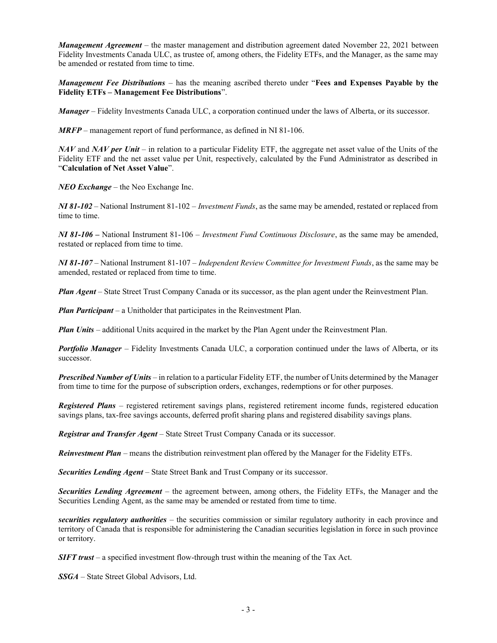*Management Agreement* – the master management and distribution agreement dated November 22, 2021 between Fidelity Investments Canada ULC, as trustee of, among others, the Fidelity ETFs, and the Manager, as the same may be amended or restated from time to time.

*Management Fee Distributions* – has the meaning ascribed thereto under "**Fees and Expenses Payable by the Fidelity ETFs – Management Fee Distributions**".

*Manager* – Fidelity Investments Canada ULC, a corporation continued under the laws of Alberta, or its successor.

*MRFP* – management report of fund performance, as defined in NI 81-106.

*NAV* and *NAV per Unit* – in relation to a particular Fidelity ETF, the aggregate net asset value of the Units of the Fidelity ETF and the net asset value per Unit, respectively, calculated by the Fund Administrator as described in "**[Calculation of Net Asset Value](#page-55-0)**".

*NEO Exchange* – the Neo Exchange Inc.

*NI 81-102* – National Instrument 81-102 – *Investment Funds*, as the same may be amended, restated or replaced from time to time.

*NI 81-106* **–** National Instrument 81-106 – *Investment Fund Continuous Disclosure*, as the same may be amended, restated or replaced from time to time.

*NI 81-107* – National Instrument 81-107 – *Independent Review Committee for Investment Funds*, as the same may be amended, restated or replaced from time to time.

*Plan Agent* – State Street Trust Company Canada or its successor, as the plan agent under the Reinvestment Plan.

*Plan Participant* – a Unitholder that participates in the Reinvestment Plan.

*Plan Units* – additional Units acquired in the market by the Plan Agent under the Reinvestment Plan.

*Portfolio Manager* – Fidelity Investments Canada ULC, a corporation continued under the laws of Alberta, or its successor.

*Prescribed Number of Units* – in relation to a particular Fidelity ETF, the number of Units determined by the Manager from time to time for the purpose of subscription orders, exchanges, redemptions or for other purposes.

*Registered Plans* – registered retirement savings plans, registered retirement income funds, registered education savings plans, tax-free savings accounts, deferred profit sharing plans and registered disability savings plans.

*Registrar and Transfer Agent* – State Street Trust Company Canada or its successor.

*Reinvestment Plan* – means the distribution reinvestment plan offered by the Manager for the Fidelity ETFs.

*Securities Lending Agent* – State Street Bank and Trust Company or its successor.

*Securities Lending Agreement* – the agreement between, among others, the Fidelity ETFs, the Manager and the Securities Lending Agent, as the same may be amended or restated from time to time.

*securities regulatory authorities* – the securities commission or similar regulatory authority in each province and territory of Canada that is responsible for administering the Canadian securities legislation in force in such province or territory.

*SIFT trust* – a specified investment flow-through trust within the meaning of the Tax Act.

*SSGA* – State Street Global Advisors, Ltd.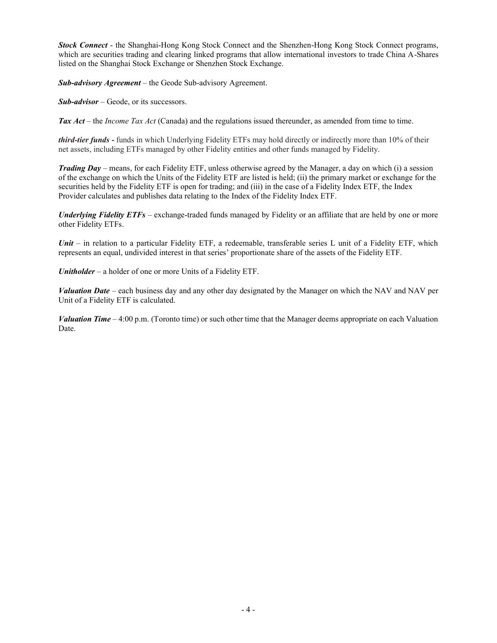*Stock Connect* - the Shanghai-Hong Kong Stock Connect and the Shenzhen-Hong Kong Stock Connect programs, which are securities trading and clearing linked programs that allow international investors to trade China A-Shares listed on the Shanghai Stock Exchange or Shenzhen Stock Exchange.

*Sub-advisory Agreement* – the Geode Sub-advisory Agreement.

*Sub-advisor* – Geode, or its successors.

*Tax Act* – the *Income Tax Act* (Canada) and the regulations issued thereunder, as amended from time to time.

*third-tier funds* **-** funds in which Underlying Fidelity ETFs may hold directly or indirectly more than 10% of their net assets, including ETFs managed by other Fidelity entities and other funds managed by Fidelity.

*Trading Day* – means, for each Fidelity ETF, unless otherwise agreed by the Manager, a day on which (i) a session of the exchange on which the Units of the Fidelity ETF are listed is held; (ii) the primary market or exchange for the securities held by the Fidelity ETF is open for trading; and (iii) in the case of a Fidelity Index ETF, the Index Provider calculates and publishes data relating to the Index of the Fidelity Index ETF.

*Underlying Fidelity ETFs* – exchange-traded funds managed by Fidelity or an affiliate that are held by one or more other Fidelity ETFs.

*Unit* – in relation to a particular Fidelity ETF, a redeemable, transferable series L unit of a Fidelity ETF, which represents an equal, undivided interest in that series' proportionate share of the assets of the Fidelity ETF.

*Unitholder* – a holder of one or more Units of a Fidelity ETF.

*Valuation Date* – each business day and any other day designated by the Manager on which the NAV and NAV per Unit of a Fidelity ETF is calculated.

*Valuation Time* – 4:00 p.m. (Toronto time) or such other time that the Manager deems appropriate on each Valuation Date.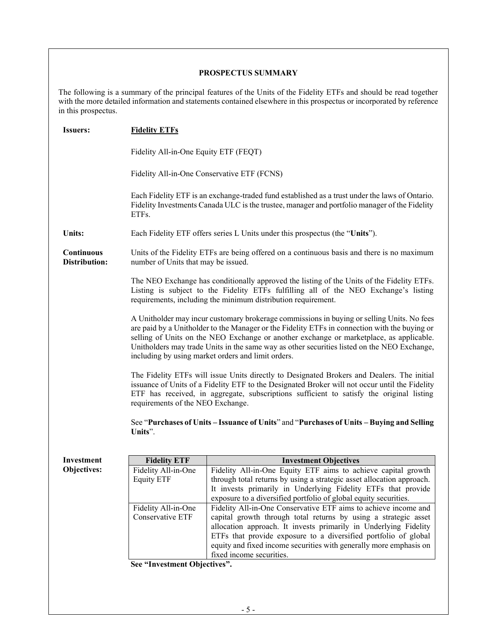# **PROSPECTUS SUMMARY**

<span id="page-7-0"></span>The following is a summary of the principal features of the Units of the Fidelity ETFs and should be read together with the more detailed information and statements contained elsewhere in this prospectus or incorporated by reference in this prospectus.

| <b>Issuers:</b>                    | <b>Fidelity ETFs</b>                                                                                                                                                                                                                                                                                                                                                                                                                        |                                                                                                                                                                                                                                                                                                                                                                             |  |  |
|------------------------------------|---------------------------------------------------------------------------------------------------------------------------------------------------------------------------------------------------------------------------------------------------------------------------------------------------------------------------------------------------------------------------------------------------------------------------------------------|-----------------------------------------------------------------------------------------------------------------------------------------------------------------------------------------------------------------------------------------------------------------------------------------------------------------------------------------------------------------------------|--|--|
|                                    | Fidelity All-in-One Equity ETF (FEQT)                                                                                                                                                                                                                                                                                                                                                                                                       |                                                                                                                                                                                                                                                                                                                                                                             |  |  |
|                                    |                                                                                                                                                                                                                                                                                                                                                                                                                                             | Fidelity All-in-One Conservative ETF (FCNS)                                                                                                                                                                                                                                                                                                                                 |  |  |
|                                    | ETFs.                                                                                                                                                                                                                                                                                                                                                                                                                                       | Each Fidelity ETF is an exchange-traded fund established as a trust under the laws of Ontario.<br>Fidelity Investments Canada ULC is the trustee, manager and portfolio manager of the Fidelity                                                                                                                                                                             |  |  |
| <b>Units:</b>                      |                                                                                                                                                                                                                                                                                                                                                                                                                                             | Each Fidelity ETF offers series L Units under this prospectus (the "Units").                                                                                                                                                                                                                                                                                                |  |  |
| Continuous<br><b>Distribution:</b> | Units of the Fidelity ETFs are being offered on a continuous basis and there is no maximum<br>number of Units that may be issued.                                                                                                                                                                                                                                                                                                           |                                                                                                                                                                                                                                                                                                                                                                             |  |  |
|                                    | The NEO Exchange has conditionally approved the listing of the Units of the Fidelity ETFs.<br>Listing is subject to the Fidelity ETFs fulfilling all of the NEO Exchange's listing<br>requirements, including the minimum distribution requirement.                                                                                                                                                                                         |                                                                                                                                                                                                                                                                                                                                                                             |  |  |
|                                    | A Unitholder may incur customary brokerage commissions in buying or selling Units. No fees<br>are paid by a Unitholder to the Manager or the Fidelity ETFs in connection with the buying or<br>selling of Units on the NEO Exchange or another exchange or marketplace, as applicable.<br>Unitholders may trade Units in the same way as other securities listed on the NEO Exchange,<br>including by using market orders and limit orders. |                                                                                                                                                                                                                                                                                                                                                                             |  |  |
|                                    | The Fidelity ETFs will issue Units directly to Designated Brokers and Dealers. The initial<br>issuance of Units of a Fidelity ETF to the Designated Broker will not occur until the Fidelity<br>ETF has received, in aggregate, subscriptions sufficient to satisfy the original listing<br>requirements of the NEO Exchange.                                                                                                               |                                                                                                                                                                                                                                                                                                                                                                             |  |  |
|                                    | See "Purchases of Units - Issuance of Units" and "Purchases of Units - Buying and Selling<br>Units".                                                                                                                                                                                                                                                                                                                                        |                                                                                                                                                                                                                                                                                                                                                                             |  |  |
|                                    |                                                                                                                                                                                                                                                                                                                                                                                                                                             |                                                                                                                                                                                                                                                                                                                                                                             |  |  |
| Investment                         | <b>Fidelity ETF</b>                                                                                                                                                                                                                                                                                                                                                                                                                         | <b>Investment Objectives</b>                                                                                                                                                                                                                                                                                                                                                |  |  |
| Objectives:                        | Fidelity All-in-One<br><b>Equity ETF</b>                                                                                                                                                                                                                                                                                                                                                                                                    | Fidelity All-in-One Equity ETF aims to achieve capital growth<br>through total returns by using a strategic asset allocation approach.<br>It invests primarily in Underlying Fidelity ETFs that provide<br>exposure to a diversified portfolio of global equity securities.                                                                                                 |  |  |
|                                    | Fidelity All-in-One<br>Conservative ETF                                                                                                                                                                                                                                                                                                                                                                                                     | Fidelity All-in-One Conservative ETF aims to achieve income and<br>capital growth through total returns by using a strategic asset<br>allocation approach. It invests primarily in Underlying Fidelity<br>ETFs that provide exposure to a diversified portfolio of global<br>equity and fixed income securities with generally more emphasis on<br>fixed income securities. |  |  |
|                                    | See "Investment Objectives".                                                                                                                                                                                                                                                                                                                                                                                                                |                                                                                                                                                                                                                                                                                                                                                                             |  |  |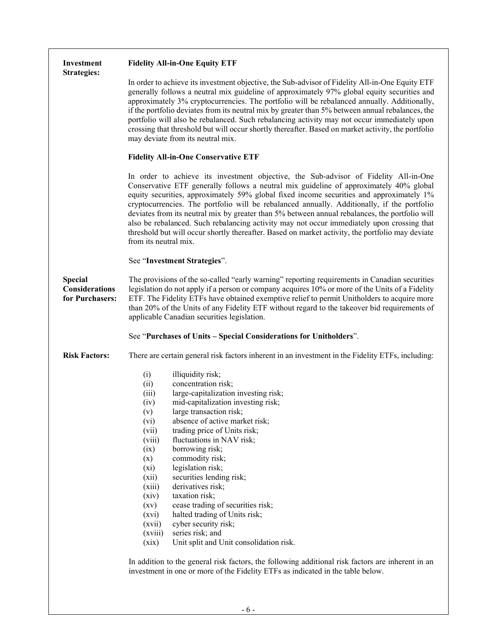| In order to achieve its investment objective, the Sub-advisor of Fidelity All-in-One Equity ETF<br>generally follows a neutral mix guideline of approximately 97% global equity securities and<br>approximately 3% cryptocurrencies. The portfolio will be rebalanced annually. Additionally,<br>if the portfolio deviates from its neutral mix by greater than 5% between annual rebalances, the<br>portfolio will also be rebalanced. Such rebalancing activity may not occur immediately upon<br>crossing that threshold but will occur shortly thereafter. Based on market activity, the portfolio<br>may deviate from its neutral mix.<br><b>Fidelity All-in-One Conservative ETF</b><br>In order to achieve its investment objective, the Sub-advisor of Fidelity All-in-One<br>Conservative ETF generally follows a neutral mix guideline of approximately 40% global<br>equity securities, approximately 59% global fixed income securities and approximately 1%<br>cryptocurrencies. The portfolio will be rebalanced annually. Additionally, if the portfolio<br>deviates from its neutral mix by greater than 5% between annual rebalances, the portfolio will<br>also be rebalanced. Such rebalancing activity may not occur immediately upon crossing that<br>threshold but will occur shortly thereafter. Based on market activity, the portfolio may deviate<br>from its neutral mix.<br>See "Investment Strategies". |  |
|--------------------------------------------------------------------------------------------------------------------------------------------------------------------------------------------------------------------------------------------------------------------------------------------------------------------------------------------------------------------------------------------------------------------------------------------------------------------------------------------------------------------------------------------------------------------------------------------------------------------------------------------------------------------------------------------------------------------------------------------------------------------------------------------------------------------------------------------------------------------------------------------------------------------------------------------------------------------------------------------------------------------------------------------------------------------------------------------------------------------------------------------------------------------------------------------------------------------------------------------------------------------------------------------------------------------------------------------------------------------------------------------------------------------------------------|--|
|                                                                                                                                                                                                                                                                                                                                                                                                                                                                                                                                                                                                                                                                                                                                                                                                                                                                                                                                                                                                                                                                                                                                                                                                                                                                                                                                                                                                                                      |  |
|                                                                                                                                                                                                                                                                                                                                                                                                                                                                                                                                                                                                                                                                                                                                                                                                                                                                                                                                                                                                                                                                                                                                                                                                                                                                                                                                                                                                                                      |  |
|                                                                                                                                                                                                                                                                                                                                                                                                                                                                                                                                                                                                                                                                                                                                                                                                                                                                                                                                                                                                                                                                                                                                                                                                                                                                                                                                                                                                                                      |  |
|                                                                                                                                                                                                                                                                                                                                                                                                                                                                                                                                                                                                                                                                                                                                                                                                                                                                                                                                                                                                                                                                                                                                                                                                                                                                                                                                                                                                                                      |  |
| The provisions of the so-called "early warning" reporting requirements in Canadian securities<br>legislation do not apply if a person or company acquires 10% or more of the Units of a Fidelity<br>ETF. The Fidelity ETFs have obtained exemptive relief to permit Unitholders to acquire more<br>than 20% of the Units of any Fidelity ETF without regard to the takeover bid requirements of<br>applicable Canadian securities legislation.<br>See "Purchases of Units - Special Considerations for Unitholders".                                                                                                                                                                                                                                                                                                                                                                                                                                                                                                                                                                                                                                                                                                                                                                                                                                                                                                                 |  |
| There are certain general risk factors inherent in an investment in the Fidelity ETFs, including:                                                                                                                                                                                                                                                                                                                                                                                                                                                                                                                                                                                                                                                                                                                                                                                                                                                                                                                                                                                                                                                                                                                                                                                                                                                                                                                                    |  |
| illiquidity risk;<br>(i)<br>concentration risk;<br>(ii)<br>large-capitalization investing risk;<br>(iii)<br>mid-capitalization investing risk;<br>(iv)<br>large transaction risk;<br>(v)<br>(vi)<br>absence of active market risk;<br>(vii)<br>trading price of Units risk;<br>fluctuations in NAV risk;<br>(viii)<br>borrowing risk;<br>(ix)<br>commodity risk;<br>(x)<br>legislation risk;<br>(xi)<br>securities lending risk;<br>(xii)<br>derivatives risk;<br>(xiii)<br>taxation risk;<br>(xiv)<br>cease trading of securities risk;<br>$\left( xy\right)$<br>halted trading of Units risk;<br>(xvi)<br>cyber security risk;<br>(xvii)<br>series risk; and<br>(xviii)<br>(xix)<br>Unit split and Unit consolidation risk.<br>In addition to the general risk factors, the following additional risk factors are inherent in an<br>investment in one or more of the Fidelity ETFs as indicated in the table below.                                                                                                                                                                                                                                                                                                                                                                                                                                                                                                                |  |
|                                                                                                                                                                                                                                                                                                                                                                                                                                                                                                                                                                                                                                                                                                                                                                                                                                                                                                                                                                                                                                                                                                                                                                                                                                                                                                                                                                                                                                      |  |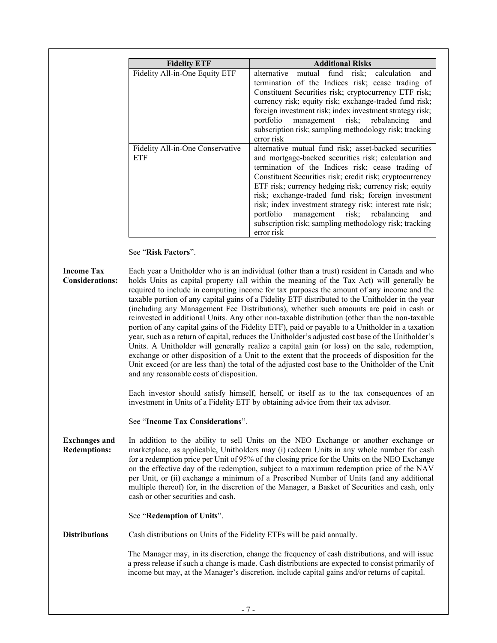| <b>Fidelity ETF</b>                     | <b>Additional Risks</b>                                                                                                                                                                                                                                                                                                                                                                                                                                                                                                                  |
|-----------------------------------------|------------------------------------------------------------------------------------------------------------------------------------------------------------------------------------------------------------------------------------------------------------------------------------------------------------------------------------------------------------------------------------------------------------------------------------------------------------------------------------------------------------------------------------------|
| Fidelity All-in-One Equity ETF          | alternative mutual fund risk; calculation<br>and<br>termination of the Indices risk; cease trading of<br>Constituent Securities risk; cryptocurrency ETF risk;<br>currency risk; equity risk; exchange-traded fund risk;<br>foreign investment risk; index investment strategy risk;<br>portfolio management risk; rebalancing<br>and<br>subscription risk; sampling methodology risk; tracking<br>error risk                                                                                                                            |
| Fidelity All-in-One Conservative<br>ETF | alternative mutual fund risk; asset-backed securities<br>and mortgage-backed securities risk; calculation and<br>termination of the Indices risk; cease trading of<br>Constituent Securities risk; credit risk; cryptocurrency<br>ETF risk; currency hedging risk; currency risk; equity<br>risk; exchange-traded fund risk; foreign investment<br>risk; index investment strategy risk; interest rate risk;<br>management risk; rebalancing<br>portfolio<br>and<br>subscription risk; sampling methodology risk; tracking<br>error risk |

See "**[Risk Factors](#page-22-0)**".

**Income Tax Considerations:** Each year a Unitholder who is an individual (other than a trust) resident in Canada and who holds Units as capital property (all within the meaning of the Tax Act) will generally be required to include in computing income for tax purposes the amount of any income and the taxable portion of any capital gains of a Fidelity ETF distributed to the Unitholder in the year (including any Management Fee Distributions), whether such amounts are paid in cash or reinvested in additional Units. Any other non-taxable distribution (other than the non-taxable portion of any capital gains of the Fidelity ETF), paid or payable to a Unitholder in a taxation year, such as a return of capital, reduces the Unitholder's adjusted cost base of the Unitholder's Units. A Unitholder will generally realize a capital gain (or loss) on the sale, redemption, exchange or other disposition of a Unit to the extent that the proceeds of disposition for the Unit exceed (or are less than) the total of the adjusted cost base to the Unitholder of the Unit and any reasonable costs of disposition.

> Each investor should satisfy himself, herself, or itself as to the tax consequences of an investment in Units of a Fidelity ETF by obtaining advice from their tax advisor.

See "**[Income Tax Considerations](#page-42-0)**".

**Exchanges and Redemptions:** In addition to the ability to sell Units on the NEO Exchange or another exchange or marketplace, as applicable, Unitholders may (i) redeem Units in any whole number for cash for a redemption price per Unit of 95% of the closing price for the Units on the NEO Exchange on the effective day of the redemption, subject to a maximum redemption price of the NAV per Unit, or (ii) exchange a minimum of a Prescribed Number of Units (and any additional multiple thereof) for, in the discretion of the Manager, a Basket of Securities and cash, only cash or other securities and cash.

See "**[Redemption](#page-40-0) of Units**".

**Distributions** Cash distributions on Units of the Fidelity ETFs will be paid annually.

The Manager may, in its discretion, change the frequency of cash distributions, and will issue a press release if such a change is made. Cash distributions are expected to consist primarily of income but may, at the Manager's discretion, include capital gains and/or returns of capital.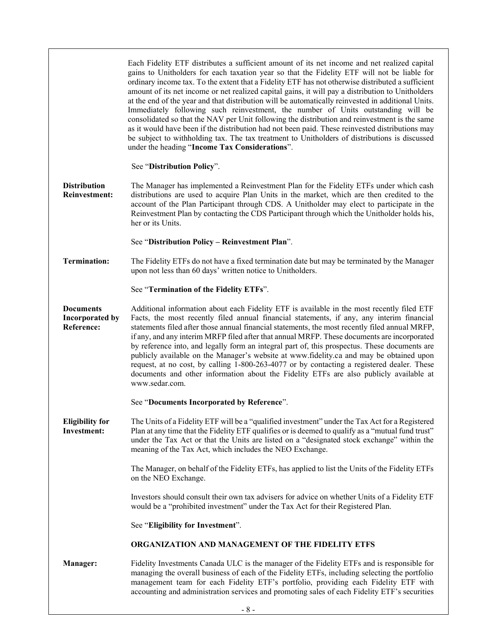Each Fidelity ETF distributes a sufficient amount of its net income and net realized capital gains to Unitholders for each taxation year so that the Fidelity ETF will not be liable for ordinary income tax. To the extent that a Fidelity ETF has not otherwise distributed a sufficient amount of its net income or net realized capital gains, it will pay a distribution to Unitholders at the end of the year and that distribution will be automatically reinvested in additional Units. Immediately following such reinvestment, the number of Units outstanding will be consolidated so that the NAV per Unit following the distribution and reinvestment is the same as it would have been if the distribution had not been paid. These reinvested distributions may be subject to withholding tax. The tax treatment to Unitholders of distributions is discussed under the heading "**[Income Tax Considerations](#page-42-0)**". See "**[Distribution](#page-35-0) Policy**". **Distribution Reinvestment:** The Manager has implemented a Reinvestment Plan for the Fidelity ETFs under which cash distributions are used to acquire Plan Units in the market, which are then credited to the account of the Plan Participant through CDS. A Unitholder may elect to participate in the Reinvestment Plan by contacting the CDS Participant through which the Unitholder holds his, her or its Units. See "**[Distribution](#page-35-0) Policy – [Reinvestment Plan](#page-36-0)**". **Termination:** The Fidelity ETFs do not have a fixed termination date but may be terminated by the Manager upon not less than 60 days' written notice to Unitholders. See "**[Termination of the Fidelity ETFs](#page-60-0)**". **Documents Incorporated by Reference:** Additional information about each Fidelity ETF is available in the most recently filed ETF Facts, the most recently filed annual financial statements, if any, any interim financial statements filed after those annual financial statements, the most recently filed annual MRFP, if any, and any interim MRFP filed after that annual MRFP. These documents are incorporated by reference into, and legally form an integral part of, this prospectus. These documents are publicly available on the Manager's website at www.fidelity.ca and may be obtained upon request, at no cost, by calling 1-800-263-4077 or by contacting a registered dealer. These documents and other information about the Fidelity ETFs are also publicly available at www.sedar.com. See "**[Documents Incorporated by Reference](#page-1-0)**". **Eligibility for Investment:** The Units of a Fidelity ETF will be a "qualified investment" under the Tax Act for a Registered Plan at any time that the Fidelity ETF qualifies or is deemed to qualify as a "mutual fund trust" under the Tax Act or that the Units are listed on a "designated stock exchange" within the meaning of the Tax Act, which includes the NEO Exchange. The Manager, on behalf of the Fidelity ETFs, has applied to list the Units of the Fidelity ETFs on the NEO Exchange. Investors should consult their own tax advisers for advice on whether Units of a Fidelity ETF would be a "prohibited investment" under the Tax Act for their Registered Plan. See "**[Eligibility for Investment](#page-46-2)**". **ORGANIZATION AND MANAGEMENT OF THE FIDELITY ETFS Manager:** Fidelity Investments Canada ULC is the manager of the Fidelity ETFs and is responsible for managing the overall business of each of the Fidelity ETFs, including selecting the portfolio management team for each Fidelity ETF's portfolio, providing each Fidelity ETF with accounting and administration services and promoting sales of each Fidelity ETF's securities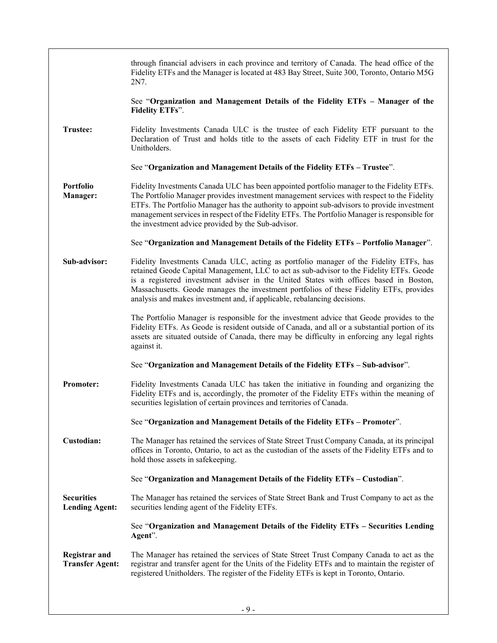|                                                | through financial advisers in each province and territory of Canada. The head office of the<br>Fidelity ETFs and the Manager is located at 483 Bay Street, Suite 300, Toronto, Ontario M5G<br>2N7.                                                                                                                                                                                                                                                 |
|------------------------------------------------|----------------------------------------------------------------------------------------------------------------------------------------------------------------------------------------------------------------------------------------------------------------------------------------------------------------------------------------------------------------------------------------------------------------------------------------------------|
|                                                | See "Organization and Management Details of the Fidelity ETFs - Manager of the<br><b>Fidelity ETFs".</b>                                                                                                                                                                                                                                                                                                                                           |
| <b>Trustee:</b>                                | Fidelity Investments Canada ULC is the trustee of each Fidelity ETF pursuant to the<br>Declaration of Trust and holds title to the assets of each Fidelity ETF in trust for the<br>Unitholders.                                                                                                                                                                                                                                                    |
|                                                | See "Organization and Management Details of the Fidelity ETFs - Trustee".                                                                                                                                                                                                                                                                                                                                                                          |
| Portfolio<br>Manager:                          | Fidelity Investments Canada ULC has been appointed portfolio manager to the Fidelity ETFs.<br>The Portfolio Manager provides investment management services with respect to the Fidelity<br>ETFs. The Portfolio Manager has the authority to appoint sub-advisors to provide investment<br>management services in respect of the Fidelity ETFs. The Portfolio Manager is responsible for<br>the investment advice provided by the Sub-advisor.     |
|                                                | See "Organization and Management Details of the Fidelity ETFs - Portfolio Manager".                                                                                                                                                                                                                                                                                                                                                                |
| Sub-advisor:                                   | Fidelity Investments Canada ULC, acting as portfolio manager of the Fidelity ETFs, has<br>retained Geode Capital Management, LLC to act as sub-advisor to the Fidelity ETFs. Geode<br>is a registered investment adviser in the United States with offices based in Boston,<br>Massachusetts. Geode manages the investment portfolios of these Fidelity ETFs, provides<br>analysis and makes investment and, if applicable, rebalancing decisions. |
|                                                | The Portfolio Manager is responsible for the investment advice that Geode provides to the<br>Fidelity ETFs. As Geode is resident outside of Canada, and all or a substantial portion of its<br>assets are situated outside of Canada, there may be difficulty in enforcing any legal rights<br>against it.                                                                                                                                         |
|                                                | See "Organization and Management Details of the Fidelity ETFs - Sub-advisor".                                                                                                                                                                                                                                                                                                                                                                      |
| Promoter:                                      | Fidelity Investments Canada ULC has taken the initiative in founding and organizing the<br>Fidelity ETFs and is, accordingly, the promoter of the Fidelity ETFs within the meaning of<br>securities legislation of certain provinces and territories of Canada.                                                                                                                                                                                    |
|                                                | See "Organization and Management Details of the Fidelity ETFs - Promoter".                                                                                                                                                                                                                                                                                                                                                                         |
| Custodian:                                     | The Manager has retained the services of State Street Trust Company Canada, at its principal<br>offices in Toronto, Ontario, to act as the custodian of the assets of the Fidelity ETFs and to<br>hold those assets in safekeeping.                                                                                                                                                                                                                |
|                                                | See "Organization and Management Details of the Fidelity ETFs – Custodian".                                                                                                                                                                                                                                                                                                                                                                        |
| <b>Securities</b><br><b>Lending Agent:</b>     | The Manager has retained the services of State Street Bank and Trust Company to act as the<br>securities lending agent of the Fidelity ETFs.                                                                                                                                                                                                                                                                                                       |
|                                                | See "Organization and Management Details of the Fidelity ETFs - Securities Lending<br>Agent".                                                                                                                                                                                                                                                                                                                                                      |
| <b>Registrar and</b><br><b>Transfer Agent:</b> | The Manager has retained the services of State Street Trust Company Canada to act as the<br>registrar and transfer agent for the Units of the Fidelity ETFs and to maintain the register of<br>registered Unitholders. The register of the Fidelity ETFs is kept in Toronto, Ontario.                                                                                                                                                              |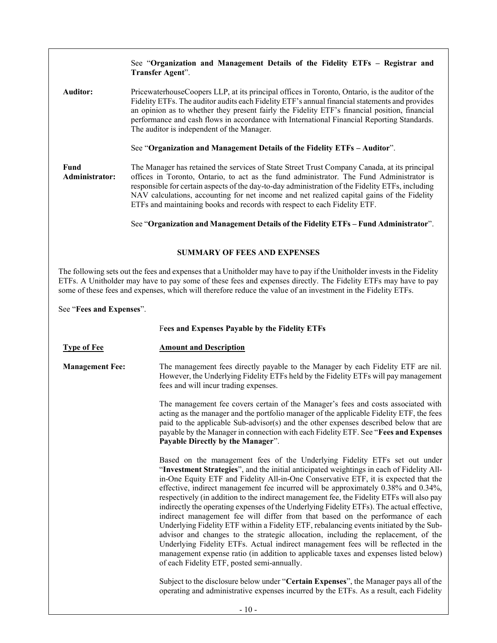# See "**[Organization and Management Details of the Fidelity ETFs](#page-46-0) – [Registrar and](#page-54-3)  [Transfer Agent](#page-54-3)**".

**Auditor:** PricewaterhouseCoopers LLP, at its principal offices in Toronto, Ontario, is the auditor of the Fidelity ETFs. The auditor audits each Fidelity ETF's annual financial statements and provides an opinion as to whether they present fairly the Fidelity ETF's financial position, financial performance and cash flows in accordance with International Financial Reporting Standards. The auditor is independent of the Manager.

See "**[Organization and Management Details of the Fidelity ETFs](#page-46-0) – [Auditor](#page-54-4)**".

**Fund Administrator:** The Manager has retained the services of State Street Trust Company Canada, at its principal offices in Toronto, Ontario, to act as the fund administrator. The Fund Administrator is responsible for certain aspects of the day-to-day administration of the Fidelity ETFs, including NAV calculations, accounting for net income and net realized capital gains of the Fidelity ETFs and maintaining books and records with respect to each Fidelity ETF.

See "**[Organization and Management Details of the Fidelity ETFs](#page-46-0) – [Fund Administrator](#page-55-2)**".

## **SUMMARY OF FEES AND EXPENSES**

<span id="page-12-0"></span>The following sets out the fees and expenses that a Unitholder may have to pay if the Unitholder invests in the Fidelity ETFs. A Unitholder may have to pay some of these fees and expenses directly. The Fidelity ETFs may have to pay some of these fees and expenses, which will therefore reduce the value of an investment in the Fidelity ETFs.

See "**[Fees and Expenses](#page-20-0)**".

F**ees and Expenses Payable by the Fidelity ETFs**

**Type of Fee Amount and Description** 

**Management Fee:** The management fees directly payable to the Manager by each Fidelity ETF are nil. However, the Underlying Fidelity ETFs held by the Fidelity ETFs will pay management fees and will incur trading expenses.

> The management fee covers certain of the Manager's fees and costs associated with acting as the manager and the portfolio manager of the applicable Fidelity ETF, the fees paid to the applicable Sub-advisor(s) and the other expenses described below that are payable by the Manager in connection with each Fidelity ETF. See "**[Fees and Expenses](#page-22-1)  [Payable Directly by the Manager](#page-22-1)**".

> Based on the management fees of the Underlying Fidelity ETFs set out under "**Investment Strategies**", and the initial anticipated weightings in each of Fidelity Allin-One Equity ETF and Fidelity All-in-One Conservative ETF, it is expected that the effective, indirect management fee incurred will be approximately 0.38% and 0.34%, respectively (in addition to the indirect management fee, the Fidelity ETFs will also pay indirectly the operating expenses of the Underlying Fidelity ETFs). The actual effective, indirect management fee will differ from that based on the performance of each Underlying Fidelity ETF within a Fidelity ETF, rebalancing events initiated by the Subadvisor and changes to the strategic allocation, including the replacement, of the Underlying Fidelity ETFs. Actual indirect management fees will be reflected in the management expense ratio (in addition to applicable taxes and expenses listed below) of each Fidelity ETF, posted semi-annually.

> Subject to the disclosure below under "**Certain Expenses**", the Manager pays all of the operating and administrative expenses incurred by the ETFs. As a result, each Fidelity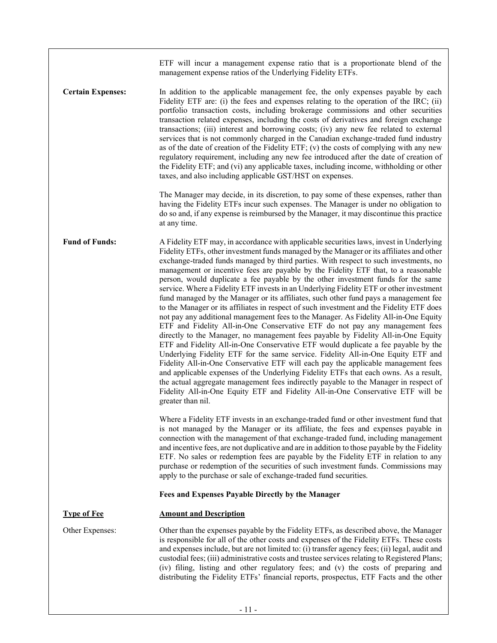|                          | ETF will incur a management expense ratio that is a proportionate blend of the<br>management expense ratios of the Underlying Fidelity ETFs.                                                                                                                                                                                                                                                                                                                                                                                                                                                                                                                                                                                                                                                                                                                                                                                                                                                                                                                                                                                                                                                                                                                                                                                                                                                                                                                                                                                                           |
|--------------------------|--------------------------------------------------------------------------------------------------------------------------------------------------------------------------------------------------------------------------------------------------------------------------------------------------------------------------------------------------------------------------------------------------------------------------------------------------------------------------------------------------------------------------------------------------------------------------------------------------------------------------------------------------------------------------------------------------------------------------------------------------------------------------------------------------------------------------------------------------------------------------------------------------------------------------------------------------------------------------------------------------------------------------------------------------------------------------------------------------------------------------------------------------------------------------------------------------------------------------------------------------------------------------------------------------------------------------------------------------------------------------------------------------------------------------------------------------------------------------------------------------------------------------------------------------------|
| <b>Certain Expenses:</b> | In addition to the applicable management fee, the only expenses payable by each<br>Fidelity ETF are: (i) the fees and expenses relating to the operation of the IRC; (ii)<br>portfolio transaction costs, including brokerage commissions and other securities<br>transaction related expenses, including the costs of derivatives and foreign exchange<br>transactions; (iii) interest and borrowing costs; (iv) any new fee related to external<br>services that is not commonly charged in the Canadian exchange-traded fund industry<br>as of the date of creation of the Fidelity ETF; $(v)$ the costs of complying with any new<br>regulatory requirement, including any new fee introduced after the date of creation of<br>the Fidelity ETF; and (vi) any applicable taxes, including income, withholding or other<br>taxes, and also including applicable GST/HST on expenses.                                                                                                                                                                                                                                                                                                                                                                                                                                                                                                                                                                                                                                                                |
|                          | The Manager may decide, in its discretion, to pay some of these expenses, rather than<br>having the Fidelity ETFs incur such expenses. The Manager is under no obligation to<br>do so and, if any expense is reimbursed by the Manager, it may discontinue this practice<br>at any time.                                                                                                                                                                                                                                                                                                                                                                                                                                                                                                                                                                                                                                                                                                                                                                                                                                                                                                                                                                                                                                                                                                                                                                                                                                                               |
| <b>Fund of Funds:</b>    | A Fidelity ETF may, in accordance with applicable securities laws, invest in Underlying<br>Fidelity ETFs, other investment funds managed by the Manager or its affiliates and other<br>exchange-traded funds managed by third parties. With respect to such investments, no<br>management or incentive fees are payable by the Fidelity ETF that, to a reasonable<br>person, would duplicate a fee payable by the other investment funds for the same<br>service. Where a Fidelity ETF invests in an Underlying Fidelity ETF or other investment<br>fund managed by the Manager or its affiliates, such other fund pays a management fee<br>to the Manager or its affiliates in respect of such investment and the Fidelity ETF does<br>not pay any additional management fees to the Manager. As Fidelity All-in-One Equity<br>ETF and Fidelity All-in-One Conservative ETF do not pay any management fees<br>directly to the Manager, no management fees payable by Fidelity All-in-One Equity<br>ETF and Fidelity All-in-One Conservative ETF would duplicate a fee payable by the<br>Underlying Fidelity ETF for the same service. Fidelity All-in-One Equity ETF and<br>Fidelity All-in-One Conservative ETF will each pay the applicable management fees<br>and applicable expenses of the Underlying Fidelity ETFs that each owns. As a result,<br>the actual aggregate management fees indirectly payable to the Manager in respect of<br>Fidelity All-in-One Equity ETF and Fidelity All-in-One Conservative ETF will be<br>greater than nil. |
|                          | Where a Fidelity ETF invests in an exchange-traded fund or other investment fund that<br>is not managed by the Manager or its affiliate, the fees and expenses payable in<br>connection with the management of that exchange-traded fund, including management<br>and incentive fees, are not duplicative and are in addition to those payable by the Fidelity<br>ETF. No sales or redemption fees are payable by the Fidelity ETF in relation to any<br>purchase or redemption of the securities of such investment funds. Commissions may<br>apply to the purchase or sale of exchange-traded fund securities.                                                                                                                                                                                                                                                                                                                                                                                                                                                                                                                                                                                                                                                                                                                                                                                                                                                                                                                                       |
|                          | Fees and Expenses Payable Directly by the Manager                                                                                                                                                                                                                                                                                                                                                                                                                                                                                                                                                                                                                                                                                                                                                                                                                                                                                                                                                                                                                                                                                                                                                                                                                                                                                                                                                                                                                                                                                                      |
| <b>Type of Fee</b>       | <b>Amount and Description</b>                                                                                                                                                                                                                                                                                                                                                                                                                                                                                                                                                                                                                                                                                                                                                                                                                                                                                                                                                                                                                                                                                                                                                                                                                                                                                                                                                                                                                                                                                                                          |
| Other Expenses:          | Other than the expenses payable by the Fidelity ETFs, as described above, the Manager<br>is responsible for all of the other costs and expenses of the Fidelity ETFs. These costs<br>and expenses include, but are not limited to: (i) transfer agency fees; (ii) legal, audit and<br>custodial fees; (iii) administrative costs and trustee services relating to Registered Plans;<br>(iv) filing, listing and other regulatory fees; and (v) the costs of preparing and<br>distributing the Fidelity ETFs' financial reports, prospectus, ETF Facts and the other                                                                                                                                                                                                                                                                                                                                                                                                                                                                                                                                                                                                                                                                                                                                                                                                                                                                                                                                                                                    |
|                          |                                                                                                                                                                                                                                                                                                                                                                                                                                                                                                                                                                                                                                                                                                                                                                                                                                                                                                                                                                                                                                                                                                                                                                                                                                                                                                                                                                                                                                                                                                                                                        |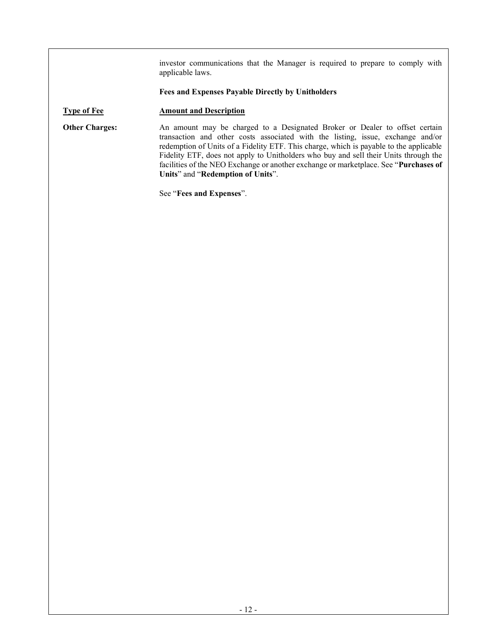investor communications that the Manager is required to prepare to comply with applicable laws.

# **Fees and Expenses Payable Directly by Unitholders**

# **Type of Fee Amount and Description**

**Other Charges:** An amount may be charged to a Designated Broker or Dealer to offset certain transaction and other costs associated with the listing, issue, exchange and/or redemption of Units of a Fidelity ETF. This charge, which is payable to the applicable Fidelity ETF, does not apply to Unitholders who buy and sell their Units through the facilities of the NEO Exchange or another exchange or marketplace. See "**[Purchases of](#page-37-0)  [Units](#page-37-0)**" and "**[Redemption](#page-40-0) of Units**".

See "**[Fees and Expenses](#page-20-0)**".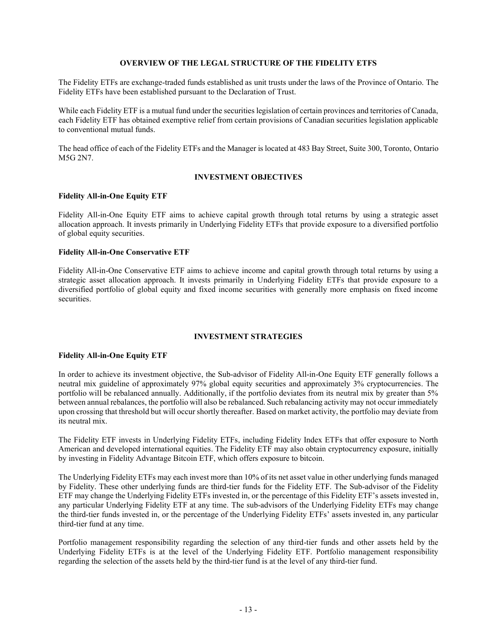# **OVERVIEW OF THE LEGAL STRUCTURE OF THE FIDELITY ETFS**

<span id="page-15-0"></span>The Fidelity ETFs are exchange-traded funds established as unit trusts under the laws of the Province of Ontario. The Fidelity ETFs have been established pursuant to the Declaration of Trust.

While each Fidelity ETF is a mutual fund under the securities legislation of certain provinces and territories of Canada, each Fidelity ETF has obtained exemptive relief from certain provisions of Canadian securities legislation applicable to conventional mutual funds.

The head office of each of the Fidelity ETFs and the Manager is located at 483 Bay Street, Suite 300, Toronto, Ontario M5G 2N7.

## **INVESTMENT OBJECTIVES**

#### <span id="page-15-1"></span>**Fidelity All-in-One Equity ETF**

Fidelity All-in-One Equity ETF aims to achieve capital growth through total returns by using a strategic asset allocation approach. It invests primarily in Underlying Fidelity ETFs that provide exposure to a diversified portfolio of global equity securities.

#### **Fidelity All-in-One Conservative ETF**

Fidelity All-in-One Conservative ETF aims to achieve income and capital growth through total returns by using a strategic asset allocation approach. It invests primarily in Underlying Fidelity ETFs that provide exposure to a diversified portfolio of global equity and fixed income securities with generally more emphasis on fixed income securities.

## **INVESTMENT STRATEGIES**

#### <span id="page-15-2"></span>**Fidelity All-in-One Equity ETF**

In order to achieve its investment objective, the Sub-advisor of Fidelity All-in-One Equity ETF generally follows a neutral mix guideline of approximately 97% global equity securities and approximately 3% cryptocurrencies. The portfolio will be rebalanced annually. Additionally, if the portfolio deviates from its neutral mix by greater than 5% between annual rebalances, the portfolio will also be rebalanced. Such rebalancing activity may not occur immediately upon crossing that threshold but will occur shortly thereafter. Based on market activity, the portfolio may deviate from its neutral mix.

The Fidelity ETF invests in Underlying Fidelity ETFs, including Fidelity Index ETFs that offer exposure to North American and developed international equities. The Fidelity ETF may also obtain cryptocurrency exposure, initially by investing in Fidelity Advantage Bitcoin ETF, which offers exposure to bitcoin.

The Underlying Fidelity ETFs may each invest more than 10% of its net asset value in other underlying funds managed by Fidelity. These other underlying funds are third-tier funds for the Fidelity ETF. The Sub-advisor of the Fidelity ETF may change the Underlying Fidelity ETFs invested in, or the percentage of this Fidelity ETF's assets invested in, any particular Underlying Fidelity ETF at any time. The sub-advisors of the Underlying Fidelity ETFs may change the third-tier funds invested in, or the percentage of the Underlying Fidelity ETFs' assets invested in, any particular third-tier fund at any time.

Portfolio management responsibility regarding the selection of any third-tier funds and other assets held by the Underlying Fidelity ETFs is at the level of the Underlying Fidelity ETF. Portfolio management responsibility regarding the selection of the assets held by the third-tier fund is at the level of any third-tier fund.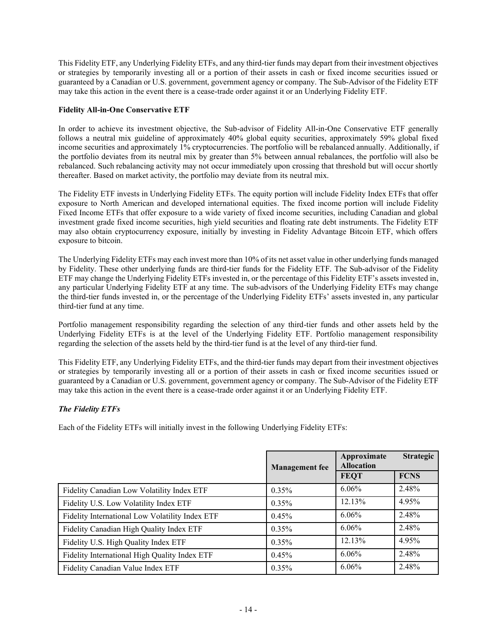This Fidelity ETF, any Underlying Fidelity ETFs, and any third-tier funds may depart from their investment objectives or strategies by temporarily investing all or a portion of their assets in cash or fixed income securities issued or guaranteed by a Canadian or U.S. government, government agency or company. The Sub-Advisor of the Fidelity ETF may take this action in the event there is a cease-trade order against it or an Underlying Fidelity ETF.

# **Fidelity All-in-One Conservative ETF**

In order to achieve its investment objective, the Sub-advisor of Fidelity All-in-One Conservative ETF generally follows a neutral mix guideline of approximately 40% global equity securities, approximately 59% global fixed income securities and approximately 1% cryptocurrencies. The portfolio will be rebalanced annually. Additionally, if the portfolio deviates from its neutral mix by greater than 5% between annual rebalances, the portfolio will also be rebalanced. Such rebalancing activity may not occur immediately upon crossing that threshold but will occur shortly thereafter. Based on market activity, the portfolio may deviate from its neutral mix.

The Fidelity ETF invests in Underlying Fidelity ETFs. The equity portion will include Fidelity Index ETFs that offer exposure to North American and developed international equities. The fixed income portion will include Fidelity Fixed Income ETFs that offer exposure to a wide variety of fixed income securities, including Canadian and global investment grade fixed income securities, high yield securities and floating rate debt instruments. The Fidelity ETF may also obtain cryptocurrency exposure, initially by investing in Fidelity Advantage Bitcoin ETF, which offers exposure to bitcoin.

The Underlying Fidelity ETFs may each invest more than 10% of its net asset value in other underlying funds managed by Fidelity. These other underlying funds are third-tier funds for the Fidelity ETF. The Sub-advisor of the Fidelity ETF may change the Underlying Fidelity ETFs invested in, or the percentage of this Fidelity ETF's assets invested in, any particular Underlying Fidelity ETF at any time. The sub-advisors of the Underlying Fidelity ETFs may change the third-tier funds invested in, or the percentage of the Underlying Fidelity ETFs' assets invested in, any particular third-tier fund at any time.

Portfolio management responsibility regarding the selection of any third-tier funds and other assets held by the Underlying Fidelity ETFs is at the level of the Underlying Fidelity ETF. Portfolio management responsibility regarding the selection of the assets held by the third-tier fund is at the level of any third-tier fund.

This Fidelity ETF, any Underlying Fidelity ETFs, and the third-tier funds may depart from their investment objectives or strategies by temporarily investing all or a portion of their assets in cash or fixed income securities issued or guaranteed by a Canadian or U.S. government, government agency or company. The Sub-Advisor of the Fidelity ETF may take this action in the event there is a cease-trade order against it or an Underlying Fidelity ETF.

# *The Fidelity ETFs*

Each of the Fidelity ETFs will initially invest in the following Underlying Fidelity ETFs:

|                                                 | <b>Management</b> fee | Approximate<br><b>Allocation</b> | <b>Strategic</b> |
|-------------------------------------------------|-----------------------|----------------------------------|------------------|
|                                                 |                       | <b>FEQT</b>                      | <b>FCNS</b>      |
| Fidelity Canadian Low Volatility Index ETF      | $0.35\%$              | $6.06\%$                         | 2.48%            |
| Fidelity U.S. Low Volatility Index ETF          | $0.35\%$              | 12.13%                           | 4.95%            |
| Fidelity International Low Volatility Index ETF | 0.45%                 | 6.06%                            | 2.48%            |
| Fidelity Canadian High Quality Index ETF        | 0.35%                 | $6.06\%$                         | 2.48%            |
| Fidelity U.S. High Quality Index ETF            | $0.35\%$              | 12.13%                           | 4.95%            |
| Fidelity International High Quality Index ETF   | 0.45%                 | 6.06%                            | 2.48%            |
| Fidelity Canadian Value Index ETF               | 0.35%                 | $6.06\%$                         | 2.48%            |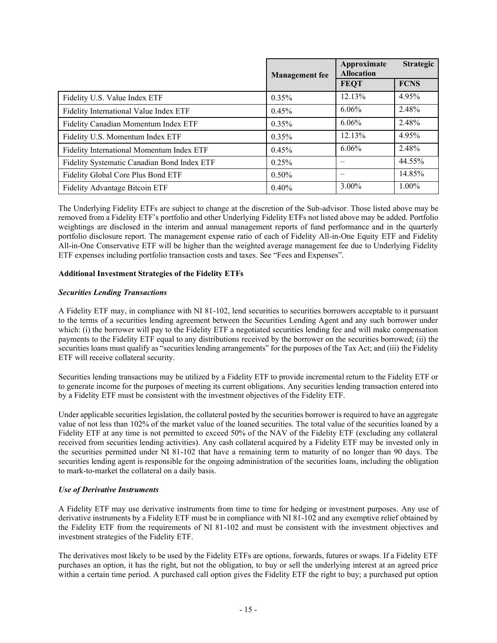|                                             | <b>Management</b> fee | Approximate<br><b>Allocation</b> | <b>Strategic</b> |
|---------------------------------------------|-----------------------|----------------------------------|------------------|
|                                             |                       | <b>FEQT</b>                      | <b>FCNS</b>      |
| Fidelity U.S. Value Index ETF               | 0.35%                 | 12.13%                           | 4.95%            |
| Fidelity International Value Index ETF      | 0.45%                 | 6.06%                            | 2.48%            |
| Fidelity Canadian Momentum Index ETF        | 0.35%                 | 6.06%                            | 2.48%            |
| Fidelity U.S. Momentum Index ETF            | 0.35%                 | 12.13%                           | 4.95%            |
| Fidelity International Momentum Index ETF   | 0.45%                 | 6.06%                            | 2.48%            |
| Fidelity Systematic Canadian Bond Index ETF | 0.25%                 |                                  | 44.55%           |
| Fidelity Global Core Plus Bond ETF          | 0.50%                 |                                  | 14.85%           |
| Fidelity Advantage Bitcoin ETF              | 0.40%                 | 3.00%                            | 1.00%            |

The Underlying Fidelity ETFs are subject to change at the discretion of the Sub-advisor. Those listed above may be removed from a Fidelity ETF's portfolio and other Underlying Fidelity ETFs not listed above may be added. Portfolio weightings are disclosed in the interim and annual management reports of fund performance and in the quarterly portfolio disclosure report. The management expense ratio of each of Fidelity All-in-One Equity ETF and Fidelity All-in-One Conservative ETF will be higher than the weighted average management fee due to Underlying Fidelity ETF expenses including portfolio transaction costs and taxes. See "Fees and Expenses".

# **Additional Investment Strategies of the Fidelity ETFs**

# *Securities Lending Transactions*

A Fidelity ETF may, in compliance with NI 81-102, lend securities to securities borrowers acceptable to it pursuant to the terms of a securities lending agreement between the Securities Lending Agent and any such borrower under which: (i) the borrower will pay to the Fidelity ETF a negotiated securities lending fee and will make compensation payments to the Fidelity ETF equal to any distributions received by the borrower on the securities borrowed; (ii) the securities loans must qualify as "securities lending arrangements" for the purposes of the Tax Act; and (iii) the Fidelity ETF will receive collateral security.

Securities lending transactions may be utilized by a Fidelity ETF to provide incremental return to the Fidelity ETF or to generate income for the purposes of meeting its current obligations. Any securities lending transaction entered into by a Fidelity ETF must be consistent with the investment objectives of the Fidelity ETF.

Under applicable securities legislation, the collateral posted by the securities borrower is required to have an aggregate value of not less than 102% of the market value of the loaned securities. The total value of the securities loaned by a Fidelity ETF at any time is not permitted to exceed 50% of the NAV of the Fidelity ETF (excluding any collateral received from securities lending activities). Any cash collateral acquired by a Fidelity ETF may be invested only in the securities permitted under NI 81-102 that have a remaining term to maturity of no longer than 90 days. The securities lending agent is responsible for the ongoing administration of the securities loans, including the obligation to mark-to-market the collateral on a daily basis.

## *Use of Derivative Instruments*

A Fidelity ETF may use derivative instruments from time to time for hedging or investment purposes. Any use of derivative instruments by a Fidelity ETF must be in compliance with NI 81-102 and any exemptive relief obtained by the Fidelity ETF from the requirements of NI 81-102 and must be consistent with the investment objectives and investment strategies of the Fidelity ETF.

The derivatives most likely to be used by the Fidelity ETFs are options, forwards, futures or swaps. If a Fidelity ETF purchases an option, it has the right, but not the obligation, to buy or sell the underlying interest at an agreed price within a certain time period. A purchased call option gives the Fidelity ETF the right to buy; a purchased put option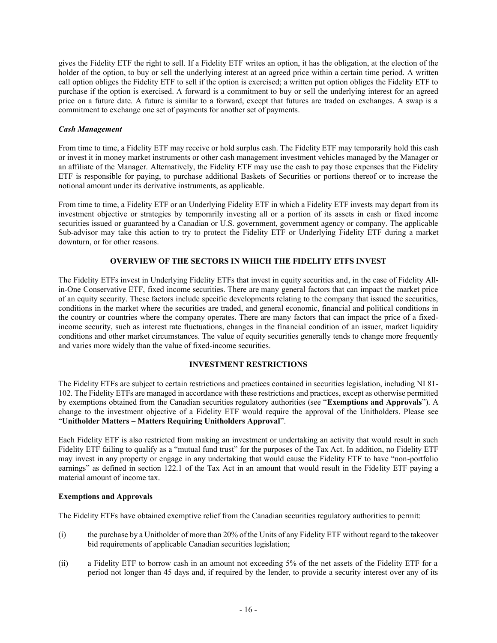gives the Fidelity ETF the right to sell. If a Fidelity ETF writes an option, it has the obligation, at the election of the holder of the option, to buy or sell the underlying interest at an agreed price within a certain time period. A written call option obliges the Fidelity ETF to sell if the option is exercised; a written put option obliges the Fidelity ETF to purchase if the option is exercised. A forward is a commitment to buy or sell the underlying interest for an agreed price on a future date. A future is similar to a forward, except that futures are traded on exchanges. A swap is a commitment to exchange one set of payments for another set of payments.

# *Cash Management*

From time to time, a Fidelity ETF may receive or hold surplus cash. The Fidelity ETF may temporarily hold this cash or invest it in money market instruments or other cash management investment vehicles managed by the Manager or an affiliate of the Manager. Alternatively, the Fidelity ETF may use the cash to pay those expenses that the Fidelity ETF is responsible for paying, to purchase additional Baskets of Securities or portions thereof or to increase the notional amount under its derivative instruments, as applicable.

From time to time, a Fidelity ETF or an Underlying Fidelity ETF in which a Fidelity ETF invests may depart from its investment objective or strategies by temporarily investing all or a portion of its assets in cash or fixed income securities issued or guaranteed by a Canadian or U.S. government, government agency or company. The applicable Sub-advisor may take this action to try to protect the Fidelity ETF or Underlying Fidelity ETF during a market downturn, or for other reasons.

# **OVERVIEW OF THE SECTORS IN WHICH THE FIDELITY ETFS INVEST**

<span id="page-18-0"></span>The Fidelity ETFs invest in Underlying Fidelity ETFs that invest in equity securities and, in the case of Fidelity Allin-One Conservative ETF, fixed income securities. There are many general factors that can impact the market price of an equity security. These factors include specific developments relating to the company that issued the securities, conditions in the market where the securities are traded, and general economic, financial and political conditions in the country or countries where the company operates. There are many factors that can impact the price of a fixedincome security, such as interest rate fluctuations, changes in the financial condition of an issuer, market liquidity conditions and other market circumstances. The value of equity securities generally tends to change more frequently and varies more widely than the value of fixed-income securities.

# **INVESTMENT RESTRICTIONS**

<span id="page-18-1"></span>The Fidelity ETFs are subject to certain restrictions and practices contained in securities legislation, including NI 81- 102. The Fidelity ETFs are managed in accordance with these restrictions and practices, except as otherwise permitted by exemptions obtained from the Canadian securities regulatory authorities (see "**[Exemptions and Approvals](#page-18-2)**"). A change to the investment objective of a Fidelity ETF would require the approval of the Unitholders. Please see "**[Unitholder Matters](#page-57-1) – [Matters Requiring Unitholders Approval](#page-58-0)**".

Each Fidelity ETF is also restricted from making an investment or undertaking an activity that would result in such Fidelity ETF failing to qualify as a "mutual fund trust" for the purposes of the Tax Act. In addition, no Fidelity ETF may invest in any property or engage in any undertaking that would cause the Fidelity ETF to have "non-portfolio earnings" as defined in section 122.1 of the Tax Act in an amount that would result in the Fidelity ETF paying a material amount of income tax.

## <span id="page-18-2"></span>**Exemptions and Approvals**

The Fidelity ETFs have obtained exemptive relief from the Canadian securities regulatory authorities to permit:

- (i) the purchase by a Unitholder of more than 20% of the Units of any Fidelity ETF without regard to the takeover bid requirements of applicable Canadian securities legislation;
- (ii) a Fidelity ETF to borrow cash in an amount not exceeding 5% of the net assets of the Fidelity ETF for a period not longer than 45 days and, if required by the lender, to provide a security interest over any of its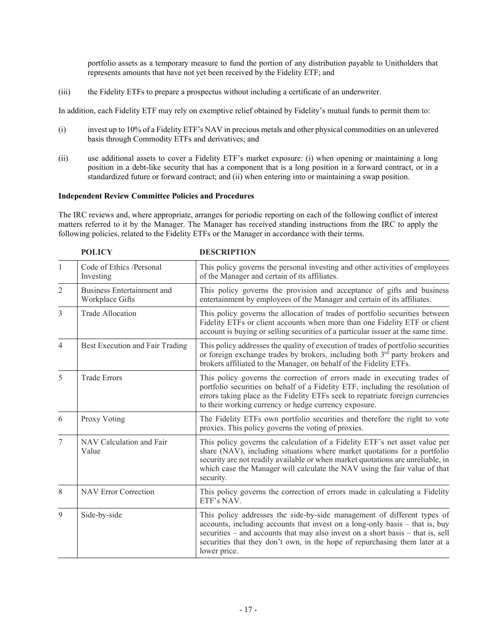portfolio assets as a temporary measure to fund the portion of any distribution payable to Unitholders that represents amounts that have not yet been received by the Fidelity ETF; and

(iii) the Fidelity ETFs to prepare a prospectus without including a certificate of an underwriter.

In addition, each Fidelity ETF may rely on exemptive relief obtained by Fidelity's mutual funds to permit them to:

- (i) invest up to 10% of a Fidelity ETF's NAV in precious metals and other physical commodities on an unlevered basis through Commodity ETFs and derivatives; and
- (ii) use additional assets to cover a Fidelity ETF's market exposure: (i) when opening or maintaining a long position in a debt-like security that has a component that is a long position in a forward contract, or in a standardized future or forward contract; and (ii) when entering into or maintaining a swap position.

## **Independent Review Committee Policies and Procedures**

The IRC reviews and, where appropriate, arranges for periodic reporting on each of the following conflict of interest matters referred to it by the Manager. The Manager has received standing instructions from the IRC to apply the following policies, related to the Fidelity ETFs or the Manager in accordance with their terms.

|                | <b>POLICY</b>                                 | <b>DESCRIPTION</b>                                                                                                                                                                                                                                                                                                                        |  |
|----------------|-----------------------------------------------|-------------------------------------------------------------------------------------------------------------------------------------------------------------------------------------------------------------------------------------------------------------------------------------------------------------------------------------------|--|
| 1              | Code of Ethics /Personal<br>Investing         | This policy governs the personal investing and other activities of employees<br>of the Manager and certain of its affiliates.                                                                                                                                                                                                             |  |
| $\overline{2}$ | Business Entertainment and<br>Workplace Gifts | This policy governs the provision and acceptance of gifts and business<br>entertainment by employees of the Manager and certain of its affiliates.                                                                                                                                                                                        |  |
| $\overline{3}$ | <b>Trade Allocation</b>                       | This policy governs the allocation of trades of portfolio securities between<br>Fidelity ETFs or client accounts when more than one Fidelity ETF or client<br>account is buying or selling securities of a particular issuer at the same time.                                                                                            |  |
| $\overline{4}$ | Best Execution and Fair Trading               | This policy addresses the quality of execution of trades of portfolio securities<br>or foreign exchange trades by brokers, including both 3 <sup>rd</sup> party brokers and<br>brokers affiliated to the Manager, on behalf of the Fidelity ETFs.                                                                                         |  |
| 5              | <b>Trade Errors</b>                           | This policy governs the correction of errors made in executing trades of<br>portfolio securities on behalf of a Fidelity ETF, including the resolution of<br>errors taking place as the Fidelity ETFs seek to repatriate foreign currencies<br>to their working currency or hedge currency exposure.                                      |  |
| 6              | Proxy Voting                                  | The Fidelity ETFs own portfolio securities and therefore the right to vote<br>proxies. This policy governs the voting of proxies.                                                                                                                                                                                                         |  |
| $\tau$         | NAV Calculation and Fair<br>Value             | This policy governs the calculation of a Fidelity ETF's net asset value per<br>share (NAV), including situations where market quotations for a portfolio<br>security are not readily available or when market quotations are unreliable, in<br>which case the Manager will calculate the NAV using the fair value of that<br>security.    |  |
| 8              | <b>NAV Error Correction</b>                   | This policy governs the correction of errors made in calculating a Fidelity<br>ETF's NAV.                                                                                                                                                                                                                                                 |  |
| 9              | Side-by-side                                  | This policy addresses the side-by-side management of different types of<br>accounts, including accounts that invest on a long-only basis – that is, buy<br>securities – and accounts that may also invest on a short basis – that is, sell<br>securities that they don't own, in the hope of repurchasing them later at a<br>lower price. |  |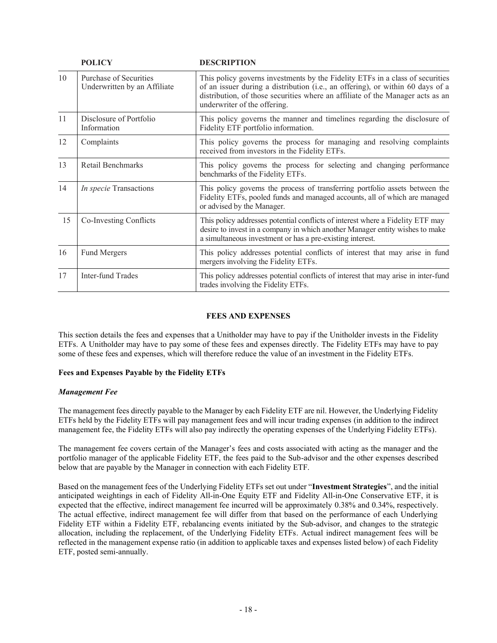|    | <b>POLICY</b>                                                 | <b>DESCRIPTION</b>                                                                                                                                                                                                                                                                |
|----|---------------------------------------------------------------|-----------------------------------------------------------------------------------------------------------------------------------------------------------------------------------------------------------------------------------------------------------------------------------|
| 10 | <b>Purchase of Securities</b><br>Underwritten by an Affiliate | This policy governs investments by the Fidelity ETFs in a class of securities<br>of an issuer during a distribution (i.e., an offering), or within 60 days of a<br>distribution, of those securities where an affiliate of the Manager acts as an<br>underwriter of the offering. |
| 11 | Disclosure of Portfolio<br>Information                        | This policy governs the manner and timelines regarding the disclosure of<br>Fidelity ETF portfolio information.                                                                                                                                                                   |
| 12 | Complaints                                                    | This policy governs the process for managing and resolving complaints<br>received from investors in the Fidelity ETFs.                                                                                                                                                            |
| 13 | Retail Benchmarks                                             | This policy governs the process for selecting and changing performance<br>benchmarks of the Fidelity ETFs.                                                                                                                                                                        |
| 14 | <i>In specie</i> Transactions                                 | This policy governs the process of transferring portfolio assets between the<br>Fidelity ETFs, pooled funds and managed accounts, all of which are managed<br>or advised by the Manager.                                                                                          |
| 15 | Co-Investing Conflicts                                        | This policy addresses potential conflicts of interest where a Fidelity ETF may<br>desire to invest in a company in which another Manager entity wishes to make<br>a simultaneous investment or has a pre-existing interest.                                                       |
| 16 | Fund Mergers                                                  | This policy addresses potential conflicts of interest that may arise in fund<br>mergers involving the Fidelity ETFs.                                                                                                                                                              |
| 17 | <b>Inter-fund Trades</b>                                      | This policy addresses potential conflicts of interest that may arise in inter-fund<br>trades involving the Fidelity ETFs.                                                                                                                                                         |

## **FEES AND EXPENSES**

<span id="page-20-0"></span>This section details the fees and expenses that a Unitholder may have to pay if the Unitholder invests in the Fidelity ETFs. A Unitholder may have to pay some of these fees and expenses directly. The Fidelity ETFs may have to pay some of these fees and expenses, which will therefore reduce the value of an investment in the Fidelity ETFs.

## **Fees and Expenses Payable by the Fidelity ETFs**

#### *Management Fee*

The management fees directly payable to the Manager by each Fidelity ETF are nil. However, the Underlying Fidelity ETFs held by the Fidelity ETFs will pay management fees and will incur trading expenses (in addition to the indirect management fee, the Fidelity ETFs will also pay indirectly the operating expenses of the Underlying Fidelity ETFs).

The management fee covers certain of the Manager's fees and costs associated with acting as the manager and the portfolio manager of the applicable Fidelity ETF, the fees paid to the Sub-advisor and the other expenses described below that are payable by the Manager in connection with each Fidelity ETF.

Based on the management fees of the Underlying Fidelity ETFs set out under "**Investment Strategies**", and the initial anticipated weightings in each of Fidelity All-in-One Equity ETF and Fidelity All-in-One Conservative ETF, it is expected that the effective, indirect management fee incurred will be approximately 0.38% and 0.34%, respectively. The actual effective, indirect management fee will differ from that based on the performance of each Underlying Fidelity ETF within a Fidelity ETF, rebalancing events initiated by the Sub-advisor, and changes to the strategic allocation, including the replacement, of the Underlying Fidelity ETFs. Actual indirect management fees will be reflected in the management expense ratio (in addition to applicable taxes and expenses listed below) of each Fidelity ETF, posted semi-annually.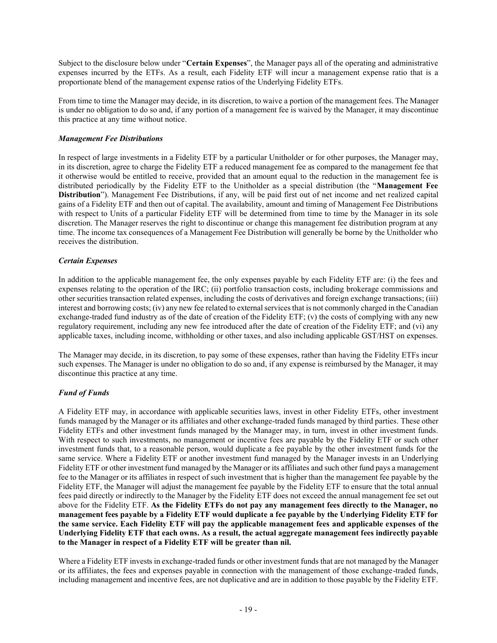Subject to the disclosure below under "**Certain Expenses**", the Manager pays all of the operating and administrative expenses incurred by the ETFs. As a result, each Fidelity ETF will incur a management expense ratio that is a proportionate blend of the management expense ratios of the Underlying Fidelity ETFs.

From time to time the Manager may decide, in its discretion, to waive a portion of the management fees. The Manager is under no obligation to do so and, if any portion of a management fee is waived by the Manager, it may discontinue this practice at any time without notice.

## *Management Fee Distributions*

In respect of large investments in a Fidelity ETF by a particular Unitholder or for other purposes, the Manager may, in its discretion, agree to charge the Fidelity ETF a reduced management fee as compared to the management fee that it otherwise would be entitled to receive, provided that an amount equal to the reduction in the management fee is distributed periodically by the Fidelity ETF to the Unitholder as a special distribution (the "**Management Fee Distribution**"). Management Fee Distributions, if any, will be paid first out of net income and net realized capital gains of a Fidelity ETF and then out of capital. The availability, amount and timing of Management Fee Distributions with respect to Units of a particular Fidelity ETF will be determined from time to time by the Manager in its sole discretion. The Manager reserves the right to discontinue or change this management fee distribution program at any time. The income tax consequences of a Management Fee Distribution will generally be borne by the Unitholder who receives the distribution.

## *Certain Expenses*

In addition to the applicable management fee, the only expenses payable by each Fidelity ETF are: (i) the fees and expenses relating to the operation of the IRC; (ii) portfolio transaction costs, including brokerage commissions and other securities transaction related expenses, including the costs of derivatives and foreign exchange transactions; (iii) interest and borrowing costs; (iv) any new fee related to external services that is not commonly charged in the Canadian exchange-traded fund industry as of the date of creation of the Fidelity ETF; (v) the costs of complying with any new regulatory requirement, including any new fee introduced after the date of creation of the Fidelity ETF; and (vi) any applicable taxes, including income, withholding or other taxes, and also including applicable GST/HST on expenses.

The Manager may decide, in its discretion, to pay some of these expenses, rather than having the Fidelity ETFs incur such expenses. The Manager is under no obligation to do so and, if any expense is reimbursed by the Manager, it may discontinue this practice at any time.

## *Fund of Funds*

A Fidelity ETF may, in accordance with applicable securities laws, invest in other Fidelity ETFs, other investment funds managed by the Manager or its affiliates and other exchange-traded funds managed by third parties. These other Fidelity ETFs and other investment funds managed by the Manager may, in turn, invest in other investment funds. With respect to such investments, no management or incentive fees are payable by the Fidelity ETF or such other investment funds that, to a reasonable person, would duplicate a fee payable by the other investment funds for the same service. Where a Fidelity ETF or another investment fund managed by the Manager invests in an Underlying Fidelity ETF or other investment fund managed by the Manager or its affiliates and such other fund pays a management fee to the Manager or its affiliates in respect of such investment that is higher than the management fee payable by the Fidelity ETF, the Manager will adjust the management fee payable by the Fidelity ETF to ensure that the total annual fees paid directly or indirectly to the Manager by the Fidelity ETF does not exceed the annual management fee set out above for the Fidelity ETF. **As the Fidelity ETFs do not pay any management fees directly to the Manager, no management fees payable by a Fidelity ETF would duplicate a fee payable by the Underlying Fidelity ETF for the same service. Each Fidelity ETF will pay the applicable management fees and applicable expenses of the Underlying Fidelity ETF that each owns. As a result, the actual aggregate management fees indirectly payable to the Manager in respect of a Fidelity ETF will be greater than nil.**

Where a Fidelity ETF invests in exchange-traded funds or other investment funds that are not managed by the Manager or its affiliates, the fees and expenses payable in connection with the management of those exchange-traded funds, including management and incentive fees, are not duplicative and are in addition to those payable by the Fidelity ETF.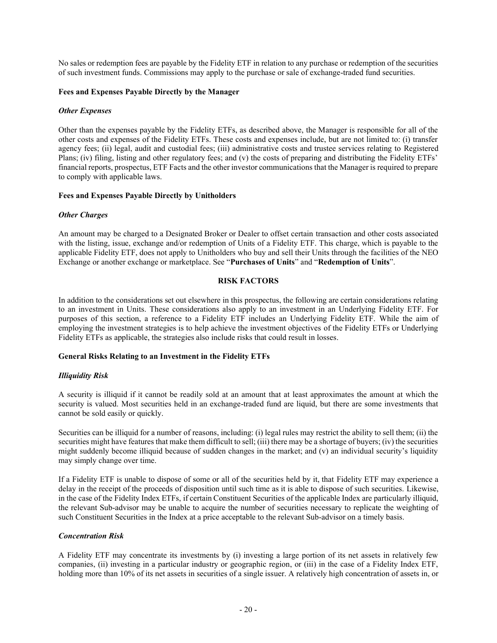No sales or redemption fees are payable by the Fidelity ETF in relation to any purchase or redemption of the securities of such investment funds. Commissions may apply to the purchase or sale of exchange-traded fund securities.

## <span id="page-22-1"></span>**Fees and Expenses Payable Directly by the Manager**

#### *Other Expenses*

Other than the expenses payable by the Fidelity ETFs, as described above, the Manager is responsible for all of the other costs and expenses of the Fidelity ETFs. These costs and expenses include, but are not limited to: (i) transfer agency fees; (ii) legal, audit and custodial fees; (iii) administrative costs and trustee services relating to Registered Plans; (iv) filing, listing and other regulatory fees; and (v) the costs of preparing and distributing the Fidelity ETFs' financial reports, prospectus, ETF Facts and the other investor communications that the Manager is required to prepare to comply with applicable laws.

#### **Fees and Expenses Payable Directly by Unitholders**

#### *Other Charges*

An amount may be charged to a Designated Broker or Dealer to offset certain transaction and other costs associated with the listing, issue, exchange and/or redemption of Units of a Fidelity ETF. This charge, which is payable to the applicable Fidelity ETF, does not apply to Unitholders who buy and sell their Units through the facilities of the NEO Exchange or another exchange or marketplace. See "**[Purchases of Units](#page-37-0)**" and "**[Redemption](#page-40-0) of Units**".

## **RISK FACTORS**

<span id="page-22-0"></span>In addition to the considerations set out elsewhere in this prospectus, the following are certain considerations relating to an investment in Units. These considerations also apply to an investment in an Underlying Fidelity ETF. For purposes of this section, a reference to a Fidelity ETF includes an Underlying Fidelity ETF. While the aim of employing the investment strategies is to help achieve the investment objectives of the Fidelity ETFs or Underlying Fidelity ETFs as applicable, the strategies also include risks that could result in losses.

## **General Risks Relating to an Investment in the Fidelity ETFs**

## *Illiquidity Risk*

A security is illiquid if it cannot be readily sold at an amount that at least approximates the amount at which the security is valued. Most securities held in an exchange-traded fund are liquid, but there are some investments that cannot be sold easily or quickly.

Securities can be illiquid for a number of reasons, including: (i) legal rules may restrict the ability to sell them; (ii) the securities might have features that make them difficult to sell; (iii) there may be a shortage of buyers; (iv) the securities might suddenly become illiquid because of sudden changes in the market; and (v) an individual security's liquidity may simply change over time.

If a Fidelity ETF is unable to dispose of some or all of the securities held by it, that Fidelity ETF may experience a delay in the receipt of the proceeds of disposition until such time as it is able to dispose of such securities. Likewise, in the case of the Fidelity Index ETFs, if certain Constituent Securities of the applicable Index are particularly illiquid, the relevant Sub-advisor may be unable to acquire the number of securities necessary to replicate the weighting of such Constituent Securities in the Index at a price acceptable to the relevant Sub-advisor on a timely basis.

## *Concentration Risk*

A Fidelity ETF may concentrate its investments by (i) investing a large portion of its net assets in relatively few companies, (ii) investing in a particular industry or geographic region, or (iii) in the case of a Fidelity Index ETF, holding more than 10% of its net assets in securities of a single issuer. A relatively high concentration of assets in, or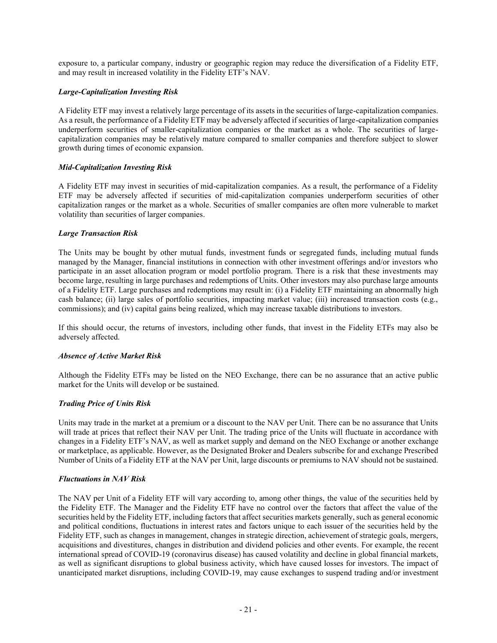exposure to, a particular company, industry or geographic region may reduce the diversification of a Fidelity ETF, and may result in increased volatility in the Fidelity ETF's NAV.

# *Large-Capitalization Investing Risk*

A Fidelity ETF may invest a relatively large percentage of its assets in the securities of large-capitalization companies. As a result, the performance of a Fidelity ETF may be adversely affected if securities of large-capitalization companies underperform securities of smaller-capitalization companies or the market as a whole. The securities of largecapitalization companies may be relatively mature compared to smaller companies and therefore subject to slower growth during times of economic expansion.

# *Mid-Capitalization Investing Risk*

A Fidelity ETF may invest in securities of mid-capitalization companies. As a result, the performance of a Fidelity ETF may be adversely affected if securities of mid-capitalization companies underperform securities of other capitalization ranges or the market as a whole. Securities of smaller companies are often more vulnerable to market volatility than securities of larger companies.

## *Large Transaction Risk*

The Units may be bought by other mutual funds, investment funds or segregated funds, including mutual funds managed by the Manager, financial institutions in connection with other investment offerings and/or investors who participate in an asset allocation program or model portfolio program. There is a risk that these investments may become large, resulting in large purchases and redemptions of Units. Other investors may also purchase large amounts of a Fidelity ETF. Large purchases and redemptions may result in: (i) a Fidelity ETF maintaining an abnormally high cash balance; (ii) large sales of portfolio securities, impacting market value; (iii) increased transaction costs (e.g., commissions); and (iv) capital gains being realized, which may increase taxable distributions to investors.

If this should occur, the returns of investors, including other funds, that invest in the Fidelity ETFs may also be adversely affected.

## *Absence of Active Market Risk*

Although the Fidelity ETFs may be listed on the NEO Exchange, there can be no assurance that an active public market for the Units will develop or be sustained.

## *Trading Price of Units Risk*

Units may trade in the market at a premium or a discount to the NAV per Unit. There can be no assurance that Units will trade at prices that reflect their NAV per Unit. The trading price of the Units will fluctuate in accordance with changes in a Fidelity ETF's NAV, as well as market supply and demand on the NEO Exchange or another exchange or marketplace, as applicable. However, as the Designated Broker and Dealers subscribe for and exchange Prescribed Number of Units of a Fidelity ETF at the NAV per Unit, large discounts or premiums to NAV should not be sustained.

## *Fluctuations in NAV Risk*

The NAV per Unit of a Fidelity ETF will vary according to, among other things, the value of the securities held by the Fidelity ETF. The Manager and the Fidelity ETF have no control over the factors that affect the value of the securities held by the Fidelity ETF, including factors that affect securities markets generally, such as general economic and political conditions, fluctuations in interest rates and factors unique to each issuer of the securities held by the Fidelity ETF, such as changes in management, changes in strategic direction, achievement of strategic goals, mergers, acquisitions and divestitures, changes in distribution and dividend policies and other events. For example, the recent international spread of COVID-19 (coronavirus disease) has caused volatility and decline in global financial markets, as well as significant disruptions to global business activity, which have caused losses for investors. The impact of unanticipated market disruptions, including COVID-19, may cause exchanges to suspend trading and/or investment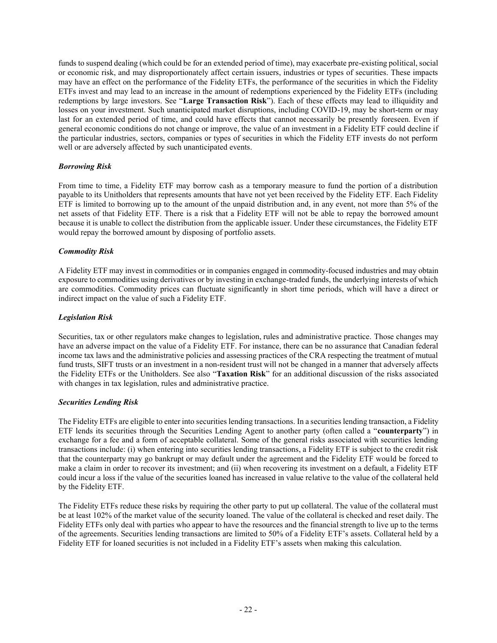funds to suspend dealing (which could be for an extended period of time), may exacerbate pre-existing political, social or economic risk, and may disproportionately affect certain issuers, industries or types of securities. These impacts may have an effect on the performance of the Fidelity ETFs, the performance of the securities in which the Fidelity ETFs invest and may lead to an increase in the amount of redemptions experienced by the Fidelity ETFs (including redemptions by large investors. See "**Large Transaction Risk**"). Each of these effects may lead to illiquidity and losses on your investment. Such unanticipated market disruptions, including COVID-19, may be short-term or may last for an extended period of time, and could have effects that cannot necessarily be presently foreseen. Even if general economic conditions do not change or improve, the value of an investment in a Fidelity ETF could decline if the particular industries, sectors, companies or types of securities in which the Fidelity ETF invests do not perform well or are adversely affected by such unanticipated events.

# *Borrowing Risk*

From time to time, a Fidelity ETF may borrow cash as a temporary measure to fund the portion of a distribution payable to its Unitholders that represents amounts that have not yet been received by the Fidelity ETF. Each Fidelity ETF is limited to borrowing up to the amount of the unpaid distribution and, in any event, not more than 5% of the net assets of that Fidelity ETF. There is a risk that a Fidelity ETF will not be able to repay the borrowed amount because it is unable to collect the distribution from the applicable issuer. Under these circumstances, the Fidelity ETF would repay the borrowed amount by disposing of portfolio assets.

## *Commodity Risk*

A Fidelity ETF may invest in commodities or in companies engaged in commodity-focused industries and may obtain exposure to commodities using derivatives or by investing in exchange-traded funds, the underlying interests of which are commodities. Commodity prices can fluctuate significantly in short time periods, which will have a direct or indirect impact on the value of such a Fidelity ETF.

#### *Legislation Risk*

Securities, tax or other regulators make changes to legislation, rules and administrative practice. Those changes may have an adverse impact on the value of a Fidelity ETF. For instance, there can be no assurance that Canadian federal income tax laws and the administrative policies and assessing practices of the CRA respecting the treatment of mutual fund trusts, SIFT trusts or an investment in a non-resident trust will not be changed in a manner that adversely affects the Fidelity ETFs or the Unitholders. See also "**Taxation Risk**" for an additional discussion of the risks associated with changes in tax legislation, rules and administrative practice.

## *Securities Lending Risk*

The Fidelity ETFs are eligible to enter into securities lending transactions. In a securities lending transaction, a Fidelity ETF lends its securities through the Securities Lending Agent to another party (often called a "**counterparty**") in exchange for a fee and a form of acceptable collateral. Some of the general risks associated with securities lending transactions include: (i) when entering into securities lending transactions, a Fidelity ETF is subject to the credit risk that the counterparty may go bankrupt or may default under the agreement and the Fidelity ETF would be forced to make a claim in order to recover its investment; and (ii) when recovering its investment on a default, a Fidelity ETF could incur a loss if the value of the securities loaned has increased in value relative to the value of the collateral held by the Fidelity ETF.

The Fidelity ETFs reduce these risks by requiring the other party to put up collateral. The value of the collateral must be at least 102% of the market value of the security loaned. The value of the collateral is checked and reset daily. The Fidelity ETFs only deal with parties who appear to have the resources and the financial strength to live up to the terms of the agreements. Securities lending transactions are limited to 50% of a Fidelity ETF's assets. Collateral held by a Fidelity ETF for loaned securities is not included in a Fidelity ETF's assets when making this calculation.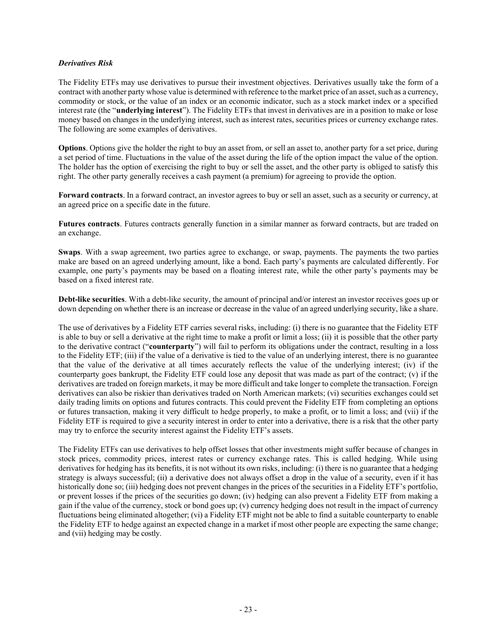## *Derivatives Risk*

The Fidelity ETFs may use derivatives to pursue their investment objectives. Derivatives usually take the form of a contract with another party whose value is determined with reference to the market price of an asset, such as a currency, commodity or stock, or the value of an index or an economic indicator, such as a stock market index or a specified interest rate (the "**underlying interest**"). The Fidelity ETFs that invest in derivatives are in a position to make or lose money based on changes in the underlying interest, such as interest rates, securities prices or currency exchange rates. The following are some examples of derivatives.

**Options**. Options give the holder the right to buy an asset from, or sell an asset to, another party for a set price, during a set period of time. Fluctuations in the value of the asset during the life of the option impact the value of the option. The holder has the option of exercising the right to buy or sell the asset, and the other party is obliged to satisfy this right. The other party generally receives a cash payment (a premium) for agreeing to provide the option.

**Forward contracts**. In a forward contract, an investor agrees to buy or sell an asset, such as a security or currency, at an agreed price on a specific date in the future.

**Futures contracts**. Futures contracts generally function in a similar manner as forward contracts, but are traded on an exchange.

**Swaps**. With a swap agreement, two parties agree to exchange, or swap, payments. The payments the two parties make are based on an agreed underlying amount, like a bond. Each party's payments are calculated differently. For example, one party's payments may be based on a floating interest rate, while the other party's payments may be based on a fixed interest rate.

**Debt-like securities**. With a debt-like security, the amount of principal and/or interest an investor receives goes up or down depending on whether there is an increase or decrease in the value of an agreed underlying security, like a share.

The use of derivatives by a Fidelity ETF carries several risks, including: (i) there is no guarantee that the Fidelity ETF is able to buy or sell a derivative at the right time to make a profit or limit a loss; (ii) it is possible that the other party to the derivative contract ("**counterparty**") will fail to perform its obligations under the contract, resulting in a loss to the Fidelity ETF; (iii) if the value of a derivative is tied to the value of an underlying interest, there is no guarantee that the value of the derivative at all times accurately reflects the value of the underlying interest; (iv) if the counterparty goes bankrupt, the Fidelity ETF could lose any deposit that was made as part of the contract; (v) if the derivatives are traded on foreign markets, it may be more difficult and take longer to complete the transaction. Foreign derivatives can also be riskier than derivatives traded on North American markets; (vi) securities exchanges could set daily trading limits on options and futures contracts. This could prevent the Fidelity ETF from completing an options or futures transaction, making it very difficult to hedge properly, to make a profit, or to limit a loss; and (vii) if the Fidelity ETF is required to give a security interest in order to enter into a derivative, there is a risk that the other party may try to enforce the security interest against the Fidelity ETF's assets.

The Fidelity ETFs can use derivatives to help offset losses that other investments might suffer because of changes in stock prices, commodity prices, interest rates or currency exchange rates. This is called hedging. While using derivatives for hedging has its benefits, it is not without its own risks, including: (i) there is no guarantee that a hedging strategy is always successful; (ii) a derivative does not always offset a drop in the value of a security, even if it has historically done so; (iii) hedging does not prevent changes in the prices of the securities in a Fidelity ETF's portfolio, or prevent losses if the prices of the securities go down; (iv) hedging can also prevent a Fidelity ETF from making a gain if the value of the currency, stock or bond goes up; (v) currency hedging does not result in the impact of currency fluctuations being eliminated altogether; (vi) a Fidelity ETF might not be able to find a suitable counterparty to enable the Fidelity ETF to hedge against an expected change in a market if most other people are expecting the same change; and (vii) hedging may be costly.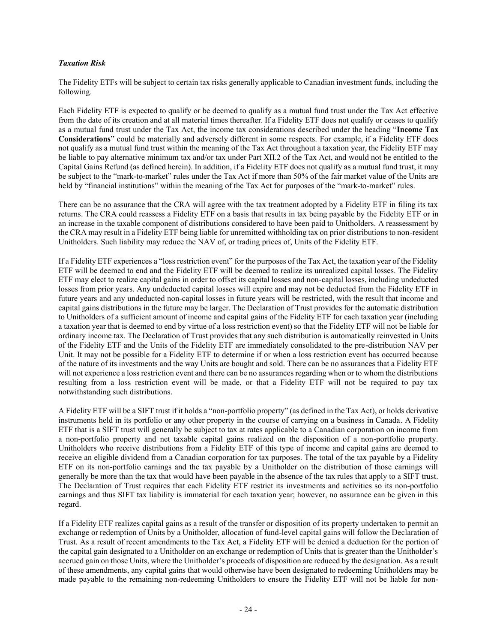## *Taxation Risk*

The Fidelity ETFs will be subject to certain tax risks generally applicable to Canadian investment funds, including the following.

Each Fidelity ETF is expected to qualify or be deemed to qualify as a mutual fund trust under the Tax Act effective from the date of its creation and at all material times thereafter. If a Fidelity ETF does not qualify or ceases to qualify as a mutual fund trust under the Tax Act, the income tax considerations described under the heading "**Income Tax Considerations**" could be materially and adversely different in some respects. For example, if a Fidelity ETF does not qualify as a mutual fund trust within the meaning of the Tax Act throughout a taxation year, the Fidelity ETF may be liable to pay alternative minimum tax and/or tax under Part XII.2 of the Tax Act, and would not be entitled to the Capital Gains Refund (as defined herein). In addition, if a Fidelity ETF does not qualify as a mutual fund trust, it may be subject to the "mark-to-market" rules under the Tax Act if more than 50% of the fair market value of the Units are held by "financial institutions" within the meaning of the Tax Act for purposes of the "mark-to-market" rules.

There can be no assurance that the CRA will agree with the tax treatment adopted by a Fidelity ETF in filing its tax returns. The CRA could reassess a Fidelity ETF on a basis that results in tax being payable by the Fidelity ETF or in an increase in the taxable component of distributions considered to have been paid to Unitholders. A reassessment by the CRA may result in a Fidelity ETF being liable for unremitted withholding tax on prior distributions to non-resident Unitholders. Such liability may reduce the NAV of, or trading prices of, Units of the Fidelity ETF.

If a Fidelity ETF experiences a "loss restriction event" for the purposes of the Tax Act, the taxation year of the Fidelity ETF will be deemed to end and the Fidelity ETF will be deemed to realize its unrealized capital losses. The Fidelity ETF may elect to realize capital gains in order to offset its capital losses and non-capital losses, including undeducted losses from prior years. Any undeducted capital losses will expire and may not be deducted from the Fidelity ETF in future years and any undeducted non-capital losses in future years will be restricted, with the result that income and capital gains distributions in the future may be larger. The Declaration of Trust provides for the automatic distribution to Unitholders of a sufficient amount of income and capital gains of the Fidelity ETF for each taxation year (including a taxation year that is deemed to end by virtue of a loss restriction event) so that the Fidelity ETF will not be liable for ordinary income tax. The Declaration of Trust provides that any such distribution is automatically reinvested in Units of the Fidelity ETF and the Units of the Fidelity ETF are immediately consolidated to the pre-distribution NAV per Unit. It may not be possible for a Fidelity ETF to determine if or when a loss restriction event has occurred because of the nature of its investments and the way Units are bought and sold. There can be no assurances that a Fidelity ETF will not experience a loss restriction event and there can be no assurances regarding when or to whom the distributions resulting from a loss restriction event will be made, or that a Fidelity ETF will not be required to pay tax notwithstanding such distributions.

A Fidelity ETF will be a SIFT trust if it holds a "non-portfolio property" (as defined in the Tax Act), or holds derivative instruments held in its portfolio or any other property in the course of carrying on a business in Canada. A Fidelity ETF that is a SIFT trust will generally be subject to tax at rates applicable to a Canadian corporation on income from a non-portfolio property and net taxable capital gains realized on the disposition of a non-portfolio property. Unitholders who receive distributions from a Fidelity ETF of this type of income and capital gains are deemed to receive an eligible dividend from a Canadian corporation for tax purposes. The total of the tax payable by a Fidelity ETF on its non-portfolio earnings and the tax payable by a Unitholder on the distribution of those earnings will generally be more than the tax that would have been payable in the absence of the tax rules that apply to a SIFT trust. The Declaration of Trust requires that each Fidelity ETF restrict its investments and activities so its non-portfolio earnings and thus SIFT tax liability is immaterial for each taxation year; however, no assurance can be given in this regard.

If a Fidelity ETF realizes capital gains as a result of the transfer or disposition of its property undertaken to permit an exchange or redemption of Units by a Unitholder, allocation of fund-level capital gains will follow the Declaration of Trust. As a result of recent amendments to the Tax Act, a Fidelity ETF will be denied a deduction for the portion of the capital gain designated to a Unitholder on an exchange or redemption of Units that is greater than the Unitholder's accrued gain on those Units, where the Unitholder's proceeds of disposition are reduced by the designation. As a result of these amendments, any capital gains that would otherwise have been designated to redeeming Unitholders may be made payable to the remaining non-redeeming Unitholders to ensure the Fidelity ETF will not be liable for non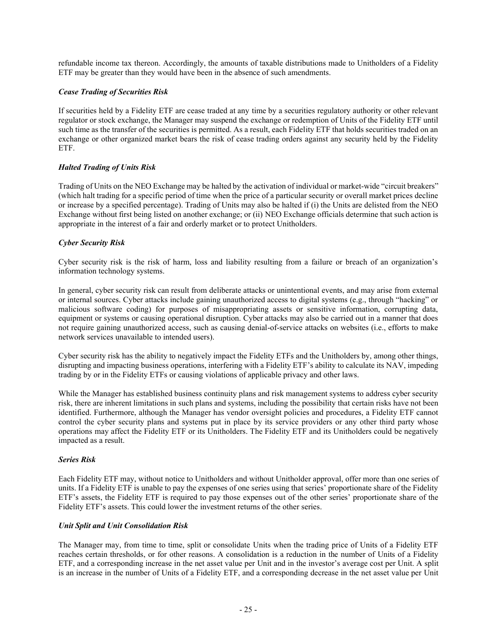refundable income tax thereon. Accordingly, the amounts of taxable distributions made to Unitholders of a Fidelity ETF may be greater than they would have been in the absence of such amendments.

# *Cease Trading of Securities Risk*

If securities held by a Fidelity ETF are cease traded at any time by a securities regulatory authority or other relevant regulator or stock exchange, the Manager may suspend the exchange or redemption of Units of the Fidelity ETF until such time as the transfer of the securities is permitted. As a result, each Fidelity ETF that holds securities traded on an exchange or other organized market bears the risk of cease trading orders against any security held by the Fidelity ETF.

# *Halted Trading of Units Risk*

Trading of Units on the NEO Exchange may be halted by the activation of individual or market-wide "circuit breakers" (which halt trading for a specific period of time when the price of a particular security or overall market prices decline or increase by a specified percentage). Trading of Units may also be halted if (i) the Units are delisted from the NEO Exchange without first being listed on another exchange; or (ii) NEO Exchange officials determine that such action is appropriate in the interest of a fair and orderly market or to protect Unitholders.

# *Cyber Security Risk*

Cyber security risk is the risk of harm, loss and liability resulting from a failure or breach of an organization's information technology systems.

In general, cyber security risk can result from deliberate attacks or unintentional events, and may arise from external or internal sources. Cyber attacks include gaining unauthorized access to digital systems (e.g., through "hacking" or malicious software coding) for purposes of misappropriating assets or sensitive information, corrupting data, equipment or systems or causing operational disruption. Cyber attacks may also be carried out in a manner that does not require gaining unauthorized access, such as causing denial-of-service attacks on websites (i.e., efforts to make network services unavailable to intended users).

Cyber security risk has the ability to negatively impact the Fidelity ETFs and the Unitholders by, among other things, disrupting and impacting business operations, interfering with a Fidelity ETF's ability to calculate its NAV, impeding trading by or in the Fidelity ETFs or causing violations of applicable privacy and other laws.

While the Manager has established business continuity plans and risk management systems to address cyber security risk, there are inherent limitations in such plans and systems, including the possibility that certain risks have not been identified. Furthermore, although the Manager has vendor oversight policies and procedures, a Fidelity ETF cannot control the cyber security plans and systems put in place by its service providers or any other third party whose operations may affect the Fidelity ETF or its Unitholders. The Fidelity ETF and its Unitholders could be negatively impacted as a result.

## *Series Risk*

Each Fidelity ETF may, without notice to Unitholders and without Unitholder approval, offer more than one series of units. If a Fidelity ETF is unable to pay the expenses of one series using that series' proportionate share of the Fidelity ETF's assets, the Fidelity ETF is required to pay those expenses out of the other series' proportionate share of the Fidelity ETF's assets. This could lower the investment returns of the other series.

## *Unit Split and Unit Consolidation Risk*

The Manager may, from time to time, split or consolidate Units when the trading price of Units of a Fidelity ETF reaches certain thresholds, or for other reasons. A consolidation is a reduction in the number of Units of a Fidelity ETF, and a corresponding increase in the net asset value per Unit and in the investor's average cost per Unit. A split is an increase in the number of Units of a Fidelity ETF, and a corresponding decrease in the net asset value per Unit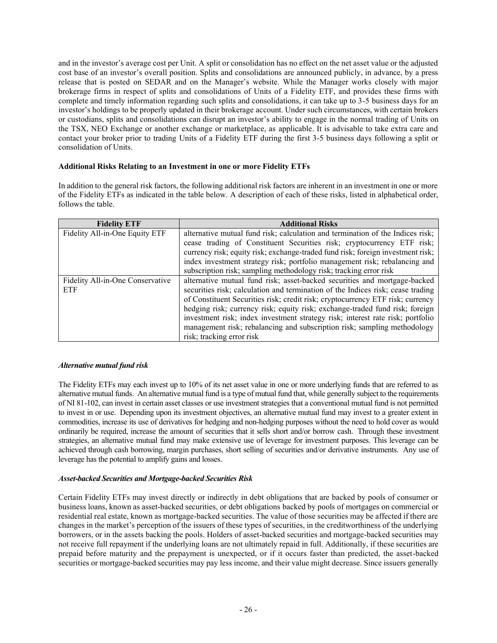and in the investor's average cost per Unit. A split or consolidation has no effect on the net asset value or the adjusted cost base of an investor's overall position. Splits and consolidations are announced publicly, in advance, by a press release that is posted on SEDAR and on the Manager's website. While the Manager works closely with major brokerage firms in respect of splits and consolidations of Units of a Fidelity ETF, and provides these firms with complete and timely information regarding such splits and consolidations, it can take up to 3-5 business days for an investor's holdings to be properly updated in their brokerage account. Under such circumstances, with certain brokers or custodians, splits and consolidations can disrupt an investor's ability to engage in the normal trading of Units on the TSX, NEO Exchange or another exchange or marketplace, as applicable. It is advisable to take extra care and contact your broker prior to trading Units of a Fidelity ETF during the first 3-5 business days following a split or consolidation of Units.

## **Additional Risks Relating to an Investment in one or more Fidelity ETFs**

In addition to the general risk factors, the following additional risk factors are inherent in an investment in one or more of the Fidelity ETFs as indicated in the table below. A description of each of these risks, listed in alphabetical order, follows the table.

| <b>Fidelity ETF</b>              | <b>Additional Risks</b>                                                         |
|----------------------------------|---------------------------------------------------------------------------------|
| Fidelity All-in-One Equity ETF   | alternative mutual fund risk; calculation and termination of the Indices risk;  |
|                                  | cease trading of Constituent Securities risk; cryptocurrency ETF risk;          |
|                                  | currency risk; equity risk; exchange-traded fund risk; foreign investment risk; |
|                                  | index investment strategy risk; portfolio management risk; rebalancing and      |
|                                  | subscription risk; sampling methodology risk; tracking error risk               |
| Fidelity All-in-One Conservative | alternative mutual fund risk; asset-backed securities and mortgage-backed       |
| <b>ETF</b>                       | securities risk; calculation and termination of the Indices risk; cease trading |
|                                  | of Constituent Securities risk; credit risk; cryptocurrency ETF risk; currency  |
|                                  | hedging risk; currency risk; equity risk; exchange-traded fund risk; foreign    |
|                                  | investment risk; index investment strategy risk; interest rate risk; portfolio  |
|                                  | management risk; rebalancing and subscription risk; sampling methodology        |
|                                  | risk; tracking error risk                                                       |

## *Alternative mutual fund risk*

The Fidelity ETFs may each invest up to 10% of its net asset value in one or more underlying funds that are referred to as alternative mutual funds. An alternative mutual fund is a type of mutual fund that, while generally subject to the requirements of NI 81-102, can invest in certain asset classes or use investment strategies that a conventional mutual fund is not permitted to invest in or use. Depending upon its investment objectives, an alternative mutual fund may invest to a greater extent in commodities, increase its use of derivatives for hedging and non-hedging purposes without the need to hold cover as would ordinarily be required, increase the amount of securities that it sells short and/or borrow cash. Through these investment strategies, an alternative mutual fund may make extensive use of leverage for investment purposes. This leverage can be achieved through cash borrowing, margin purchases, short selling of securities and/or derivative instruments. Any use of leverage has the potential to amplify gains and losses.

## *Asset-backed Securities and Mortgage-backed Securities Risk*

Certain Fidelity ETFs may invest directly or indirectly in debt obligations that are backed by pools of consumer or business loans, known as asset-backed securities, or debt obligations backed by pools of mortgages on commercial or residential real estate, known as mortgage-backed securities. The value of those securities may be affected if there are changes in the market's perception of the issuers of these types of securities, in the creditworthiness of the underlying borrowers, or in the assets backing the pools. Holders of asset-backed securities and mortgage-backed securities may not receive full repayment if the underlying loans are not ultimately repaid in full. Additionally, if these securities are prepaid before maturity and the prepayment is unexpected, or if it occurs faster than predicted, the asset-backed securities or mortgage-backed securities may pay less income, and their value might decrease. Since issuers generally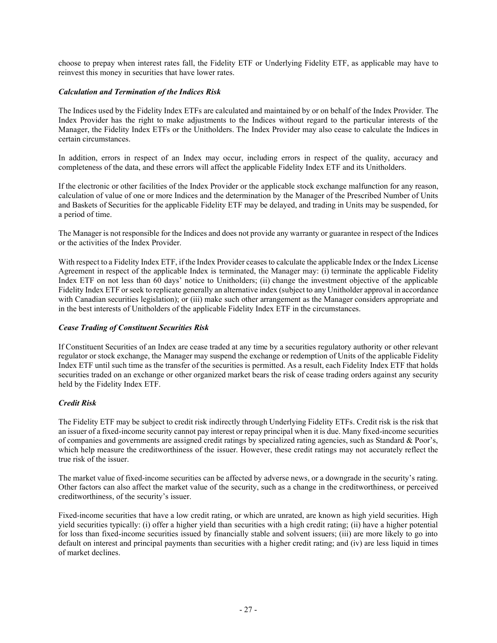choose to prepay when interest rates fall, the Fidelity ETF or Underlying Fidelity ETF, as applicable may have to reinvest this money in securities that have lower rates.

# *Calculation and Termination of the Indices Risk*

The Indices used by the Fidelity Index ETFs are calculated and maintained by or on behalf of the Index Provider. The Index Provider has the right to make adjustments to the Indices without regard to the particular interests of the Manager, the Fidelity Index ETFs or the Unitholders. The Index Provider may also cease to calculate the Indices in certain circumstances.

In addition, errors in respect of an Index may occur, including errors in respect of the quality, accuracy and completeness of the data, and these errors will affect the applicable Fidelity Index ETF and its Unitholders.

If the electronic or other facilities of the Index Provider or the applicable stock exchange malfunction for any reason, calculation of value of one or more Indices and the determination by the Manager of the Prescribed Number of Units and Baskets of Securities for the applicable Fidelity ETF may be delayed, and trading in Units may be suspended, for a period of time.

The Manager is not responsible for the Indices and does not provide any warranty or guarantee in respect of the Indices or the activities of the Index Provider.

With respect to a Fidelity Index ETF, if the Index Provider ceases to calculate the applicable Index or the Index License Agreement in respect of the applicable Index is terminated, the Manager may: (i) terminate the applicable Fidelity Index ETF on not less than 60 days' notice to Unitholders; (ii) change the investment objective of the applicable Fidelity Index ETF or seek to replicate generally an alternative index (subject to any Unitholder approval in accordance with Canadian securities legislation); or (iii) make such other arrangement as the Manager considers appropriate and in the best interests of Unitholders of the applicable Fidelity Index ETF in the circumstances.

## *Cease Trading of Constituent Securities Risk*

If Constituent Securities of an Index are cease traded at any time by a securities regulatory authority or other relevant regulator or stock exchange, the Manager may suspend the exchange or redemption of Units of the applicable Fidelity Index ETF until such time as the transfer of the securities is permitted. As a result, each Fidelity Index ETF that holds securities traded on an exchange or other organized market bears the risk of cease trading orders against any security held by the Fidelity Index ETF.

# *Credit Risk*

The Fidelity ETF may be subject to credit risk indirectly through Underlying Fidelity ETFs. Credit risk is the risk that an issuer of a fixed-income security cannot pay interest or repay principal when it is due. Many fixed-income securities of companies and governments are assigned credit ratings by specialized rating agencies, such as Standard & Poor's, which help measure the creditworthiness of the issuer. However, these credit ratings may not accurately reflect the true risk of the issuer.

The market value of fixed-income securities can be affected by adverse news, or a downgrade in the security's rating. Other factors can also affect the market value of the security, such as a change in the creditworthiness, or perceived creditworthiness, of the security's issuer.

Fixed-income securities that have a low credit rating, or which are unrated, are known as high yield securities. High yield securities typically: (i) offer a higher yield than securities with a high credit rating; (ii) have a higher potential for loss than fixed-income securities issued by financially stable and solvent issuers; (iii) are more likely to go into default on interest and principal payments than securities with a higher credit rating; and (iv) are less liquid in times of market declines.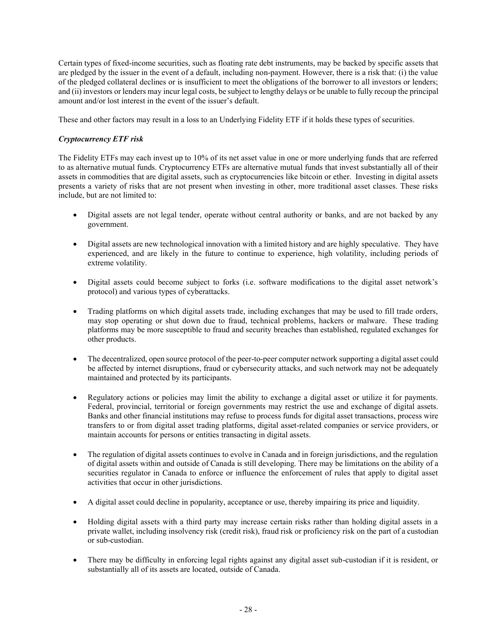Certain types of fixed-income securities, such as floating rate debt instruments, may be backed by specific assets that are pledged by the issuer in the event of a default, including non-payment. However, there is a risk that: (i) the value of the pledged collateral declines or is insufficient to meet the obligations of the borrower to all investors or lenders; and (ii) investors or lenders may incur legal costs, be subject to lengthy delays or be unable to fully recoup the principal amount and/or lost interest in the event of the issuer's default.

These and other factors may result in a loss to an Underlying Fidelity ETF if it holds these types of securities.

# *Cryptocurrency ETF risk*

The Fidelity ETFs may each invest up to 10% of its net asset value in one or more underlying funds that are referred to as alternative mutual funds. Cryptocurrency ETFs are alternative mutual funds that invest substantially all of their assets in commodities that are digital assets, such as cryptocurrencies like bitcoin or ether. Investing in digital assets presents a variety of risks that are not present when investing in other, more traditional asset classes. These risks include, but are not limited to:

- Digital assets are not legal tender, operate without central authority or banks, and are not backed by any government.
- Digital assets are new technological innovation with a limited history and are highly speculative. They have experienced, and are likely in the future to continue to experience, high volatility, including periods of extreme volatility.
- Digital assets could become subject to forks (i.e. software modifications to the digital asset network's protocol) and various types of cyberattacks.
- Trading platforms on which digital assets trade, including exchanges that may be used to fill trade orders, may stop operating or shut down due to fraud, technical problems, hackers or malware. These trading platforms may be more susceptible to fraud and security breaches than established, regulated exchanges for other products.
- The decentralized, open source protocol of the peer-to-peer computer network supporting a digital asset could be affected by internet disruptions, fraud or cybersecurity attacks, and such network may not be adequately maintained and protected by its participants.
- Regulatory actions or policies may limit the ability to exchange a digital asset or utilize it for payments. Federal, provincial, territorial or foreign governments may restrict the use and exchange of digital assets. Banks and other financial institutions may refuse to process funds for digital asset transactions, process wire transfers to or from digital asset trading platforms, digital asset-related companies or service providers, or maintain accounts for persons or entities transacting in digital assets.
- The regulation of digital assets continues to evolve in Canada and in foreign jurisdictions, and the regulation of digital assets within and outside of Canada is still developing. There may be limitations on the ability of a securities regulator in Canada to enforce or influence the enforcement of rules that apply to digital asset activities that occur in other jurisdictions.
- A digital asset could decline in popularity, acceptance or use, thereby impairing its price and liquidity.
- Holding digital assets with a third party may increase certain risks rather than holding digital assets in a private wallet, including insolvency risk (credit risk), fraud risk or proficiency risk on the part of a custodian or sub-custodian.
- There may be difficulty in enforcing legal rights against any digital asset sub-custodian if it is resident, or substantially all of its assets are located, outside of Canada.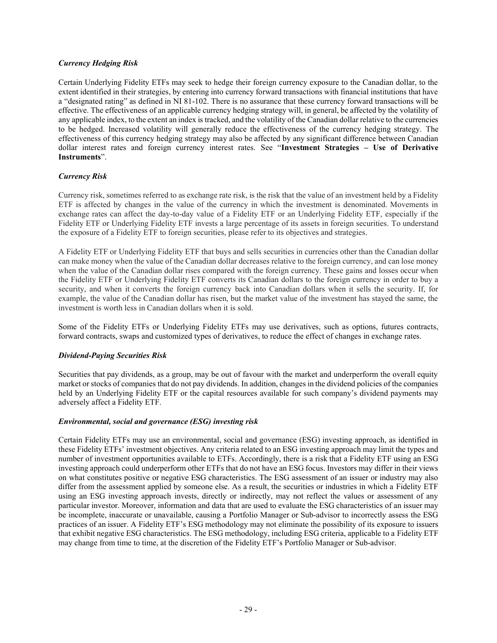## *Currency Hedging Risk*

Certain Underlying Fidelity ETFs may seek to hedge their foreign currency exposure to the Canadian dollar, to the extent identified in their strategies, by entering into currency forward transactions with financial institutions that have a "designated rating" as defined in NI 81-102. There is no assurance that these currency forward transactions will be effective. The effectiveness of an applicable currency hedging strategy will, in general, be affected by the volatility of any applicable index, to the extent an index is tracked, and the volatility of the Canadian dollar relative to the currencies to be hedged. Increased volatility will generally reduce the effectiveness of the currency hedging strategy. The effectiveness of this currency hedging strategy may also be affected by any significant difference between Canadian dollar interest rates and foreign currency interest rates. See "**Investment Strategies – Use of Derivative Instruments**".

# *Currency Risk*

Currency risk, sometimes referred to as exchange rate risk, is the risk that the value of an investment held by a Fidelity ETF is affected by changes in the value of the currency in which the investment is denominated. Movements in exchange rates can affect the day-to-day value of a Fidelity ETF or an Underlying Fidelity ETF, especially if the Fidelity ETF or Underlying Fidelity ETF invests a large percentage of its assets in foreign securities. To understand the exposure of a Fidelity ETF to foreign securities, please refer to its objectives and strategies.

A Fidelity ETF or Underlying Fidelity ETF that buys and sells securities in currencies other than the Canadian dollar can make money when the value of the Canadian dollar decreases relative to the foreign currency, and can lose money when the value of the Canadian dollar rises compared with the foreign currency. These gains and losses occur when the Fidelity ETF or Underlying Fidelity ETF converts its Canadian dollars to the foreign currency in order to buy a security, and when it converts the foreign currency back into Canadian dollars when it sells the security. If, for example, the value of the Canadian dollar has risen, but the market value of the investment has stayed the same, the investment is worth less in Canadian dollars when it is sold.

Some of the Fidelity ETFs or Underlying Fidelity ETFs may use derivatives, such as options, futures contracts, forward contracts, swaps and customized types of derivatives, to reduce the effect of changes in exchange rates.

## *Dividend-Paying Securities Risk*

Securities that pay dividends, as a group, may be out of favour with the market and underperform the overall equity market or stocks of companies that do not pay dividends. In addition, changes in the dividend policies of the companies held by an Underlying Fidelity ETF or the capital resources available for such company's dividend payments may adversely affect a Fidelity ETF.

## *Environmental, social and governance (ESG) investing risk*

Certain Fidelity ETFs may use an environmental, social and governance (ESG) investing approach, as identified in these Fidelity ETFs' investment objectives. Any criteria related to an ESG investing approach may limit the types and number of investment opportunities available to ETFs. Accordingly, there is a risk that a Fidelity ETF using an ESG investing approach could underperform other ETFs that do not have an ESG focus. Investors may differ in their views on what constitutes positive or negative ESG characteristics. The ESG assessment of an issuer or industry may also differ from the assessment applied by someone else. As a result, the securities or industries in which a Fidelity ETF using an ESG investing approach invests, directly or indirectly, may not reflect the values or assessment of any particular investor. Moreover, information and data that are used to evaluate the ESG characteristics of an issuer may be incomplete, inaccurate or unavailable, causing a Portfolio Manager or Sub-advisor to incorrectly assess the ESG practices of an issuer. A Fidelity ETF's ESG methodology may not eliminate the possibility of its exposure to issuers that exhibit negative ESG characteristics. The ESG methodology, including ESG criteria, applicable to a Fidelity ETF may change from time to time, at the discretion of the Fidelity ETF's Portfolio Manager or Sub-advisor.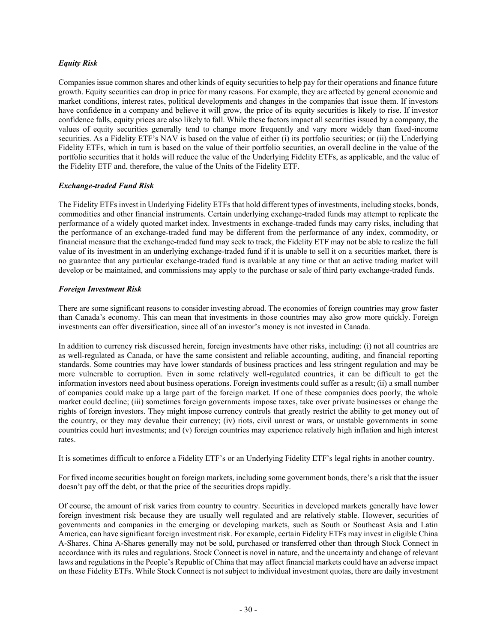# *Equity Risk*

Companies issue common shares and other kinds of equity securities to help pay for their operations and finance future growth. Equity securities can drop in price for many reasons. For example, they are affected by general economic and market conditions, interest rates, political developments and changes in the companies that issue them. If investors have confidence in a company and believe it will grow, the price of its equity securities is likely to rise. If investor confidence falls, equity prices are also likely to fall. While these factors impact all securities issued by a company, the values of equity securities generally tend to change more frequently and vary more widely than fixed-income securities. As a Fidelity ETF's NAV is based on the value of either (i) its portfolio securities; or (ii) the Underlying Fidelity ETFs, which in turn is based on the value of their portfolio securities, an overall decline in the value of the portfolio securities that it holds will reduce the value of the Underlying Fidelity ETFs, as applicable, and the value of the Fidelity ETF and, therefore, the value of the Units of the Fidelity ETF.

# *Exchange-traded Fund Risk*

The Fidelity ETFs invest in Underlying Fidelity ETFs that hold different types of investments, including stocks, bonds, commodities and other financial instruments. Certain underlying exchange-traded funds may attempt to replicate the performance of a widely quoted market index. Investments in exchange-traded funds may carry risks, including that the performance of an exchange-traded fund may be different from the performance of any index, commodity, or financial measure that the exchange-traded fund may seek to track, the Fidelity ETF may not be able to realize the full value of its investment in an underlying exchange-traded fund if it is unable to sell it on a securities market, there is no guarantee that any particular exchange-traded fund is available at any time or that an active trading market will develop or be maintained, and commissions may apply to the purchase or sale of third party exchange-traded funds.

## *Foreign Investment Risk*

There are some significant reasons to consider investing abroad. The economies of foreign countries may grow faster than Canada's economy. This can mean that investments in those countries may also grow more quickly. Foreign investments can offer diversification, since all of an investor's money is not invested in Canada.

In addition to currency risk discussed herein, foreign investments have other risks, including: (i) not all countries are as well-regulated as Canada, or have the same consistent and reliable accounting, auditing, and financial reporting standards. Some countries may have lower standards of business practices and less stringent regulation and may be more vulnerable to corruption. Even in some relatively well-regulated countries, it can be difficult to get the information investors need about business operations. Foreign investments could suffer as a result; (ii) a small number of companies could make up a large part of the foreign market. If one of these companies does poorly, the whole market could decline; (iii) sometimes foreign governments impose taxes, take over private businesses or change the rights of foreign investors. They might impose currency controls that greatly restrict the ability to get money out of the country, or they may devalue their currency; (iv) riots, civil unrest or wars, or unstable governments in some countries could hurt investments; and (v) foreign countries may experience relatively high inflation and high interest rates.

It is sometimes difficult to enforce a Fidelity ETF's or an Underlying Fidelity ETF's legal rights in another country.

For fixed income securities bought on foreign markets, including some government bonds, there's a risk that the issuer doesn't pay off the debt, or that the price of the securities drops rapidly.

Of course, the amount of risk varies from country to country. Securities in developed markets generally have lower foreign investment risk because they are usually well regulated and are relatively stable. However, securities of governments and companies in the emerging or developing markets, such as South or Southeast Asia and Latin America, can have significant foreign investment risk. For example, certain Fidelity ETFs may invest in eligible China A-Shares. China A-Shares generally may not be sold, purchased or transferred other than through Stock Connect in accordance with its rules and regulations. Stock Connect is novel in nature, and the uncertainty and change of relevant laws and regulations in the People's Republic of China that may affect financial markets could have an adverse impact on these Fidelity ETFs. While Stock Connect is not subject to individual investment quotas, there are daily investment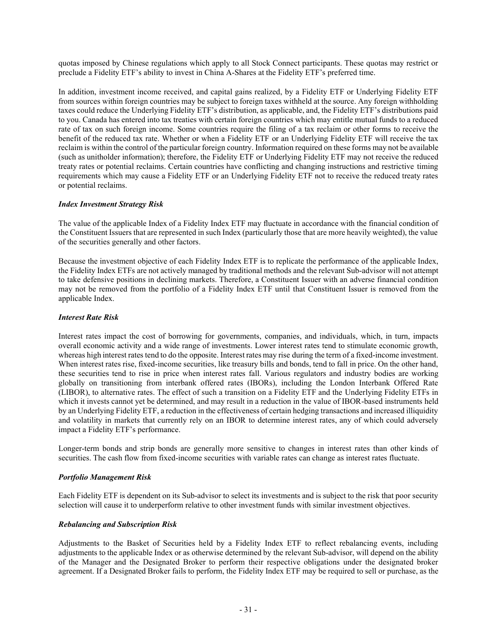quotas imposed by Chinese regulations which apply to all Stock Connect participants. These quotas may restrict or preclude a Fidelity ETF's ability to invest in China A-Shares at the Fidelity ETF's preferred time.

In addition, investment income received, and capital gains realized, by a Fidelity ETF or Underlying Fidelity ETF from sources within foreign countries may be subject to foreign taxes withheld at the source. Any foreign withholding taxes could reduce the Underlying Fidelity ETF's distribution, as applicable, and, the Fidelity ETF's distributions paid to you. Canada has entered into tax treaties with certain foreign countries which may entitle mutual funds to a reduced rate of tax on such foreign income. Some countries require the filing of a tax reclaim or other forms to receive the benefit of the reduced tax rate. Whether or when a Fidelity ETF or an Underlying Fidelity ETF will receive the tax reclaim is within the control of the particular foreign country. Information required on these forms may not be available (such as unitholder information); therefore, the Fidelity ETF or Underlying Fidelity ETF may not receive the reduced treaty rates or potential reclaims. Certain countries have conflicting and changing instructions and restrictive timing requirements which may cause a Fidelity ETF or an Underlying Fidelity ETF not to receive the reduced treaty rates or potential reclaims.

## *Index Investment Strategy Risk*

The value of the applicable Index of a Fidelity Index ETF may fluctuate in accordance with the financial condition of the Constituent Issuers that are represented in such Index (particularly those that are more heavily weighted), the value of the securities generally and other factors.

Because the investment objective of each Fidelity Index ETF is to replicate the performance of the applicable Index, the Fidelity Index ETFs are not actively managed by traditional methods and the relevant Sub-advisor will not attempt to take defensive positions in declining markets. Therefore, a Constituent Issuer with an adverse financial condition may not be removed from the portfolio of a Fidelity Index ETF until that Constituent Issuer is removed from the applicable Index.

#### *Interest Rate Risk*

Interest rates impact the cost of borrowing for governments, companies, and individuals, which, in turn, impacts overall economic activity and a wide range of investments. Lower interest rates tend to stimulate economic growth, whereas high interest rates tend to do the opposite. Interest rates may rise during the term of a fixed-income investment. When interest rates rise, fixed-income securities, like treasury bills and bonds, tend to fall in price. On the other hand, these securities tend to rise in price when interest rates fall. Various regulators and industry bodies are working globally on transitioning from interbank offered rates (IBORs), including the London Interbank Offered Rate (LIBOR), to alternative rates. The effect of such a transition on a Fidelity ETF and the Underlying Fidelity ETFs in which it invests cannot yet be determined, and may result in a reduction in the value of IBOR-based instruments held by an Underlying Fidelity ETF, a reduction in the effectiveness of certain hedging transactions and increased illiquidity and volatility in markets that currently rely on an IBOR to determine interest rates, any of which could adversely impact a Fidelity ETF's performance.

Longer-term bonds and strip bonds are generally more sensitive to changes in interest rates than other kinds of securities. The cash flow from fixed-income securities with variable rates can change as interest rates fluctuate.

#### *Portfolio Management Risk*

Each Fidelity ETF is dependent on its Sub-advisor to select its investments and is subject to the risk that poor security selection will cause it to underperform relative to other investment funds with similar investment objectives.

# *Rebalancing and Subscription Risk*

Adjustments to the Basket of Securities held by a Fidelity Index ETF to reflect rebalancing events, including adjustments to the applicable Index or as otherwise determined by the relevant Sub-advisor, will depend on the ability of the Manager and the Designated Broker to perform their respective obligations under the designated broker agreement. If a Designated Broker fails to perform, the Fidelity Index ETF may be required to sell or purchase, as the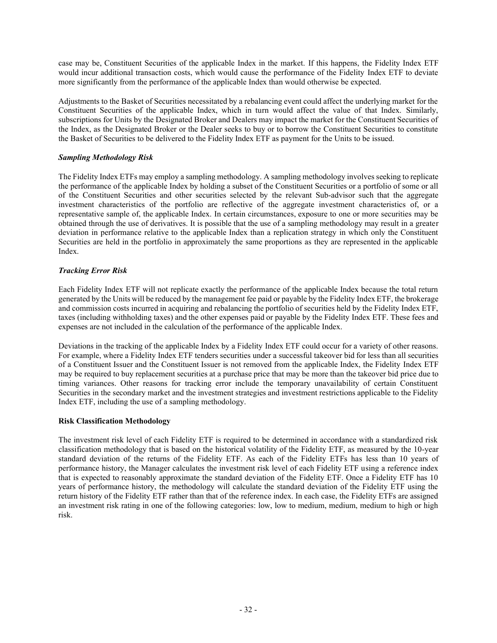case may be, Constituent Securities of the applicable Index in the market. If this happens, the Fidelity Index ETF would incur additional transaction costs, which would cause the performance of the Fidelity Index ETF to deviate more significantly from the performance of the applicable Index than would otherwise be expected.

Adjustments to the Basket of Securities necessitated by a rebalancing event could affect the underlying market for the Constituent Securities of the applicable Index, which in turn would affect the value of that Index. Similarly, subscriptions for Units by the Designated Broker and Dealers may impact the market for the Constituent Securities of the Index, as the Designated Broker or the Dealer seeks to buy or to borrow the Constituent Securities to constitute the Basket of Securities to be delivered to the Fidelity Index ETF as payment for the Units to be issued.

# *Sampling Methodology Risk*

The Fidelity Index ETFs may employ a sampling methodology. A sampling methodology involves seeking to replicate the performance of the applicable Index by holding a subset of the Constituent Securities or a portfolio of some or all of the Constituent Securities and other securities selected by the relevant Sub-advisor such that the aggregate investment characteristics of the portfolio are reflective of the aggregate investment characteristics of, or a representative sample of, the applicable Index. In certain circumstances, exposure to one or more securities may be obtained through the use of derivatives. It is possible that the use of a sampling methodology may result in a greater deviation in performance relative to the applicable Index than a replication strategy in which only the Constituent Securities are held in the portfolio in approximately the same proportions as they are represented in the applicable Index.

# *Tracking Error Risk*

Each Fidelity Index ETF will not replicate exactly the performance of the applicable Index because the total return generated by the Units will be reduced by the management fee paid or payable by the Fidelity Index ETF, the brokerage and commission costs incurred in acquiring and rebalancing the portfolio of securities held by the Fidelity Index ETF, taxes (including withholding taxes) and the other expenses paid or payable by the Fidelity Index ETF. These fees and expenses are not included in the calculation of the performance of the applicable Index.

Deviations in the tracking of the applicable Index by a Fidelity Index ETF could occur for a variety of other reasons. For example, where a Fidelity Index ETF tenders securities under a successful takeover bid for less than all securities of a Constituent Issuer and the Constituent Issuer is not removed from the applicable Index, the Fidelity Index ETF may be required to buy replacement securities at a purchase price that may be more than the takeover bid price due to timing variances. Other reasons for tracking error include the temporary unavailability of certain Constituent Securities in the secondary market and the investment strategies and investment restrictions applicable to the Fidelity Index ETF, including the use of a sampling methodology.

## **Risk Classification Methodology**

The investment risk level of each Fidelity ETF is required to be determined in accordance with a standardized risk classification methodology that is based on the historical volatility of the Fidelity ETF, as measured by the 10-year standard deviation of the returns of the Fidelity ETF. As each of the Fidelity ETFs has less than 10 years of performance history, the Manager calculates the investment risk level of each Fidelity ETF using a reference index that is expected to reasonably approximate the standard deviation of the Fidelity ETF. Once a Fidelity ETF has 10 years of performance history, the methodology will calculate the standard deviation of the Fidelity ETF using the return history of the Fidelity ETF rather than that of the reference index. In each case, the Fidelity ETFs are assigned an investment risk rating in one of the following categories: low, low to medium, medium, medium to high or high risk.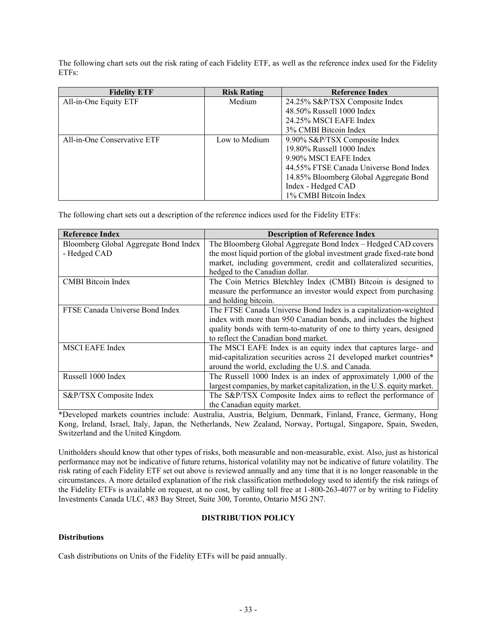The following chart sets out the risk rating of each Fidelity ETF, as well as the reference index used for the Fidelity ETFs:

| <b>Fidelity ETF</b>         | <b>Risk Rating</b> | <b>Reference Index</b>                 |
|-----------------------------|--------------------|----------------------------------------|
| All-in-One Equity ETF       | Medium             | 24.25% S&P/TSX Composite Index         |
|                             |                    | 48.50% Russell 1000 Index              |
|                             |                    | 24.25% MSCI EAFE Index                 |
|                             |                    | 3% CMBI Bitcoin Index                  |
| All-in-One Conservative ETF | Low to Medium      | 9.90% S&P/TSX Composite Index          |
|                             |                    | 19.80% Russell 1000 Index              |
|                             |                    | 9.90% MSCI EAFE Index                  |
|                             |                    | 44.55% FTSE Canada Universe Bond Index |
|                             |                    | 14.85% Bloomberg Global Aggregate Bond |
|                             |                    | Index - Hedged CAD                     |
|                             |                    | 1% CMBI Bitcoin Index                  |

The following chart sets out a description of the reference indices used for the Fidelity ETFs:

| <b>Reference Index</b>                | <b>Description of Reference Index</b>                                   |
|---------------------------------------|-------------------------------------------------------------------------|
| Bloomberg Global Aggregate Bond Index | The Bloomberg Global Aggregate Bond Index - Hedged CAD covers           |
| - Hedged CAD                          | the most liquid portion of the global investment grade fixed-rate bond  |
|                                       | market, including government, credit and collateralized securities,     |
|                                       |                                                                         |
|                                       | hedged to the Canadian dollar.                                          |
| <b>CMBI</b> Bitcoin Index             | The Coin Metrics Bletchley Index (CMBI) Bitcoin is designed to          |
|                                       | measure the performance an investor would expect from purchasing        |
|                                       | and holding bitcoin.                                                    |
| FTSE Canada Universe Bond Index       | The FTSE Canada Universe Bond Index is a capitalization-weighted        |
|                                       | index with more than 950 Canadian bonds, and includes the highest       |
|                                       | quality bonds with term-to-maturity of one to thirty years, designed    |
|                                       | to reflect the Canadian bond market.                                    |
| <b>MSCI EAFE Index</b>                | The MSCI EAFE Index is an equity index that captures large- and         |
|                                       | mid-capitalization securities across 21 developed market countries*     |
|                                       | around the world, excluding the U.S. and Canada.                        |
| Russell 1000 Index                    | The Russell 1000 Index is an index of approximately 1,000 of the        |
|                                       | largest companies, by market capitalization, in the U.S. equity market. |
| S&P/TSX Composite Index               | The S&P/TSX Composite Index aims to reflect the performance of          |
|                                       | the Canadian equity market.                                             |

\*Developed markets countries include: Australia, Austria, Belgium, Denmark, Finland, France, Germany, Hong Kong, Ireland, Israel, Italy, Japan, the Netherlands, New Zealand, Norway, Portugal, Singapore, Spain, Sweden, Switzerland and the United Kingdom.

Unitholders should know that other types of risks, both measurable and non-measurable, exist. Also, just as historical performance may not be indicative of future returns, historical volatility may not be indicative of future volatility. The risk rating of each Fidelity ETF set out above is reviewed annually and any time that it is no longer reasonable in the circumstances. A more detailed explanation of the risk classification methodology used to identify the risk ratings of the Fidelity ETFs is available on request, at no cost, by calling toll free at 1-800-263-4077 or by writing to Fidelity Investments Canada ULC, 483 Bay Street, Suite 300, Toronto, Ontario M5G 2N7.

# **DISTRIBUTION POLICY**

## <span id="page-35-0"></span>**Distributions**

Cash distributions on Units of the Fidelity ETFs will be paid annually.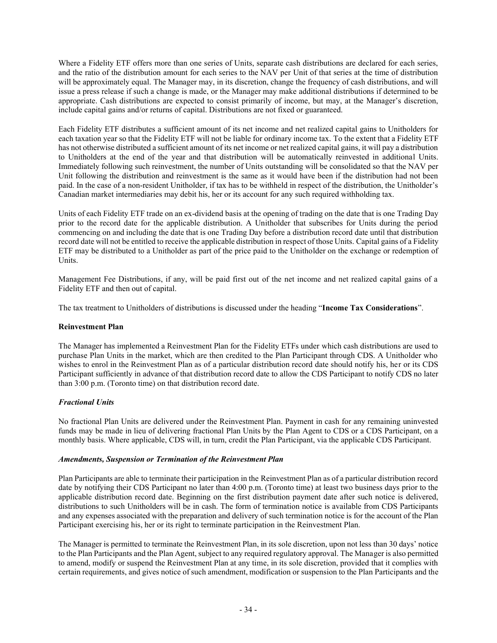Where a Fidelity ETF offers more than one series of Units, separate cash distributions are declared for each series, and the ratio of the distribution amount for each series to the NAV per Unit of that series at the time of distribution will be approximately equal. The Manager may, in its discretion, change the frequency of cash distributions, and will issue a press release if such a change is made, or the Manager may make additional distributions if determined to be appropriate. Cash distributions are expected to consist primarily of income, but may, at the Manager's discretion, include capital gains and/or returns of capital. Distributions are not fixed or guaranteed.

Each Fidelity ETF distributes a sufficient amount of its net income and net realized capital gains to Unitholders for each taxation year so that the Fidelity ETF will not be liable for ordinary income tax. To the extent that a Fidelity ETF has not otherwise distributed a sufficient amount of its net income or net realized capital gains, it will pay a distribution to Unitholders at the end of the year and that distribution will be automatically reinvested in additional Units. Immediately following such reinvestment, the number of Units outstanding will be consolidated so that the NAV per Unit following the distribution and reinvestment is the same as it would have been if the distribution had not been paid. In the case of a non-resident Unitholder, if tax has to be withheld in respect of the distribution, the Unitholder's Canadian market intermediaries may debit his, her or its account for any such required withholding tax.

Units of each Fidelity ETF trade on an ex-dividend basis at the opening of trading on the date that is one Trading Day prior to the record date for the applicable distribution. A Unitholder that subscribes for Units during the period commencing on and including the date that is one Trading Day before a distribution record date until that distribution record date will not be entitled to receive the applicable distribution in respect of those Units. Capital gains of a Fidelity ETF may be distributed to a Unitholder as part of the price paid to the Unitholder on the exchange or redemption of Units.

Management Fee Distributions, if any, will be paid first out of the net income and net realized capital gains of a Fidelity ETF and then out of capital.

The tax treatment to Unitholders of distributions is discussed under the heading "**[Income Tax Considerations](#page-42-0)**".

### **Reinvestment Plan**

The Manager has implemented a Reinvestment Plan for the Fidelity ETFs under which cash distributions are used to purchase Plan Units in the market, which are then credited to the Plan Participant through CDS. A Unitholder who wishes to enrol in the Reinvestment Plan as of a particular distribution record date should notify his, her or its CDS Participant sufficiently in advance of that distribution record date to allow the CDS Participant to notify CDS no later than 3:00 p.m. (Toronto time) on that distribution record date.

### *Fractional Units*

No fractional Plan Units are delivered under the Reinvestment Plan. Payment in cash for any remaining uninvested funds may be made in lieu of delivering fractional Plan Units by the Plan Agent to CDS or a CDS Participant, on a monthly basis. Where applicable, CDS will, in turn, credit the Plan Participant, via the applicable CDS Participant.

### *Amendments, Suspension or Termination of the Reinvestment Plan*

Plan Participants are able to terminate their participation in the Reinvestment Plan as of a particular distribution record date by notifying their CDS Participant no later than 4:00 p.m. (Toronto time) at least two business days prior to the applicable distribution record date. Beginning on the first distribution payment date after such notice is delivered, distributions to such Unitholders will be in cash. The form of termination notice is available from CDS Participants and any expenses associated with the preparation and delivery of such termination notice is for the account of the Plan Participant exercising his, her or its right to terminate participation in the Reinvestment Plan.

The Manager is permitted to terminate the Reinvestment Plan, in its sole discretion, upon not less than 30 days' notice to the Plan Participants and the Plan Agent, subject to any required regulatory approval. The Manager is also permitted to amend, modify or suspend the Reinvestment Plan at any time, in its sole discretion, provided that it complies with certain requirements, and gives notice of such amendment, modification or suspension to the Plan Participants and the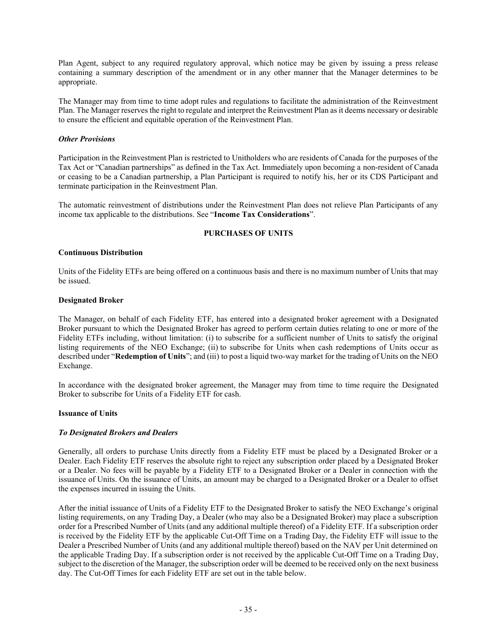Plan Agent, subject to any required regulatory approval, which notice may be given by issuing a press release containing a summary description of the amendment or in any other manner that the Manager determines to be appropriate.

The Manager may from time to time adopt rules and regulations to facilitate the administration of the Reinvestment Plan. The Manager reserves the right to regulate and interpret the Reinvestment Plan as it deems necessary or desirable to ensure the efficient and equitable operation of the Reinvestment Plan.

### *Other Provisions*

Participation in the Reinvestment Plan is restricted to Unitholders who are residents of Canada for the purposes of the Tax Act or "Canadian partnerships" as defined in the Tax Act. Immediately upon becoming a non-resident of Canada or ceasing to be a Canadian partnership, a Plan Participant is required to notify his, her or its CDS Participant and terminate participation in the Reinvestment Plan.

The automatic reinvestment of distributions under the Reinvestment Plan does not relieve Plan Participants of any income tax applicable to the distributions. See "**[Income Tax Considerations](#page-42-0)**".

### **PURCHASES OF UNITS**

### <span id="page-37-0"></span>**Continuous Distribution**

Units of the Fidelity ETFs are being offered on a continuous basis and there is no maximum number of Units that may be issued.

#### **Designated Broker**

The Manager, on behalf of each Fidelity ETF, has entered into a designated broker agreement with a Designated Broker pursuant to which the Designated Broker has agreed to perform certain duties relating to one or more of the Fidelity ETFs including, without limitation: (i) to subscribe for a sufficient number of Units to satisfy the original listing requirements of the NEO Exchange; (ii) to subscribe for Units when cash redemptions of Units occur as described under "**Redemption of Units**"; and (iii) to post a liquid two-way market for the trading of Units on the NEO Exchange.

In accordance with the designated broker agreement, the Manager may from time to time require the Designated Broker to subscribe for Units of a Fidelity ETF for cash.

#### <span id="page-37-1"></span>**Issuance of Units**

#### *To Designated Brokers and Dealers*

Generally, all orders to purchase Units directly from a Fidelity ETF must be placed by a Designated Broker or a Dealer. Each Fidelity ETF reserves the absolute right to reject any subscription order placed by a Designated Broker or a Dealer. No fees will be payable by a Fidelity ETF to a Designated Broker or a Dealer in connection with the issuance of Units. On the issuance of Units, an amount may be charged to a Designated Broker or a Dealer to offset the expenses incurred in issuing the Units.

After the initial issuance of Units of a Fidelity ETF to the Designated Broker to satisfy the NEO Exchange's original listing requirements, on any Trading Day, a Dealer (who may also be a Designated Broker) may place a subscription order for a Prescribed Number of Units (and any additional multiple thereof) of a Fidelity ETF. If a subscription order is received by the Fidelity ETF by the applicable Cut-Off Time on a Trading Day, the Fidelity ETF will issue to the Dealer a Prescribed Number of Units (and any additional multiple thereof) based on the NAV per Unit determined on the applicable Trading Day. If a subscription order is not received by the applicable Cut-Off Time on a Trading Day, subject to the discretion of the Manager, the subscription order will be deemed to be received only on the next business day. The Cut-Off Times for each Fidelity ETF are set out in the table below.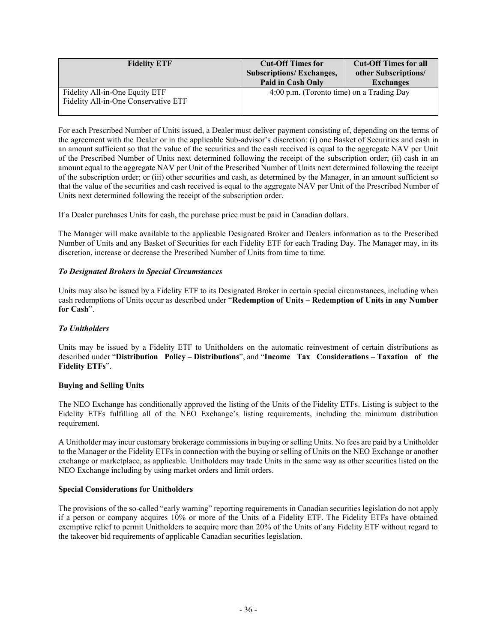| <b>Fidelity ETF</b>                  | <b>Cut-Off Times for</b><br><b>Subscriptions/Exchanges,</b> | <b>Cut-Off Times for all</b><br>other Subscriptions/ |
|--------------------------------------|-------------------------------------------------------------|------------------------------------------------------|
|                                      | Paid in Cash Only                                           | <b>Exchanges</b>                                     |
| Fidelity All-in-One Equity ETF       | 4:00 p.m. (Toronto time) on a Trading Day                   |                                                      |
| Fidelity All-in-One Conservative ETF |                                                             |                                                      |
|                                      |                                                             |                                                      |

For each Prescribed Number of Units issued, a Dealer must deliver payment consisting of, depending on the terms of the agreement with the Dealer or in the applicable Sub-advisor's discretion: (i) one Basket of Securities and cash in an amount sufficient so that the value of the securities and the cash received is equal to the aggregate NAV per Unit of the Prescribed Number of Units next determined following the receipt of the subscription order; (ii) cash in an amount equal to the aggregate NAV per Unit of the Prescribed Number of Units next determined following the receipt of the subscription order; or (iii) other securities and cash, as determined by the Manager, in an amount sufficient so that the value of the securities and cash received is equal to the aggregate NAV per Unit of the Prescribed Number of Units next determined following the receipt of the subscription order.

If a Dealer purchases Units for cash, the purchase price must be paid in Canadian dollars.

The Manager will make available to the applicable Designated Broker and Dealers information as to the Prescribed Number of Units and any Basket of Securities for each Fidelity ETF for each Trading Day. The Manager may, in its discretion, increase or decrease the Prescribed Number of Units from time to time.

### *To Designated Brokers in Special Circumstances*

Units may also be issued by a Fidelity ETF to its Designated Broker in certain special circumstances, including when cash redemptions of Units occur as described under "**[Redemption](#page-40-0) of Units – Redemption of Units in any Number for Cash**".

## *To Unitholders*

Units may be issued by a Fidelity ETF to Unitholders on the automatic reinvestment of certain distributions as described under "**[Distribution Policy](#page-35-0) – [Distributions](#page-35-1)**", and "**[Income Tax Considerations](#page-42-0) – [Taxation of the](#page-42-1)  [Fidelity ETFs](#page-42-1)**".

### **Buying and Selling Units**

The NEO Exchange has conditionally approved the listing of the Units of the Fidelity ETFs. Listing is subject to the Fidelity ETFs fulfilling all of the NEO Exchange's listing requirements, including the minimum distribution requirement.

A Unitholder may incur customary brokerage commissions in buying or selling Units. No fees are paid by a Unitholder to the Manager or the Fidelity ETFs in connection with the buying or selling of Units on the NEO Exchange or another exchange or marketplace, as applicable. Unitholders may trade Units in the same way as other securities listed on the NEO Exchange including by using market orders and limit orders.

### **Special Considerations for Unitholders**

The provisions of the so-called "early warning" reporting requirements in Canadian securities legislation do not apply if a person or company acquires 10% or more of the Units of a Fidelity ETF. The Fidelity ETFs have obtained exemptive relief to permit Unitholders to acquire more than 20% of the Units of any Fidelity ETF without regard to the takeover bid requirements of applicable Canadian securities legislation.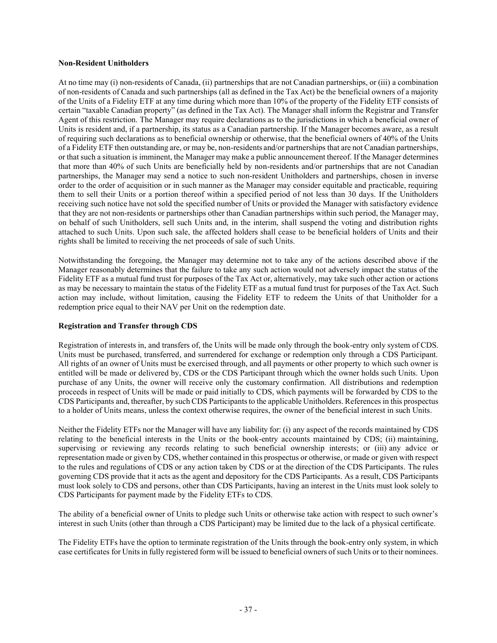#### **Non-Resident Unitholders**

At no time may (i) non-residents of Canada, (ii) partnerships that are not Canadian partnerships, or (iii) a combination of non-residents of Canada and such partnerships (all as defined in the Tax Act) be the beneficial owners of a majority of the Units of a Fidelity ETF at any time during which more than 10% of the property of the Fidelity ETF consists of certain "taxable Canadian property" (as defined in the Tax Act). The Manager shall inform the Registrar and Transfer Agent of this restriction. The Manager may require declarations as to the jurisdictions in which a beneficial owner of Units is resident and, if a partnership, its status as a Canadian partnership. If the Manager becomes aware, as a result of requiring such declarations as to beneficial ownership or otherwise, that the beneficial owners of 40% of the Units of a Fidelity ETF then outstanding are, or may be, non-residents and/or partnerships that are not Canadian partnerships, or that such a situation is imminent, the Manager may make a public announcement thereof. If the Manager determines that more than 40% of such Units are beneficially held by non-residents and/or partnerships that are not Canadian partnerships, the Manager may send a notice to such non-resident Unitholders and partnerships, chosen in inverse order to the order of acquisition or in such manner as the Manager may consider equitable and practicable, requiring them to sell their Units or a portion thereof within a specified period of not less than 30 days. If the Unitholders receiving such notice have not sold the specified number of Units or provided the Manager with satisfactory evidence that they are not non-residents or partnerships other than Canadian partnerships within such period, the Manager may, on behalf of such Unitholders, sell such Units and, in the interim, shall suspend the voting and distribution rights attached to such Units. Upon such sale, the affected holders shall cease to be beneficial holders of Units and their rights shall be limited to receiving the net proceeds of sale of such Units.

Notwithstanding the foregoing, the Manager may determine not to take any of the actions described above if the Manager reasonably determines that the failure to take any such action would not adversely impact the status of the Fidelity ETF as a mutual fund trust for purposes of the Tax Act or, alternatively, may take such other action or actions as may be necessary to maintain the status of the Fidelity ETF as a mutual fund trust for purposes of the Tax Act. Such action may include, without limitation, causing the Fidelity ETF to redeem the Units of that Unitholder for a redemption price equal to their NAV per Unit on the redemption date.

### **Registration and Transfer through CDS**

Registration of interests in, and transfers of, the Units will be made only through the book-entry only system of CDS. Units must be purchased, transferred, and surrendered for exchange or redemption only through a CDS Participant. All rights of an owner of Units must be exercised through, and all payments or other property to which such owner is entitled will be made or delivered by, CDS or the CDS Participant through which the owner holds such Units. Upon purchase of any Units, the owner will receive only the customary confirmation. All distributions and redemption proceeds in respect of Units will be made or paid initially to CDS, which payments will be forwarded by CDS to the CDS Participants and, thereafter, by such CDS Participants to the applicable Unitholders. References in this prospectus to a holder of Units means, unless the context otherwise requires, the owner of the beneficial interest in such Units.

Neither the Fidelity ETFs nor the Manager will have any liability for: (i) any aspect of the records maintained by CDS relating to the beneficial interests in the Units or the book-entry accounts maintained by CDS; (ii) maintaining, supervising or reviewing any records relating to such beneficial ownership interests; or (iii) any advice or representation made or given by CDS, whether contained in this prospectus or otherwise, or made or given with respect to the rules and regulations of CDS or any action taken by CDS or at the direction of the CDS Participants. The rules governing CDS provide that it acts as the agent and depository for the CDS Participants. As a result, CDS Participants must look solely to CDS and persons, other than CDS Participants, having an interest in the Units must look solely to CDS Participants for payment made by the Fidelity ETFs to CDS.

The ability of a beneficial owner of Units to pledge such Units or otherwise take action with respect to such owner's interest in such Units (other than through a CDS Participant) may be limited due to the lack of a physical certificate.

The Fidelity ETFs have the option to terminate registration of the Units through the book-entry only system, in which case certificates for Units in fully registered form will be issued to beneficial owners of such Units or to their nominees.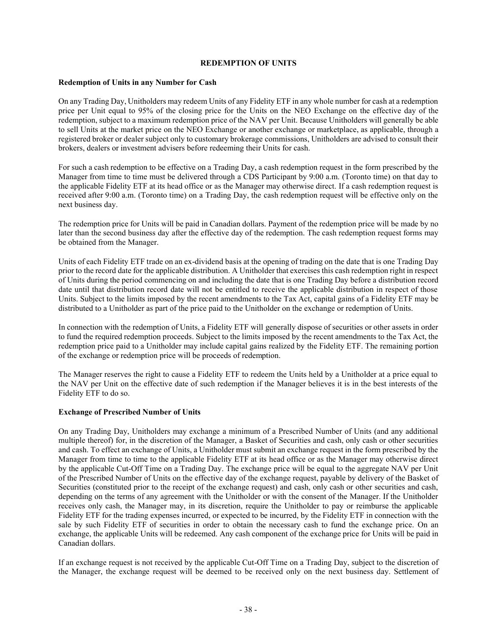### <span id="page-40-2"></span>**REDEMPTION OF UNITS**

#### <span id="page-40-0"></span>**Redemption of Units in any Number for Cash**

On any Trading Day, Unitholders may redeem Units of any Fidelity ETF in any whole number for cash at a redemption price per Unit equal to 95% of the closing price for the Units on the NEO Exchange on the effective day of the redemption, subject to a maximum redemption price of the NAV per Unit. Because Unitholders will generally be able to sell Units at the market price on the NEO Exchange or another exchange or marketplace, as applicable, through a registered broker or dealer subject only to customary brokerage commissions, Unitholders are advised to consult their brokers, dealers or investment advisers before redeeming their Units for cash.

For such a cash redemption to be effective on a Trading Day, a cash redemption request in the form prescribed by the Manager from time to time must be delivered through a CDS Participant by 9:00 a.m. (Toronto time) on that day to the applicable Fidelity ETF at its head office or as the Manager may otherwise direct. If a cash redemption request is received after 9:00 a.m. (Toronto time) on a Trading Day, the cash redemption request will be effective only on the next business day.

The redemption price for Units will be paid in Canadian dollars. Payment of the redemption price will be made by no later than the second business day after the effective day of the redemption. The cash redemption request forms may be obtained from the Manager.

Units of each Fidelity ETF trade on an ex-dividend basis at the opening of trading on the date that is one Trading Day prior to the record date for the applicable distribution. A Unitholder that exercises this cash redemption right in respect of Units during the period commencing on and including the date that is one Trading Day before a distribution record date until that distribution record date will not be entitled to receive the applicable distribution in respect of those Units. Subject to the limits imposed by the recent amendments to the Tax Act, capital gains of a Fidelity ETF may be distributed to a Unitholder as part of the price paid to the Unitholder on the exchange or redemption of Units.

In connection with the redemption of Units, a Fidelity ETF will generally dispose of securities or other assets in order to fund the required redemption proceeds. Subject to the limits imposed by the recent amendments to the Tax Act, the redemption price paid to a Unitholder may include capital gains realized by the Fidelity ETF. The remaining portion of the exchange or redemption price will be proceeds of redemption.

The Manager reserves the right to cause a Fidelity ETF to redeem the Units held by a Unitholder at a price equal to the NAV per Unit on the effective date of such redemption if the Manager believes it is in the best interests of the Fidelity ETF to do so.

### <span id="page-40-1"></span>**Exchange of Prescribed Number of Units**

On any Trading Day, Unitholders may exchange a minimum of a Prescribed Number of Units (and any additional multiple thereof) for, in the discretion of the Manager, a Basket of Securities and cash, only cash or other securities and cash. To effect an exchange of Units, a Unitholder must submit an exchange request in the form prescribed by the Manager from time to time to the applicable Fidelity ETF at its head office or as the Manager may otherwise direct by the applicable Cut-Off Time on a Trading Day. The exchange price will be equal to the aggregate NAV per Unit of the Prescribed Number of Units on the effective day of the exchange request, payable by delivery of the Basket of Securities (constituted prior to the receipt of the exchange request) and cash, only cash or other securities and cash, depending on the terms of any agreement with the Unitholder or with the consent of the Manager. If the Unitholder receives only cash, the Manager may, in its discretion, require the Unitholder to pay or reimburse the applicable Fidelity ETF for the trading expenses incurred, or expected to be incurred, by the Fidelity ETF in connection with the sale by such Fidelity ETF of securities in order to obtain the necessary cash to fund the exchange price. On an exchange, the applicable Units will be redeemed. Any cash component of the exchange price for Units will be paid in Canadian dollars.

If an exchange request is not received by the applicable Cut-Off Time on a Trading Day, subject to the discretion of the Manager, the exchange request will be deemed to be received only on the next business day. Settlement of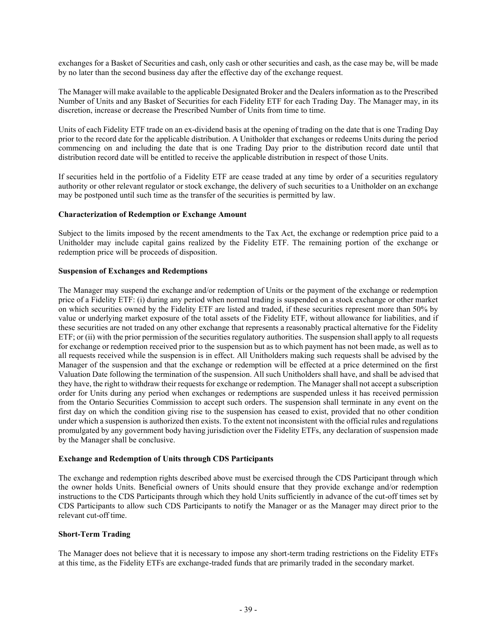exchanges for a Basket of Securities and cash, only cash or other securities and cash, as the case may be, will be made by no later than the second business day after the effective day of the exchange request.

The Manager will make available to the applicable Designated Broker and the Dealers information as to the Prescribed Number of Units and any Basket of Securities for each Fidelity ETF for each Trading Day. The Manager may, in its discretion, increase or decrease the Prescribed Number of Units from time to time.

Units of each Fidelity ETF trade on an ex-dividend basis at the opening of trading on the date that is one Trading Day prior to the record date for the applicable distribution. A Unitholder that exchanges or redeems Units during the period commencing on and including the date that is one Trading Day prior to the distribution record date until that distribution record date will be entitled to receive the applicable distribution in respect of those Units.

If securities held in the portfolio of a Fidelity ETF are cease traded at any time by order of a securities regulatory authority or other relevant regulator or stock exchange, the delivery of such securities to a Unitholder on an exchange may be postponed until such time as the transfer of the securities is permitted by law.

### **Characterization of Redemption or Exchange Amount**

Subject to the limits imposed by the recent amendments to the Tax Act, the exchange or redemption price paid to a Unitholder may include capital gains realized by the Fidelity ETF. The remaining portion of the exchange or redemption price will be proceeds of disposition.

### <span id="page-41-0"></span>**Suspension of Exchanges and Redemptions**

The Manager may suspend the exchange and/or redemption of Units or the payment of the exchange or redemption price of a Fidelity ETF: (i) during any period when normal trading is suspended on a stock exchange or other market on which securities owned by the Fidelity ETF are listed and traded, if these securities represent more than 50% by value or underlying market exposure of the total assets of the Fidelity ETF, without allowance for liabilities, and if these securities are not traded on any other exchange that represents a reasonably practical alternative for the Fidelity ETF; or (ii) with the prior permission of the securities regulatory authorities. The suspension shall apply to all requests for exchange or redemption received prior to the suspension but as to which payment has not been made, as well as to all requests received while the suspension is in effect. All Unitholders making such requests shall be advised by the Manager of the suspension and that the exchange or redemption will be effected at a price determined on the first Valuation Date following the termination of the suspension. All such Unitholders shall have, and shall be advised that they have, the right to withdraw their requests for exchange or redemption. The Manager shall not accept a subscription order for Units during any period when exchanges or redemptions are suspended unless it has received permission from the Ontario Securities Commission to accept such orders. The suspension shall terminate in any event on the first day on which the condition giving rise to the suspension has ceased to exist, provided that no other condition under which a suspension is authorized then exists. To the extent not inconsistent with the official rules and regulations promulgated by any government body having jurisdiction over the Fidelity ETFs, any declaration of suspension made by the Manager shall be conclusive.

#### **Exchange and Redemption of Units through CDS Participants**

The exchange and redemption rights described above must be exercised through the CDS Participant through which the owner holds Units. Beneficial owners of Units should ensure that they provide exchange and/or redemption instructions to the CDS Participants through which they hold Units sufficiently in advance of the cut-off times set by CDS Participants to allow such CDS Participants to notify the Manager or as the Manager may direct prior to the relevant cut-off time.

### **Short-Term Trading**

The Manager does not believe that it is necessary to impose any short-term trading restrictions on the Fidelity ETFs at this time, as the Fidelity ETFs are exchange-traded funds that are primarily traded in the secondary market.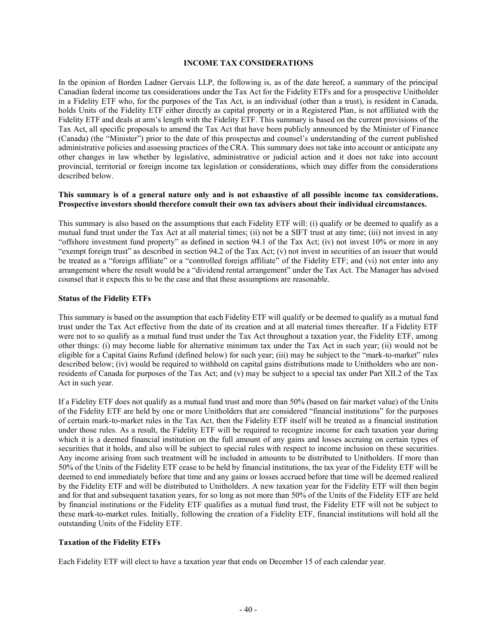### **INCOME TAX CONSIDERATIONS**

<span id="page-42-0"></span>In the opinion of Borden Ladner Gervais LLP, the following is, as of the date hereof, a summary of the principal Canadian federal income tax considerations under the Tax Act for the Fidelity ETFs and for a prospective Unitholder in a Fidelity ETF who, for the purposes of the Tax Act, is an individual (other than a trust), is resident in Canada, holds Units of the Fidelity ETF either directly as capital property or in a Registered Plan, is not affiliated with the Fidelity ETF and deals at arm's length with the Fidelity ETF. This summary is based on the current provisions of the Tax Act, all specific proposals to amend the Tax Act that have been publicly announced by the Minister of Finance (Canada) (the "Minister") prior to the date of this prospectus and counsel's understanding of the current published administrative policies and assessing practices of the CRA. This summary does not take into account or anticipate any other changes in law whether by legislative, administrative or judicial action and it does not take into account provincial, territorial or foreign income tax legislation or considerations, which may differ from the considerations described below.

### **This summary is of a general nature only and is not exhaustive of all possible income tax considerations. Prospective investors should therefore consult their own tax advisers about their individual circumstances.**

This summary is also based on the assumptions that each Fidelity ETF will: (i) qualify or be deemed to qualify as a mutual fund trust under the Tax Act at all material times; (ii) not be a SIFT trust at any time; (iii) not invest in any "offshore investment fund property" as defined in section 94.1 of the Tax Act; (iv) not invest 10% or more in any "exempt foreign trust" as described in section 94.2 of the Tax Act; (v) not invest in securities of an issuer that would be treated as a "foreign affiliate" or a "controlled foreign affiliate" of the Fidelity ETF; and (vi) not enter into any arrangement where the result would be a "dividend rental arrangement" under the Tax Act. The Manager has advised counsel that it expects this to be the case and that these assumptions are reasonable.

#### **Status of the Fidelity ETFs**

This summary is based on the assumption that each Fidelity ETF will qualify or be deemed to qualify as a mutual fund trust under the Tax Act effective from the date of its creation and at all material times thereafter. If a Fidelity ETF were not to so qualify as a mutual fund trust under the Tax Act throughout a taxation year, the Fidelity ETF, among other things: (i) may become liable for alternative minimum tax under the Tax Act in such year; (ii) would not be eligible for a Capital Gains Refund (defined below) for such year; (iii) may be subject to the "mark-to-market" rules described below; (iv) would be required to withhold on capital gains distributions made to Unitholders who are nonresidents of Canada for purposes of the Tax Act; and (v) may be subject to a special tax under Part XII.2 of the Tax Act in such year.

If a Fidelity ETF does not qualify as a mutual fund trust and more than 50% (based on fair market value) of the Units of the Fidelity ETF are held by one or more Unitholders that are considered "financial institutions" for the purposes of certain mark-to-market rules in the Tax Act, then the Fidelity ETF itself will be treated as a financial institution under those rules. As a result, the Fidelity ETF will be required to recognize income for each taxation year during which it is a deemed financial institution on the full amount of any gains and losses accruing on certain types of securities that it holds, and also will be subject to special rules with respect to income inclusion on these securities. Any income arising from such treatment will be included in amounts to be distributed to Unitholders. If more than 50% of the Units of the Fidelity ETF cease to be held by financial institutions, the tax year of the Fidelity ETF will be deemed to end immediately before that time and any gains or losses accrued before that time will be deemed realized by the Fidelity ETF and will be distributed to Unitholders. A new taxation year for the Fidelity ETF will then begin and for that and subsequent taxation years, for so long as not more than 50% of the Units of the Fidelity ETF are held by financial institutions or the Fidelity ETF qualifies as a mutual fund trust, the Fidelity ETF will not be subject to these mark-to-market rules. Initially, following the creation of a Fidelity ETF, financial institutions will hold all the outstanding Units of the Fidelity ETF.

### <span id="page-42-1"></span>**Taxation of the Fidelity ETFs**

Each Fidelity ETF will elect to have a taxation year that ends on December 15 of each calendar year.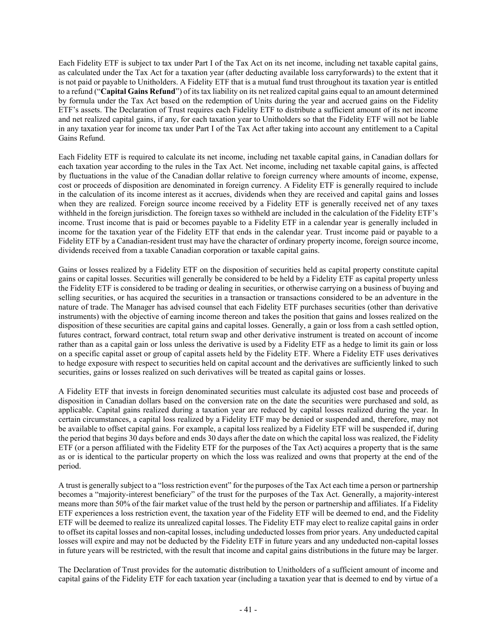Each Fidelity ETF is subject to tax under Part I of the Tax Act on its net income, including net taxable capital gains, as calculated under the Tax Act for a taxation year (after deducting available loss carryforwards) to the extent that it is not paid or payable to Unitholders. A Fidelity ETF that is a mutual fund trust throughout its taxation year is entitled to a refund ("**Capital Gains Refund**") of its tax liability on its net realized capital gains equal to an amount determined by formula under the Tax Act based on the redemption of Units during the year and accrued gains on the Fidelity ETF's assets. The Declaration of Trust requires each Fidelity ETF to distribute a sufficient amount of its net income and net realized capital gains, if any, for each taxation year to Unitholders so that the Fidelity ETF will not be liable in any taxation year for income tax under Part I of the Tax Act after taking into account any entitlement to a Capital Gains Refund.

Each Fidelity ETF is required to calculate its net income, including net taxable capital gains, in Canadian dollars for each taxation year according to the rules in the Tax Act. Net income, including net taxable capital gains, is affected by fluctuations in the value of the Canadian dollar relative to foreign currency where amounts of income, expense, cost or proceeds of disposition are denominated in foreign currency. A Fidelity ETF is generally required to include in the calculation of its income interest as it accrues, dividends when they are received and capital gains and losses when they are realized. Foreign source income received by a Fidelity ETF is generally received net of any taxes withheld in the foreign jurisdiction. The foreign taxes so withheld are included in the calculation of the Fidelity ETF's income. Trust income that is paid or becomes payable to a Fidelity ETF in a calendar year is generally included in income for the taxation year of the Fidelity ETF that ends in the calendar year. Trust income paid or payable to a Fidelity ETF by a Canadian-resident trust may have the character of ordinary property income, foreign source income, dividends received from a taxable Canadian corporation or taxable capital gains.

Gains or losses realized by a Fidelity ETF on the disposition of securities held as capital property constitute capital gains or capital losses. Securities will generally be considered to be held by a Fidelity ETF as capital property unless the Fidelity ETF is considered to be trading or dealing in securities, or otherwise carrying on a business of buying and selling securities, or has acquired the securities in a transaction or transactions considered to be an adventure in the nature of trade. The Manager has advised counsel that each Fidelity ETF purchases securities (other than derivative instruments) with the objective of earning income thereon and takes the position that gains and losses realized on the disposition of these securities are capital gains and capital losses. Generally, a gain or loss from a cash settled option, futures contract, forward contract, total return swap and other derivative instrument is treated on account of income rather than as a capital gain or loss unless the derivative is used by a Fidelity ETF as a hedge to limit its gain or loss on a specific capital asset or group of capital assets held by the Fidelity ETF. Where a Fidelity ETF uses derivatives to hedge exposure with respect to securities held on capital account and the derivatives are sufficiently linked to such securities, gains or losses realized on such derivatives will be treated as capital gains or losses.

A Fidelity ETF that invests in foreign denominated securities must calculate its adjusted cost base and proceeds of disposition in Canadian dollars based on the conversion rate on the date the securities were purchased and sold, as applicable. Capital gains realized during a taxation year are reduced by capital losses realized during the year. In certain circumstances, a capital loss realized by a Fidelity ETF may be denied or suspended and, therefore, may not be available to offset capital gains. For example, a capital loss realized by a Fidelity ETF will be suspended if, during the period that begins 30 days before and ends 30 days after the date on which the capital loss was realized, the Fidelity ETF (or a person affiliated with the Fidelity ETF for the purposes of the Tax Act) acquires a property that is the same as or is identical to the particular property on which the loss was realized and owns that property at the end of the period.

A trust is generally subject to a "loss restriction event" for the purposes of the Tax Act each time a person or partnership becomes a "majority-interest beneficiary" of the trust for the purposes of the Tax Act. Generally, a majority-interest means more than 50% of the fair market value of the trust held by the person or partnership and affiliates. If a Fidelity ETF experiences a loss restriction event, the taxation year of the Fidelity ETF will be deemed to end, and the Fidelity ETF will be deemed to realize its unrealized capital losses. The Fidelity ETF may elect to realize capital gains in order to offset its capital losses and non-capital losses, including undeducted losses from prior years. Any undeducted capital losses will expire and may not be deducted by the Fidelity ETF in future years and any undeducted non-capital losses in future years will be restricted, with the result that income and capital gains distributions in the future may be larger.

The Declaration of Trust provides for the automatic distribution to Unitholders of a sufficient amount of income and capital gains of the Fidelity ETF for each taxation year (including a taxation year that is deemed to end by virtue of a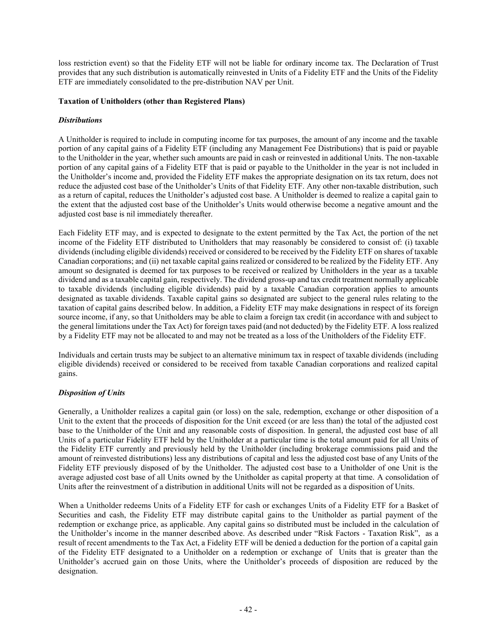loss restriction event) so that the Fidelity ETF will not be liable for ordinary income tax. The Declaration of Trust provides that any such distribution is automatically reinvested in Units of a Fidelity ETF and the Units of the Fidelity ETF are immediately consolidated to the pre-distribution NAV per Unit.

## **Taxation of Unitholders (other than Registered Plans)**

## *Distributions*

A Unitholder is required to include in computing income for tax purposes, the amount of any income and the taxable portion of any capital gains of a Fidelity ETF (including any Management Fee Distributions) that is paid or payable to the Unitholder in the year, whether such amounts are paid in cash or reinvested in additional Units. The non-taxable portion of any capital gains of a Fidelity ETF that is paid or payable to the Unitholder in the year is not included in the Unitholder's income and, provided the Fidelity ETF makes the appropriate designation on its tax return, does not reduce the adjusted cost base of the Unitholder's Units of that Fidelity ETF. Any other non-taxable distribution, such as a return of capital, reduces the Unitholder's adjusted cost base. A Unitholder is deemed to realize a capital gain to the extent that the adjusted cost base of the Unitholder's Units would otherwise become a negative amount and the adjusted cost base is nil immediately thereafter.

Each Fidelity ETF may, and is expected to designate to the extent permitted by the Tax Act, the portion of the net income of the Fidelity ETF distributed to Unitholders that may reasonably be considered to consist of: (i) taxable dividends (including eligible dividends) received or considered to be received by the Fidelity ETF on shares of taxable Canadian corporations; and (ii) net taxable capital gains realized or considered to be realized by the Fidelity ETF. Any amount so designated is deemed for tax purposes to be received or realized by Unitholders in the year as a taxable dividend and as a taxable capital gain, respectively. The dividend gross-up and tax credit treatment normally applicable to taxable dividends (including eligible dividends) paid by a taxable Canadian corporation applies to amounts designated as taxable dividends. Taxable capital gains so designated are subject to the general rules relating to the taxation of capital gains described below. In addition, a Fidelity ETF may make designations in respect of its foreign source income, if any, so that Unitholders may be able to claim a foreign tax credit (in accordance with and subject to the general limitations under the Tax Act) for foreign taxes paid (and not deducted) by the Fidelity ETF. A loss realized by a Fidelity ETF may not be allocated to and may not be treated as a loss of the Unitholders of the Fidelity ETF.

Individuals and certain trusts may be subject to an alternative minimum tax in respect of taxable dividends (including eligible dividends) received or considered to be received from taxable Canadian corporations and realized capital gains.

### *Disposition of Units*

Generally, a Unitholder realizes a capital gain (or loss) on the sale, redemption, exchange or other disposition of a Unit to the extent that the proceeds of disposition for the Unit exceed (or are less than) the total of the adjusted cost base to the Unitholder of the Unit and any reasonable costs of disposition. In general, the adjusted cost base of all Units of a particular Fidelity ETF held by the Unitholder at a particular time is the total amount paid for all Units of the Fidelity ETF currently and previously held by the Unitholder (including brokerage commissions paid and the amount of reinvested distributions) less any distributions of capital and less the adjusted cost base of any Units of the Fidelity ETF previously disposed of by the Unitholder. The adjusted cost base to a Unitholder of one Unit is the average adjusted cost base of all Units owned by the Unitholder as capital property at that time. A consolidation of Units after the reinvestment of a distribution in additional Units will not be regarded as a disposition of Units.

When a Unitholder redeems Units of a Fidelity ETF for cash or exchanges Units of a Fidelity ETF for a Basket of Securities and cash, the Fidelity ETF may distribute capital gains to the Unitholder as partial payment of the redemption or exchange price, as applicable. Any capital gains so distributed must be included in the calculation of the Unitholder's income in the manner described above. As described under "Risk Factors - Taxation Risk", as a result of recent amendments to the Tax Act, a Fidelity ETF will be denied a deduction for the portion of a capital gain of the Fidelity ETF designated to a Unitholder on a redemption or exchange of Units that is greater than the Unitholder's accrued gain on those Units, where the Unitholder's proceeds of disposition are reduced by the designation.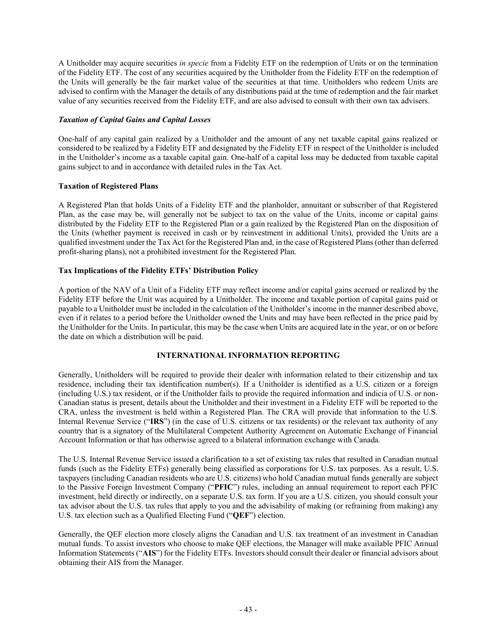A Unitholder may acquire securities *in specie* from a Fidelity ETF on the redemption of Units or on the termination of the Fidelity ETF. The cost of any securities acquired by the Unitholder from the Fidelity ETF on the redemption of the Units will generally be the fair market value of the securities at that time. Unitholders who redeem Units are advised to confirm with the Manager the details of any distributions paid at the time of redemption and the fair market value of any securities received from the Fidelity ETF, and are also advised to consult with their own tax advisers.

## *Taxation of Capital Gains and Capital Losses*

One-half of any capital gain realized by a Unitholder and the amount of any net taxable capital gains realized or considered to be realized by a Fidelity ETF and designated by the Fidelity ETF in respect of the Unitholder is included in the Unitholder's income as a taxable capital gain. One-half of a capital loss may be deducted from taxable capital gains subject to and in accordance with detailed rules in the Tax Act.

## **Taxation of Registered Plans**

A Registered Plan that holds Units of a Fidelity ETF and the planholder, annuitant or subscriber of that Registered Plan, as the case may be, will generally not be subject to tax on the value of the Units, income or capital gains distributed by the Fidelity ETF to the Registered Plan or a gain realized by the Registered Plan on the disposition of the Units (whether payment is received in cash or by reinvestment in additional Units), provided the Units are a qualified investment under the Tax Act for the Registered Plan and, in the case of Registered Plans (other than deferred profit-sharing plans), not a prohibited investment for the Registered Plan.

## **Tax Implications of the Fidelity ETFs' Distribution Policy**

A portion of the NAV of a Unit of a Fidelity ETF may reflect income and/or capital gains accrued or realized by the Fidelity ETF before the Unit was acquired by a Unitholder. The income and taxable portion of capital gains paid or payable to a Unitholder must be included in the calculation of the Unitholder's income in the manner described above, even if it relates to a period before the Unitholder owned the Units and may have been reflected in the price paid by the Unitholder for the Units. In particular, this may be the case when Units are acquired late in the year, or on or before the date on which a distribution will be paid.

### **INTERNATIONAL INFORMATION REPORTING**

Generally, Unitholders will be required to provide their dealer with information related to their citizenship and tax residence, including their tax identification number(s). If a Unitholder is identified as a U.S. citizen or a foreign (including U.S.) tax resident, or if the Unitholder fails to provide the required information and indicia of U.S. or non-Canadian status is present, details about the Unitholder and their investment in a Fidelity ETF will be reported to the CRA, unless the investment is held within a Registered Plan. The CRA will provide that information to the U.S. Internal Revenue Service ("**IRS**") (in the case of U.S. citizens or tax residents) or the relevant tax authority of any country that is a signatory of the Multilateral Competent Authority Agreement on Automatic Exchange of Financial Account Information or that has otherwise agreed to a bilateral information exchange with Canada.

The U.S. Internal Revenue Service issued a clarification to a set of existing tax rules that resulted in Canadian mutual funds (such as the Fidelity ETFs) generally being classified as corporations for U.S. tax purposes. As a result, U.S. taxpayers (including Canadian residents who are U.S. citizens) who hold Canadian mutual funds generally are subject to the Passive Foreign Investment Company ("**PFIC**") rules, including an annual requirement to report each PFIC investment, held directly or indirectly, on a separate U.S. tax form. If you are a U.S. citizen, you should consult your tax advisor about the U.S. tax rules that apply to you and the advisability of making (or refraining from making) any U.S. tax election such as a Qualified Electing Fund ("**QEF**") election.

Generally, the QEF election more closely aligns the Canadian and U.S. tax treatment of an investment in Canadian mutual funds. To assist investors who choose to make QEF elections, the Manager will make available PFIC Annual Information Statements ("**AIS**") for the Fidelity ETFs. Investors should consult their dealer or financial advisors about obtaining their AIS from the Manager.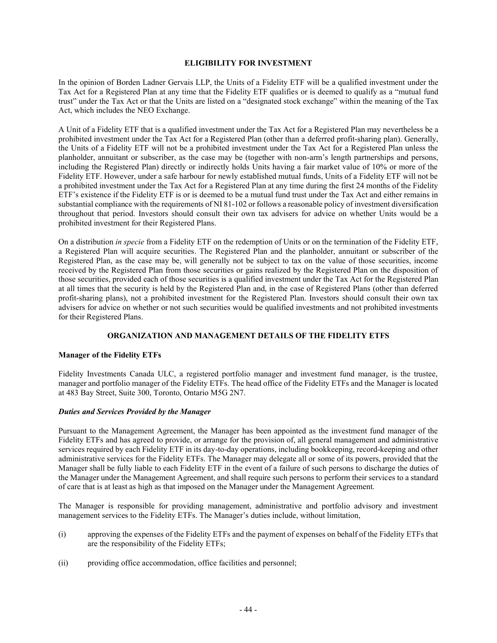### **ELIGIBILITY FOR INVESTMENT**

<span id="page-46-0"></span>In the opinion of Borden Ladner Gervais LLP, the Units of a Fidelity ETF will be a qualified investment under the Tax Act for a Registered Plan at any time that the Fidelity ETF qualifies or is deemed to qualify as a "mutual fund trust" under the Tax Act or that the Units are listed on a "designated stock exchange" within the meaning of the Tax Act, which includes the NEO Exchange.

A Unit of a Fidelity ETF that is a qualified investment under the Tax Act for a Registered Plan may nevertheless be a prohibited investment under the Tax Act for a Registered Plan (other than a deferred profit-sharing plan). Generally, the Units of a Fidelity ETF will not be a prohibited investment under the Tax Act for a Registered Plan unless the planholder, annuitant or subscriber, as the case may be (together with non-arm's length partnerships and persons, including the Registered Plan) directly or indirectly holds Units having a fair market value of 10% or more of the Fidelity ETF. However, under a safe harbour for newly established mutual funds, Units of a Fidelity ETF will not be a prohibited investment under the Tax Act for a Registered Plan at any time during the first 24 months of the Fidelity ETF's existence if the Fidelity ETF is or is deemed to be a mutual fund trust under the Tax Act and either remains in substantial compliance with the requirements of NI 81-102 or follows a reasonable policy of investment diversification throughout that period. Investors should consult their own tax advisers for advice on whether Units would be a prohibited investment for their Registered Plans.

On a distribution *in specie* from a Fidelity ETF on the redemption of Units or on the termination of the Fidelity ETF, a Registered Plan will acquire securities. The Registered Plan and the planholder, annuitant or subscriber of the Registered Plan, as the case may be, will generally not be subject to tax on the value of those securities, income received by the Registered Plan from those securities or gains realized by the Registered Plan on the disposition of those securities, provided each of those securities is a qualified investment under the Tax Act for the Registered Plan at all times that the security is held by the Registered Plan and, in the case of Registered Plans (other than deferred profit-sharing plans), not a prohibited investment for the Registered Plan. Investors should consult their own tax advisers for advice on whether or not such securities would be qualified investments and not prohibited investments for their Registered Plans.

# **ORGANIZATION AND MANAGEMENT DETAILS OF THE FIDELITY ETFS**

### **Manager of the Fidelity ETFs**

Fidelity Investments Canada ULC, a registered portfolio manager and investment fund manager, is the trustee, manager and portfolio manager of the Fidelity ETFs. The head office of the Fidelity ETFs and the Manager is located at 483 Bay Street, Suite 300, Toronto, Ontario M5G 2N7.

### *Duties and Services Provided by the Manager*

Pursuant to the Management Agreement, the Manager has been appointed as the investment fund manager of the Fidelity ETFs and has agreed to provide, or arrange for the provision of, all general management and administrative services required by each Fidelity ETF in its day-to-day operations, including bookkeeping, record-keeping and other administrative services for the Fidelity ETFs. The Manager may delegate all or some of its powers, provided that the Manager shall be fully liable to each Fidelity ETF in the event of a failure of such persons to discharge the duties of the Manager under the Management Agreement, and shall require such persons to perform their services to a standard of care that is at least as high as that imposed on the Manager under the Management Agreement.

The Manager is responsible for providing management, administrative and portfolio advisory and investment management services to the Fidelity ETFs. The Manager's duties include, without limitation,

- (i) approving the expenses of the Fidelity ETFs and the payment of expenses on behalf of the Fidelity ETFs that are the responsibility of the Fidelity ETFs;
- (ii) providing office accommodation, office facilities and personnel;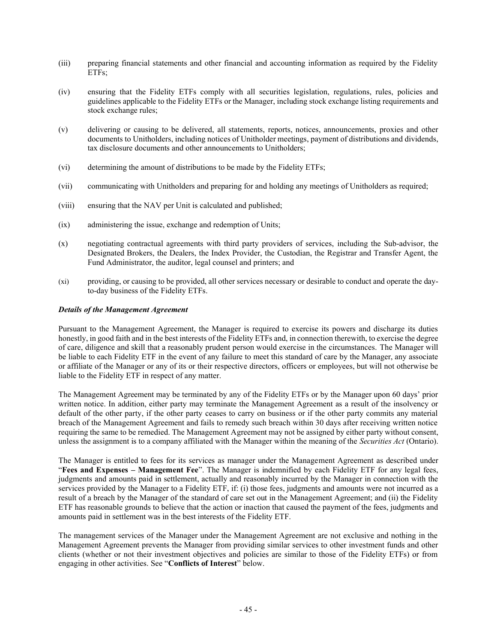- (iii) preparing financial statements and other financial and accounting information as required by the Fidelity ETFs;
- (iv) ensuring that the Fidelity ETFs comply with all securities legislation, regulations, rules, policies and guidelines applicable to the Fidelity ETFs or the Manager, including stock exchange listing requirements and stock exchange rules;
- (v) delivering or causing to be delivered, all statements, reports, notices, announcements, proxies and other documents to Unitholders, including notices of Unitholder meetings, payment of distributions and dividends, tax disclosure documents and other announcements to Unitholders;
- (vi) determining the amount of distributions to be made by the Fidelity ETFs;
- (vii) communicating with Unitholders and preparing for and holding any meetings of Unitholders as required;
- (viii) ensuring that the NAV per Unit is calculated and published;
- (ix) administering the issue, exchange and redemption of Units;
- (x) negotiating contractual agreements with third party providers of services, including the Sub-advisor, the Designated Brokers, the Dealers, the Index Provider, the Custodian, the Registrar and Transfer Agent, the Fund Administrator, the auditor, legal counsel and printers; and
- (xi) providing, or causing to be provided, all other services necessary or desirable to conduct and operate the dayto-day business of the Fidelity ETFs.

### *Details of the Management Agreement*

Pursuant to the Management Agreement, the Manager is required to exercise its powers and discharge its duties honestly, in good faith and in the best interests of the Fidelity ETFs and, in connection therewith, to exercise the degree of care, diligence and skill that a reasonably prudent person would exercise in the circumstances. The Manager will be liable to each Fidelity ETF in the event of any failure to meet this standard of care by the Manager, any associate or affiliate of the Manager or any of its or their respective directors, officers or employees, but will not otherwise be liable to the Fidelity ETF in respect of any matter.

The Management Agreement may be terminated by any of the Fidelity ETFs or by the Manager upon 60 days' prior written notice. In addition, either party may terminate the Management Agreement as a result of the insolvency or default of the other party, if the other party ceases to carry on business or if the other party commits any material breach of the Management Agreement and fails to remedy such breach within 30 days after receiving written notice requiring the same to be remedied. The Management Agreement may not be assigned by either party without consent, unless the assignment is to a company affiliated with the Manager within the meaning of the *Securities Act* (Ontario).

The Manager is entitled to fees for its services as manager under the Management Agreement as described under "**[Fees and Expenses](#page-20-0) – [Management Fee](#page-20-1)**". The Manager is indemnified by each Fidelity ETF for any legal fees, judgments and amounts paid in settlement, actually and reasonably incurred by the Manager in connection with the services provided by the Manager to a Fidelity ETF, if: (i) those fees, judgments and amounts were not incurred as a result of a breach by the Manager of the standard of care set out in the Management Agreement; and (ii) the Fidelity ETF has reasonable grounds to believe that the action or inaction that caused the payment of the fees, judgments and amounts paid in settlement was in the best interests of the Fidelity ETF.

The management services of the Manager under the Management Agreement are not exclusive and nothing in the Management Agreement prevents the Manager from providing similar services to other investment funds and other clients (whether or not their investment objectives and policies are similar to those of the Fidelity ETFs) or from engaging in other activities. See "**[Conflicts of Interest](#page-52-0)**" below.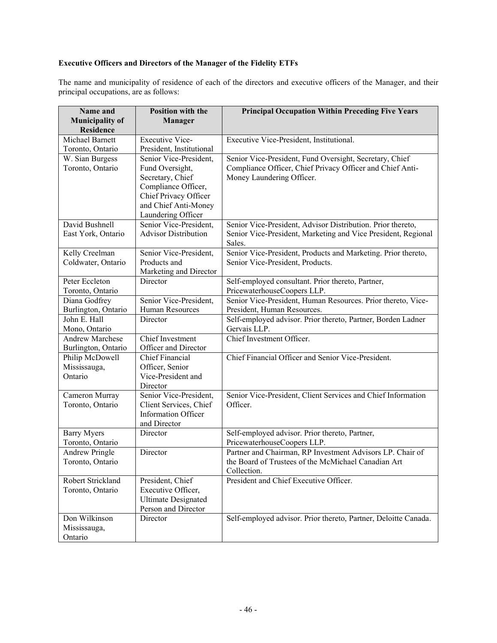# **Executive Officers and Directors of the Manager of the Fidelity ETFs**

The name and municipality of residence of each of the directors and executive officers of the Manager, and their principal occupations, are as follows:

| <b>Residence</b><br><b>Executive Vice-</b><br>Executive Vice-President, Institutional.<br>Michael Barnett<br>Toronto, Ontario<br>President, Institutional<br>Senior Vice-President, Fund Oversight, Secretary, Chief<br>Senior Vice-President.<br>W. Sian Burgess<br>Toronto, Ontario<br>Compliance Officer, Chief Privacy Officer and Chief Anti-<br>Fund Oversight,<br>Secretary, Chief<br>Money Laundering Officer.<br>Compliance Officer,<br>Chief Privacy Officer<br>and Chief Anti-Money<br>Laundering Officer<br>David Bushnell<br>Senior Vice-President,<br>Senior Vice-President, Advisor Distribution. Prior thereto,<br><b>Advisor Distribution</b><br>Senior Vice-President, Marketing and Vice President, Regional<br>East York, Ontario<br>Sales.<br>Senior Vice-President, Products and Marketing. Prior thereto,<br>Kelly Creelman<br>Senior Vice-President,<br>Coldwater, Ontario<br>Products and<br>Senior Vice-President, Products.<br>Marketing and Director<br>Peter Eccleton<br>Self-employed consultant. Prior thereto, Partner,<br>Director<br>PricewaterhouseCoopers LLP.<br>Toronto, Ontario<br>Diana Godfrey<br>Senior Vice-President,<br>Senior Vice-President, Human Resources. Prior thereto, Vice-<br>Burlington, Ontario<br>Human Resources<br>President, Human Resources.<br>John E. Hall<br>Self-employed advisor. Prior thereto, Partner, Borden Ladner<br>Director<br>Gervais LLP.<br>Mono, Ontario<br><b>Chief Investment</b><br>Chief Investment Officer.<br><b>Andrew Marchese</b><br>Officer and Director<br>Burlington, Ontario<br>Chief Financial Officer and Senior Vice-President.<br><b>Chief Financial</b><br>Philip McDowell<br>Mississauga,<br>Officer, Senior<br>Vice-President and<br>Ontario<br>Director<br>Senior Vice-President, Client Services and Chief Information<br>Cameron Murray<br>Senior Vice-President,<br>Toronto, Ontario<br>Client Services, Chief<br>Officer.<br><b>Information Officer</b><br>and Director<br>Self-employed advisor. Prior thereto, Partner,<br><b>Barry Myers</b><br>Director<br>PricewaterhouseCoopers LLP.<br>Toronto, Ontario<br>Partner and Chairman, RP Investment Advisors LP. Chair of<br><b>Andrew Pringle</b><br>Director<br>the Board of Trustees of the McMichael Canadian Art<br>Toronto, Ontario<br>Collection.<br>President and Chief Executive Officer.<br>Robert Strickland<br>President, Chief | Name and<br><b>Municipality of</b> | Position with the<br><b>Manager</b> | <b>Principal Occupation Within Preceding Five Years</b> |
|-------------------------------------------------------------------------------------------------------------------------------------------------------------------------------------------------------------------------------------------------------------------------------------------------------------------------------------------------------------------------------------------------------------------------------------------------------------------------------------------------------------------------------------------------------------------------------------------------------------------------------------------------------------------------------------------------------------------------------------------------------------------------------------------------------------------------------------------------------------------------------------------------------------------------------------------------------------------------------------------------------------------------------------------------------------------------------------------------------------------------------------------------------------------------------------------------------------------------------------------------------------------------------------------------------------------------------------------------------------------------------------------------------------------------------------------------------------------------------------------------------------------------------------------------------------------------------------------------------------------------------------------------------------------------------------------------------------------------------------------------------------------------------------------------------------------------------------------------------------------------------------------------------------------------------------------------------------------------------------------------------------------------------------------------------------------------------------------------------------------------------------------------------------------------------------------------------------------------------------------------------------------------------------------------------------------------------------------------------------------------------------------------------|------------------------------------|-------------------------------------|---------------------------------------------------------|
|                                                                                                                                                                                                                                                                                                                                                                                                                                                                                                                                                                                                                                                                                                                                                                                                                                                                                                                                                                                                                                                                                                                                                                                                                                                                                                                                                                                                                                                                                                                                                                                                                                                                                                                                                                                                                                                                                                                                                                                                                                                                                                                                                                                                                                                                                                                                                                                                       |                                    |                                     |                                                         |
|                                                                                                                                                                                                                                                                                                                                                                                                                                                                                                                                                                                                                                                                                                                                                                                                                                                                                                                                                                                                                                                                                                                                                                                                                                                                                                                                                                                                                                                                                                                                                                                                                                                                                                                                                                                                                                                                                                                                                                                                                                                                                                                                                                                                                                                                                                                                                                                                       |                                    |                                     |                                                         |
|                                                                                                                                                                                                                                                                                                                                                                                                                                                                                                                                                                                                                                                                                                                                                                                                                                                                                                                                                                                                                                                                                                                                                                                                                                                                                                                                                                                                                                                                                                                                                                                                                                                                                                                                                                                                                                                                                                                                                                                                                                                                                                                                                                                                                                                                                                                                                                                                       |                                    |                                     |                                                         |
|                                                                                                                                                                                                                                                                                                                                                                                                                                                                                                                                                                                                                                                                                                                                                                                                                                                                                                                                                                                                                                                                                                                                                                                                                                                                                                                                                                                                                                                                                                                                                                                                                                                                                                                                                                                                                                                                                                                                                                                                                                                                                                                                                                                                                                                                                                                                                                                                       |                                    |                                     |                                                         |
|                                                                                                                                                                                                                                                                                                                                                                                                                                                                                                                                                                                                                                                                                                                                                                                                                                                                                                                                                                                                                                                                                                                                                                                                                                                                                                                                                                                                                                                                                                                                                                                                                                                                                                                                                                                                                                                                                                                                                                                                                                                                                                                                                                                                                                                                                                                                                                                                       |                                    |                                     |                                                         |
|                                                                                                                                                                                                                                                                                                                                                                                                                                                                                                                                                                                                                                                                                                                                                                                                                                                                                                                                                                                                                                                                                                                                                                                                                                                                                                                                                                                                                                                                                                                                                                                                                                                                                                                                                                                                                                                                                                                                                                                                                                                                                                                                                                                                                                                                                                                                                                                                       |                                    |                                     |                                                         |
|                                                                                                                                                                                                                                                                                                                                                                                                                                                                                                                                                                                                                                                                                                                                                                                                                                                                                                                                                                                                                                                                                                                                                                                                                                                                                                                                                                                                                                                                                                                                                                                                                                                                                                                                                                                                                                                                                                                                                                                                                                                                                                                                                                                                                                                                                                                                                                                                       |                                    |                                     |                                                         |
|                                                                                                                                                                                                                                                                                                                                                                                                                                                                                                                                                                                                                                                                                                                                                                                                                                                                                                                                                                                                                                                                                                                                                                                                                                                                                                                                                                                                                                                                                                                                                                                                                                                                                                                                                                                                                                                                                                                                                                                                                                                                                                                                                                                                                                                                                                                                                                                                       |                                    |                                     |                                                         |
|                                                                                                                                                                                                                                                                                                                                                                                                                                                                                                                                                                                                                                                                                                                                                                                                                                                                                                                                                                                                                                                                                                                                                                                                                                                                                                                                                                                                                                                                                                                                                                                                                                                                                                                                                                                                                                                                                                                                                                                                                                                                                                                                                                                                                                                                                                                                                                                                       |                                    |                                     |                                                         |
|                                                                                                                                                                                                                                                                                                                                                                                                                                                                                                                                                                                                                                                                                                                                                                                                                                                                                                                                                                                                                                                                                                                                                                                                                                                                                                                                                                                                                                                                                                                                                                                                                                                                                                                                                                                                                                                                                                                                                                                                                                                                                                                                                                                                                                                                                                                                                                                                       |                                    |                                     |                                                         |
|                                                                                                                                                                                                                                                                                                                                                                                                                                                                                                                                                                                                                                                                                                                                                                                                                                                                                                                                                                                                                                                                                                                                                                                                                                                                                                                                                                                                                                                                                                                                                                                                                                                                                                                                                                                                                                                                                                                                                                                                                                                                                                                                                                                                                                                                                                                                                                                                       |                                    |                                     |                                                         |
|                                                                                                                                                                                                                                                                                                                                                                                                                                                                                                                                                                                                                                                                                                                                                                                                                                                                                                                                                                                                                                                                                                                                                                                                                                                                                                                                                                                                                                                                                                                                                                                                                                                                                                                                                                                                                                                                                                                                                                                                                                                                                                                                                                                                                                                                                                                                                                                                       |                                    |                                     |                                                         |
|                                                                                                                                                                                                                                                                                                                                                                                                                                                                                                                                                                                                                                                                                                                                                                                                                                                                                                                                                                                                                                                                                                                                                                                                                                                                                                                                                                                                                                                                                                                                                                                                                                                                                                                                                                                                                                                                                                                                                                                                                                                                                                                                                                                                                                                                                                                                                                                                       |                                    |                                     |                                                         |
|                                                                                                                                                                                                                                                                                                                                                                                                                                                                                                                                                                                                                                                                                                                                                                                                                                                                                                                                                                                                                                                                                                                                                                                                                                                                                                                                                                                                                                                                                                                                                                                                                                                                                                                                                                                                                                                                                                                                                                                                                                                                                                                                                                                                                                                                                                                                                                                                       |                                    |                                     |                                                         |
|                                                                                                                                                                                                                                                                                                                                                                                                                                                                                                                                                                                                                                                                                                                                                                                                                                                                                                                                                                                                                                                                                                                                                                                                                                                                                                                                                                                                                                                                                                                                                                                                                                                                                                                                                                                                                                                                                                                                                                                                                                                                                                                                                                                                                                                                                                                                                                                                       |                                    |                                     |                                                         |
|                                                                                                                                                                                                                                                                                                                                                                                                                                                                                                                                                                                                                                                                                                                                                                                                                                                                                                                                                                                                                                                                                                                                                                                                                                                                                                                                                                                                                                                                                                                                                                                                                                                                                                                                                                                                                                                                                                                                                                                                                                                                                                                                                                                                                                                                                                                                                                                                       |                                    |                                     |                                                         |
|                                                                                                                                                                                                                                                                                                                                                                                                                                                                                                                                                                                                                                                                                                                                                                                                                                                                                                                                                                                                                                                                                                                                                                                                                                                                                                                                                                                                                                                                                                                                                                                                                                                                                                                                                                                                                                                                                                                                                                                                                                                                                                                                                                                                                                                                                                                                                                                                       |                                    |                                     |                                                         |
|                                                                                                                                                                                                                                                                                                                                                                                                                                                                                                                                                                                                                                                                                                                                                                                                                                                                                                                                                                                                                                                                                                                                                                                                                                                                                                                                                                                                                                                                                                                                                                                                                                                                                                                                                                                                                                                                                                                                                                                                                                                                                                                                                                                                                                                                                                                                                                                                       |                                    |                                     |                                                         |
|                                                                                                                                                                                                                                                                                                                                                                                                                                                                                                                                                                                                                                                                                                                                                                                                                                                                                                                                                                                                                                                                                                                                                                                                                                                                                                                                                                                                                                                                                                                                                                                                                                                                                                                                                                                                                                                                                                                                                                                                                                                                                                                                                                                                                                                                                                                                                                                                       |                                    |                                     |                                                         |
|                                                                                                                                                                                                                                                                                                                                                                                                                                                                                                                                                                                                                                                                                                                                                                                                                                                                                                                                                                                                                                                                                                                                                                                                                                                                                                                                                                                                                                                                                                                                                                                                                                                                                                                                                                                                                                                                                                                                                                                                                                                                                                                                                                                                                                                                                                                                                                                                       |                                    |                                     |                                                         |
|                                                                                                                                                                                                                                                                                                                                                                                                                                                                                                                                                                                                                                                                                                                                                                                                                                                                                                                                                                                                                                                                                                                                                                                                                                                                                                                                                                                                                                                                                                                                                                                                                                                                                                                                                                                                                                                                                                                                                                                                                                                                                                                                                                                                                                                                                                                                                                                                       |                                    |                                     |                                                         |
|                                                                                                                                                                                                                                                                                                                                                                                                                                                                                                                                                                                                                                                                                                                                                                                                                                                                                                                                                                                                                                                                                                                                                                                                                                                                                                                                                                                                                                                                                                                                                                                                                                                                                                                                                                                                                                                                                                                                                                                                                                                                                                                                                                                                                                                                                                                                                                                                       |                                    |                                     |                                                         |
|                                                                                                                                                                                                                                                                                                                                                                                                                                                                                                                                                                                                                                                                                                                                                                                                                                                                                                                                                                                                                                                                                                                                                                                                                                                                                                                                                                                                                                                                                                                                                                                                                                                                                                                                                                                                                                                                                                                                                                                                                                                                                                                                                                                                                                                                                                                                                                                                       |                                    |                                     |                                                         |
|                                                                                                                                                                                                                                                                                                                                                                                                                                                                                                                                                                                                                                                                                                                                                                                                                                                                                                                                                                                                                                                                                                                                                                                                                                                                                                                                                                                                                                                                                                                                                                                                                                                                                                                                                                                                                                                                                                                                                                                                                                                                                                                                                                                                                                                                                                                                                                                                       |                                    |                                     |                                                         |
|                                                                                                                                                                                                                                                                                                                                                                                                                                                                                                                                                                                                                                                                                                                                                                                                                                                                                                                                                                                                                                                                                                                                                                                                                                                                                                                                                                                                                                                                                                                                                                                                                                                                                                                                                                                                                                                                                                                                                                                                                                                                                                                                                                                                                                                                                                                                                                                                       |                                    |                                     |                                                         |
|                                                                                                                                                                                                                                                                                                                                                                                                                                                                                                                                                                                                                                                                                                                                                                                                                                                                                                                                                                                                                                                                                                                                                                                                                                                                                                                                                                                                                                                                                                                                                                                                                                                                                                                                                                                                                                                                                                                                                                                                                                                                                                                                                                                                                                                                                                                                                                                                       |                                    |                                     |                                                         |
|                                                                                                                                                                                                                                                                                                                                                                                                                                                                                                                                                                                                                                                                                                                                                                                                                                                                                                                                                                                                                                                                                                                                                                                                                                                                                                                                                                                                                                                                                                                                                                                                                                                                                                                                                                                                                                                                                                                                                                                                                                                                                                                                                                                                                                                                                                                                                                                                       |                                    |                                     |                                                         |
|                                                                                                                                                                                                                                                                                                                                                                                                                                                                                                                                                                                                                                                                                                                                                                                                                                                                                                                                                                                                                                                                                                                                                                                                                                                                                                                                                                                                                                                                                                                                                                                                                                                                                                                                                                                                                                                                                                                                                                                                                                                                                                                                                                                                                                                                                                                                                                                                       |                                    |                                     |                                                         |
|                                                                                                                                                                                                                                                                                                                                                                                                                                                                                                                                                                                                                                                                                                                                                                                                                                                                                                                                                                                                                                                                                                                                                                                                                                                                                                                                                                                                                                                                                                                                                                                                                                                                                                                                                                                                                                                                                                                                                                                                                                                                                                                                                                                                                                                                                                                                                                                                       |                                    |                                     |                                                         |
|                                                                                                                                                                                                                                                                                                                                                                                                                                                                                                                                                                                                                                                                                                                                                                                                                                                                                                                                                                                                                                                                                                                                                                                                                                                                                                                                                                                                                                                                                                                                                                                                                                                                                                                                                                                                                                                                                                                                                                                                                                                                                                                                                                                                                                                                                                                                                                                                       |                                    |                                     |                                                         |
|                                                                                                                                                                                                                                                                                                                                                                                                                                                                                                                                                                                                                                                                                                                                                                                                                                                                                                                                                                                                                                                                                                                                                                                                                                                                                                                                                                                                                                                                                                                                                                                                                                                                                                                                                                                                                                                                                                                                                                                                                                                                                                                                                                                                                                                                                                                                                                                                       |                                    |                                     |                                                         |
|                                                                                                                                                                                                                                                                                                                                                                                                                                                                                                                                                                                                                                                                                                                                                                                                                                                                                                                                                                                                                                                                                                                                                                                                                                                                                                                                                                                                                                                                                                                                                                                                                                                                                                                                                                                                                                                                                                                                                                                                                                                                                                                                                                                                                                                                                                                                                                                                       |                                    |                                     |                                                         |
|                                                                                                                                                                                                                                                                                                                                                                                                                                                                                                                                                                                                                                                                                                                                                                                                                                                                                                                                                                                                                                                                                                                                                                                                                                                                                                                                                                                                                                                                                                                                                                                                                                                                                                                                                                                                                                                                                                                                                                                                                                                                                                                                                                                                                                                                                                                                                                                                       |                                    |                                     |                                                         |
|                                                                                                                                                                                                                                                                                                                                                                                                                                                                                                                                                                                                                                                                                                                                                                                                                                                                                                                                                                                                                                                                                                                                                                                                                                                                                                                                                                                                                                                                                                                                                                                                                                                                                                                                                                                                                                                                                                                                                                                                                                                                                                                                                                                                                                                                                                                                                                                                       |                                    |                                     |                                                         |
|                                                                                                                                                                                                                                                                                                                                                                                                                                                                                                                                                                                                                                                                                                                                                                                                                                                                                                                                                                                                                                                                                                                                                                                                                                                                                                                                                                                                                                                                                                                                                                                                                                                                                                                                                                                                                                                                                                                                                                                                                                                                                                                                                                                                                                                                                                                                                                                                       |                                    |                                     |                                                         |
|                                                                                                                                                                                                                                                                                                                                                                                                                                                                                                                                                                                                                                                                                                                                                                                                                                                                                                                                                                                                                                                                                                                                                                                                                                                                                                                                                                                                                                                                                                                                                                                                                                                                                                                                                                                                                                                                                                                                                                                                                                                                                                                                                                                                                                                                                                                                                                                                       |                                    |                                     |                                                         |
|                                                                                                                                                                                                                                                                                                                                                                                                                                                                                                                                                                                                                                                                                                                                                                                                                                                                                                                                                                                                                                                                                                                                                                                                                                                                                                                                                                                                                                                                                                                                                                                                                                                                                                                                                                                                                                                                                                                                                                                                                                                                                                                                                                                                                                                                                                                                                                                                       |                                    |                                     |                                                         |
| Executive Officer,<br>Toronto, Ontario                                                                                                                                                                                                                                                                                                                                                                                                                                                                                                                                                                                                                                                                                                                                                                                                                                                                                                                                                                                                                                                                                                                                                                                                                                                                                                                                                                                                                                                                                                                                                                                                                                                                                                                                                                                                                                                                                                                                                                                                                                                                                                                                                                                                                                                                                                                                                                |                                    |                                     |                                                         |
| <b>Ultimate Designated</b>                                                                                                                                                                                                                                                                                                                                                                                                                                                                                                                                                                                                                                                                                                                                                                                                                                                                                                                                                                                                                                                                                                                                                                                                                                                                                                                                                                                                                                                                                                                                                                                                                                                                                                                                                                                                                                                                                                                                                                                                                                                                                                                                                                                                                                                                                                                                                                            |                                    |                                     |                                                         |
| Person and Director<br>Don Wilkinson                                                                                                                                                                                                                                                                                                                                                                                                                                                                                                                                                                                                                                                                                                                                                                                                                                                                                                                                                                                                                                                                                                                                                                                                                                                                                                                                                                                                                                                                                                                                                                                                                                                                                                                                                                                                                                                                                                                                                                                                                                                                                                                                                                                                                                                                                                                                                                  |                                    |                                     |                                                         |
| Self-employed advisor. Prior thereto, Partner, Deloitte Canada.<br>Director<br>Mississauga,                                                                                                                                                                                                                                                                                                                                                                                                                                                                                                                                                                                                                                                                                                                                                                                                                                                                                                                                                                                                                                                                                                                                                                                                                                                                                                                                                                                                                                                                                                                                                                                                                                                                                                                                                                                                                                                                                                                                                                                                                                                                                                                                                                                                                                                                                                           |                                    |                                     |                                                         |
| Ontario                                                                                                                                                                                                                                                                                                                                                                                                                                                                                                                                                                                                                                                                                                                                                                                                                                                                                                                                                                                                                                                                                                                                                                                                                                                                                                                                                                                                                                                                                                                                                                                                                                                                                                                                                                                                                                                                                                                                                                                                                                                                                                                                                                                                                                                                                                                                                                                               |                                    |                                     |                                                         |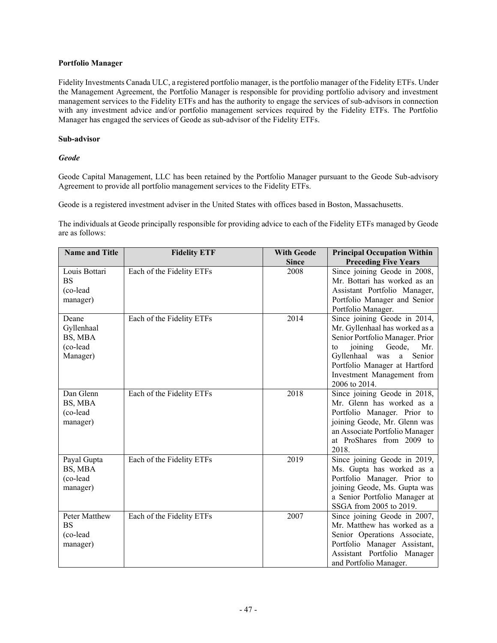## **Portfolio Manager**

Fidelity Investments Canada ULC, a registered portfolio manager, is the portfolio manager of the Fidelity ETFs. Under the Management Agreement, the Portfolio Manager is responsible for providing portfolio advisory and investment management services to the Fidelity ETFs and has the authority to engage the services of sub-advisors in connection with any investment advice and/or portfolio management services required by the Fidelity ETFs. The Portfolio Manager has engaged the services of Geode as sub-advisor of the Fidelity ETFs.

### **Sub-advisor**

## *Geode*

Geode Capital Management, LLC has been retained by the Portfolio Manager pursuant to the Geode Sub-advisory Agreement to provide all portfolio management services to the Fidelity ETFs.

Geode is a registered investment adviser in the United States with offices based in Boston, Massachusetts.

The individuals at Geode principally responsible for providing advice to each of the Fidelity ETFs managed by Geode are as follows:

| <b>Name and Title</b>                                  | <b>Fidelity ETF</b>       | <b>With Geode</b> | <b>Principal Occupation Within</b>                                                                                                                                                                                                                   |
|--------------------------------------------------------|---------------------------|-------------------|------------------------------------------------------------------------------------------------------------------------------------------------------------------------------------------------------------------------------------------------------|
|                                                        |                           | <b>Since</b>      | <b>Preceding Five Years</b>                                                                                                                                                                                                                          |
| Louis Bottari<br><b>BS</b><br>(co-lead<br>manager)     | Each of the Fidelity ETFs | 2008              | Since joining Geode in 2008,<br>Mr. Bottari has worked as an<br>Assistant Portfolio Manager,<br>Portfolio Manager and Senior<br>Portfolio Manager.                                                                                                   |
| Deane<br>Gyllenhaal<br>BS, MBA<br>(co-lead<br>Manager) | Each of the Fidelity ETFs | 2014              | Since joining Geode in 2014,<br>Mr. Gyllenhaal has worked as a<br>Senior Portfolio Manager. Prior<br>joining<br>Geode,<br>Mr.<br>to<br>Gyllenhaal was<br>Senior<br>a<br>Portfolio Manager at Hartford<br>Investment Management from<br>2006 to 2014. |
| Dan Glenn<br>BS, MBA<br>(co-lead<br>manager)           | Each of the Fidelity ETFs | 2018              | Since joining Geode in 2018,<br>Mr. Glenn has worked as a<br>Portfolio Manager. Prior to<br>joining Geode, Mr. Glenn was<br>an Associate Portfolio Manager<br>at ProShares from 2009 to<br>2018.                                                     |
| Payal Gupta<br>BS, MBA<br>(co-lead<br>manager)         | Each of the Fidelity ETFs | 2019              | Since joining Geode in 2019,<br>Ms. Gupta has worked as a<br>Portfolio Manager. Prior to<br>joining Geode, Ms. Gupta was<br>a Senior Portfolio Manager at<br>SSGA from 2005 to 2019.                                                                 |
| Peter Matthew<br><b>BS</b><br>(co-lead<br>manager)     | Each of the Fidelity ETFs | 2007              | Since joining Geode in 2007,<br>Mr. Matthew has worked as a<br>Senior Operations Associate,<br>Portfolio Manager Assistant,<br>Assistant Portfolio Manager<br>and Portfolio Manager.                                                                 |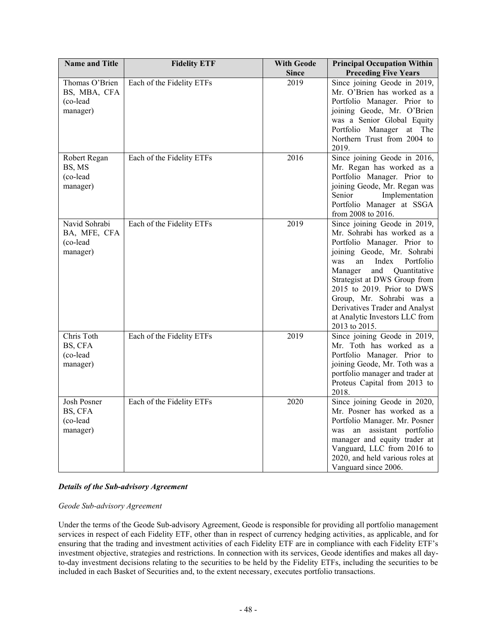| <b>Name and Title</b>                                  | <b>Fidelity ETF</b>       | <b>With Geode</b><br><b>Since</b> | <b>Principal Occupation Within</b><br><b>Preceding Five Years</b>                                                                                                                                                                                                                                                                                                            |
|--------------------------------------------------------|---------------------------|-----------------------------------|------------------------------------------------------------------------------------------------------------------------------------------------------------------------------------------------------------------------------------------------------------------------------------------------------------------------------------------------------------------------------|
| Thomas O'Brien<br>BS, MBA, CFA<br>(co-lead<br>manager) | Each of the Fidelity ETFs | 2019                              | Since joining Geode in 2019,<br>Mr. O'Brien has worked as a<br>Portfolio Manager. Prior to<br>joining Geode, Mr. O'Brien<br>was a Senior Global Equity<br>Portfolio Manager at The<br>Northern Trust from 2004 to<br>2019.                                                                                                                                                   |
| Robert Regan<br>BS, MS<br>(co-lead<br>manager)         | Each of the Fidelity ETFs | 2016                              | Since joining Geode in 2016,<br>Mr. Regan has worked as a<br>Portfolio Manager. Prior to<br>joining Geode, Mr. Regan was<br>Senior<br>Implementation<br>Portfolio Manager at SSGA<br>from 2008 to 2016.                                                                                                                                                                      |
| Navid Sohrabi<br>BA, MFE, CFA<br>(co-lead<br>manager)  | Each of the Fidelity ETFs | 2019                              | Since joining Geode in 2019,<br>Mr. Sohrabi has worked as a<br>Portfolio Manager. Prior to<br>joining Geode, Mr. Sohrabi<br>Index<br>Portfolio<br>was<br>an<br>and<br>Manager<br>Ouantitative<br>Strategist at DWS Group from<br>2015 to 2019. Prior to DWS<br>Group, Mr. Sohrabi was a<br>Derivatives Trader and Analyst<br>at Analytic Investors LLC from<br>2013 to 2015. |
| Chris Toth<br>BS, CFA<br>(co-lead<br>manager)          | Each of the Fidelity ETFs | 2019                              | Since joining Geode in 2019,<br>Mr. Toth has worked as a<br>Portfolio Manager. Prior to<br>joining Geode, Mr. Toth was a<br>portfolio manager and trader at<br>Proteus Capital from 2013 to<br>2018.                                                                                                                                                                         |
| <b>Josh Posner</b><br>BS, CFA<br>(co-lead<br>manager)  | Each of the Fidelity ETFs | 2020                              | Since joining Geode in 2020,<br>Mr. Posner has worked as a<br>Portfolio Manager. Mr. Posner<br>an assistant portfolio<br>was<br>manager and equity trader at<br>Vanguard, LLC from 2016 to<br>2020, and held various roles at<br>Vanguard since 2006.                                                                                                                        |

### *Details of the Sub-advisory Agreement*

### *Geode Sub-advisory Agreement*

Under the terms of the Geode Sub-advisory Agreement, Geode is responsible for providing all portfolio management services in respect of each Fidelity ETF, other than in respect of currency hedging activities, as applicable, and for ensuring that the trading and investment activities of each Fidelity ETF are in compliance with each Fidelity ETF's investment objective, strategies and restrictions. In connection with its services, Geode identifies and makes all dayto-day investment decisions relating to the securities to be held by the Fidelity ETFs, including the securities to be included in each Basket of Securities and, to the extent necessary, executes portfolio transactions.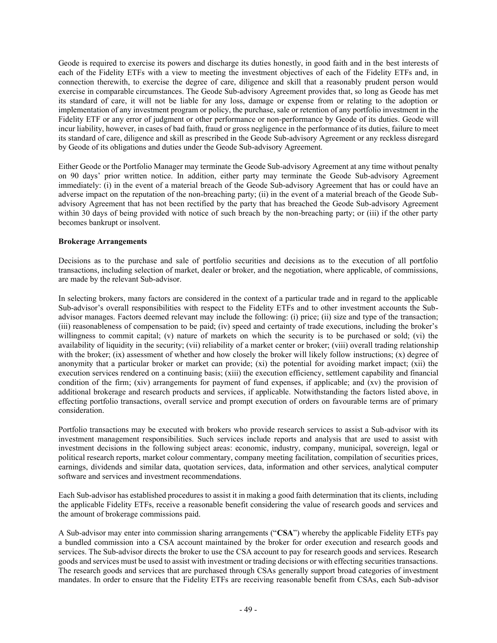Geode is required to exercise its powers and discharge its duties honestly, in good faith and in the best interests of each of the Fidelity ETFs with a view to meeting the investment objectives of each of the Fidelity ETFs and, in connection therewith, to exercise the degree of care, diligence and skill that a reasonably prudent person would exercise in comparable circumstances. The Geode Sub-advisory Agreement provides that, so long as Geode has met its standard of care, it will not be liable for any loss, damage or expense from or relating to the adoption or implementation of any investment program or policy, the purchase, sale or retention of any portfolio investment in the Fidelity ETF or any error of judgment or other performance or non-performance by Geode of its duties. Geode will incur liability, however, in cases of bad faith, fraud or gross negligence in the performance of its duties, failure to meet its standard of care, diligence and skill as prescribed in the Geode Sub-advisory Agreement or any reckless disregard by Geode of its obligations and duties under the Geode Sub-advisory Agreement.

Either Geode or the Portfolio Manager may terminate the Geode Sub-advisory Agreement at any time without penalty on 90 days' prior written notice. In addition, either party may terminate the Geode Sub-advisory Agreement immediately: (i) in the event of a material breach of the Geode Sub-advisory Agreement that has or could have an adverse impact on the reputation of the non-breaching party; (ii) in the event of a material breach of the Geode Subadvisory Agreement that has not been rectified by the party that has breached the Geode Sub-advisory Agreement within 30 days of being provided with notice of such breach by the non-breaching party; or (iii) if the other party becomes bankrupt or insolvent.

### **Brokerage Arrangements**

Decisions as to the purchase and sale of portfolio securities and decisions as to the execution of all portfolio transactions, including selection of market, dealer or broker, and the negotiation, where applicable, of commissions, are made by the relevant Sub-advisor.

In selecting brokers, many factors are considered in the context of a particular trade and in regard to the applicable Sub-advisor's overall responsibilities with respect to the Fidelity ETFs and to other investment accounts the Subadvisor manages. Factors deemed relevant may include the following: (i) price; (ii) size and type of the transaction; (iii) reasonableness of compensation to be paid; (iv) speed and certainty of trade executions, including the broker's willingness to commit capital; (v) nature of markets on which the security is to be purchased or sold; (vi) the availability of liquidity in the security; (vii) reliability of a market center or broker; (viii) overall trading relationship with the broker; (ix) assessment of whether and how closely the broker will likely follow instructions; (x) degree of anonymity that a particular broker or market can provide; (xi) the potential for avoiding market impact; (xii) the execution services rendered on a continuing basis; (xiii) the execution efficiency, settlement capability and financial condition of the firm; (xiv) arrangements for payment of fund expenses, if applicable; and (xv) the provision of additional brokerage and research products and services, if applicable. Notwithstanding the factors listed above, in effecting portfolio transactions, overall service and prompt execution of orders on favourable terms are of primary consideration.

Portfolio transactions may be executed with brokers who provide research services to assist a Sub-advisor with its investment management responsibilities. Such services include reports and analysis that are used to assist with investment decisions in the following subject areas: economic, industry, company, municipal, sovereign, legal or political research reports, market colour commentary, company meeting facilitation, compilation of securities prices, earnings, dividends and similar data, quotation services, data, information and other services, analytical computer software and services and investment recommendations.

Each Sub-advisor has established procedures to assist it in making a good faith determination that its clients, including the applicable Fidelity ETFs, receive a reasonable benefit considering the value of research goods and services and the amount of brokerage commissions paid.

A Sub-advisor may enter into commission sharing arrangements ("**CSA**") whereby the applicable Fidelity ETFs pay a bundled commission into a CSA account maintained by the broker for order execution and research goods and services. The Sub-advisor directs the broker to use the CSA account to pay for research goods and services. Research goods and services must be used to assist with investment or trading decisions or with effecting securities transactions. The research goods and services that are purchased through CSAs generally support broad categories of investment mandates. In order to ensure that the Fidelity ETFs are receiving reasonable benefit from CSAs, each Sub-advisor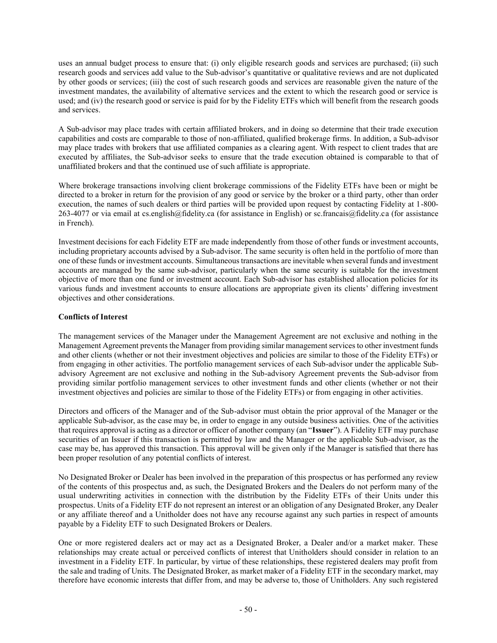uses an annual budget process to ensure that: (i) only eligible research goods and services are purchased; (ii) such research goods and services add value to the Sub-advisor's quantitative or qualitative reviews and are not duplicated by other goods or services; (iii) the cost of such research goods and services are reasonable given the nature of the investment mandates, the availability of alternative services and the extent to which the research good or service is used; and (iv) the research good or service is paid for by the Fidelity ETFs which will benefit from the research goods and services.

A Sub-advisor may place trades with certain affiliated brokers, and in doing so determine that their trade execution capabilities and costs are comparable to those of non-affiliated, qualified brokerage firms. In addition, a Sub-advisor may place trades with brokers that use affiliated companies as a clearing agent. With respect to client trades that are executed by affiliates, the Sub-advisor seeks to ensure that the trade execution obtained is comparable to that of unaffiliated brokers and that the continued use of such affiliate is appropriate.

Where brokerage transactions involving client brokerage commissions of the Fidelity ETFs have been or might be directed to a broker in return for the provision of any good or service by the broker or a third party, other than order execution, the names of such dealers or third parties will be provided upon request by contacting Fidelity at 1-800- 263-4077 or via email at cs.english@fidelity.ca (for assistance in English) or sc.francais@fidelity.ca (for assistance in French).

Investment decisions for each Fidelity ETF are made independently from those of other funds or investment accounts, including proprietary accounts advised by a Sub-advisor. The same security is often held in the portfolio of more than one of these funds or investment accounts. Simultaneous transactions are inevitable when several funds and investment accounts are managed by the same sub-advisor, particularly when the same security is suitable for the investment objective of more than one fund or investment account. Each Sub-advisor has established allocation policies for its various funds and investment accounts to ensure allocations are appropriate given its clients' differing investment objectives and other considerations.

## <span id="page-52-0"></span>**Conflicts of Interest**

The management services of the Manager under the Management Agreement are not exclusive and nothing in the Management Agreement prevents the Manager from providing similar management services to other investment funds and other clients (whether or not their investment objectives and policies are similar to those of the Fidelity ETFs) or from engaging in other activities. The portfolio management services of each Sub-advisor under the applicable Subadvisory Agreement are not exclusive and nothing in the Sub-advisory Agreement prevents the Sub-advisor from providing similar portfolio management services to other investment funds and other clients (whether or not their investment objectives and policies are similar to those of the Fidelity ETFs) or from engaging in other activities.

Directors and officers of the Manager and of the Sub-advisor must obtain the prior approval of the Manager or the applicable Sub-advisor, as the case may be, in order to engage in any outside business activities. One of the activities that requires approval is acting as a director or officer of another company (an "**Issuer**"). A Fidelity ETF may purchase securities of an Issuer if this transaction is permitted by law and the Manager or the applicable Sub-advisor, as the case may be, has approved this transaction. This approval will be given only if the Manager is satisfied that there has been proper resolution of any potential conflicts of interest.

No Designated Broker or Dealer has been involved in the preparation of this prospectus or has performed any review of the contents of this prospectus and, as such, the Designated Brokers and the Dealers do not perform many of the usual underwriting activities in connection with the distribution by the Fidelity ETFs of their Units under this prospectus. Units of a Fidelity ETF do not represent an interest or an obligation of any Designated Broker, any Dealer or any affiliate thereof and a Unitholder does not have any recourse against any such parties in respect of amounts payable by a Fidelity ETF to such Designated Brokers or Dealers.

One or more registered dealers act or may act as a Designated Broker, a Dealer and/or a market maker. These relationships may create actual or perceived conflicts of interest that Unitholders should consider in relation to an investment in a Fidelity ETF. In particular, by virtue of these relationships, these registered dealers may profit from the sale and trading of Units. The Designated Broker, as market maker of a Fidelity ETF in the secondary market, may therefore have economic interests that differ from, and may be adverse to, those of Unitholders. Any such registered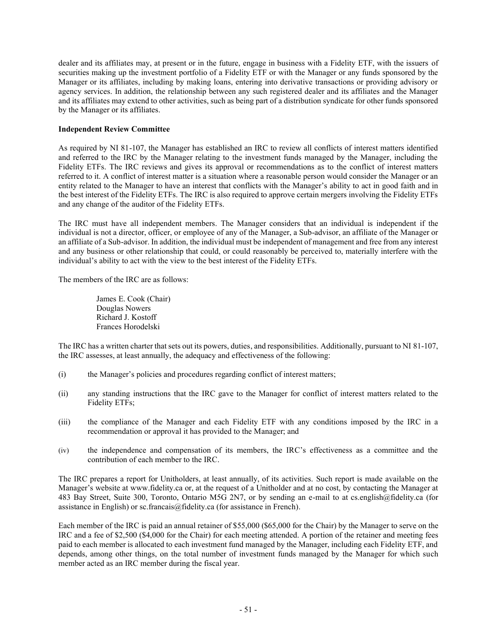dealer and its affiliates may, at present or in the future, engage in business with a Fidelity ETF, with the issuers of securities making up the investment portfolio of a Fidelity ETF or with the Manager or any funds sponsored by the Manager or its affiliates, including by making loans, entering into derivative transactions or providing advisory or agency services. In addition, the relationship between any such registered dealer and its affiliates and the Manager and its affiliates may extend to other activities, such as being part of a distribution syndicate for other funds sponsored by the Manager or its affiliates.

### **Independent Review Committee**

As required by NI 81-107, the Manager has established an IRC to review all conflicts of interest matters identified and referred to the IRC by the Manager relating to the investment funds managed by the Manager, including the Fidelity ETFs. The IRC reviews and gives its approval or recommendations as to the conflict of interest matters referred to it. A conflict of interest matter is a situation where a reasonable person would consider the Manager or an entity related to the Manager to have an interest that conflicts with the Manager's ability to act in good faith and in the best interest of the Fidelity ETFs. The IRC is also required to approve certain mergers involving the Fidelity ETFs and any change of the auditor of the Fidelity ETFs.

The IRC must have all independent members. The Manager considers that an individual is independent if the individual is not a director, officer, or employee of any of the Manager, a Sub-advisor, an affiliate of the Manager or an affiliate of a Sub-advisor. In addition, the individual must be independent of management and free from any interest and any business or other relationship that could, or could reasonably be perceived to, materially interfere with the individual's ability to act with the view to the best interest of the Fidelity ETFs.

The members of the IRC are as follows:

James E. Cook (Chair) Douglas Nowers Richard J. Kostoff Frances Horodelski

The IRC has a written charter that sets out its powers, duties, and responsibilities. Additionally, pursuant to NI 81-107, the IRC assesses, at least annually, the adequacy and effectiveness of the following:

- (i) the Manager's policies and procedures regarding conflict of interest matters;
- (ii) any standing instructions that the IRC gave to the Manager for conflict of interest matters related to the Fidelity ETFs;
- (iii) the compliance of the Manager and each Fidelity ETF with any conditions imposed by the IRC in a recommendation or approval it has provided to the Manager; and
- (iv) the independence and compensation of its members, the IRC's effectiveness as a committee and the contribution of each member to the IRC.

The IRC prepares a report for Unitholders, at least annually, of its activities. Such report is made available on the Manager's website at www.fidelity.ca or, at the request of a Unitholder and at no cost, by contacting the Manager at 483 Bay Street, Suite 300, Toronto, Ontario M5G 2N7, or by sending an e-mail to at cs.english@fidelity.ca (for assistance in English) or sc.francais@fidelity.ca (for assistance in French).

Each member of the IRC is paid an annual retainer of \$55,000 (\$65,000 for the Chair) by the Manager to serve on the IRC and a fee of \$2,500 (\$4,000 for the Chair) for each meeting attended. A portion of the retainer and meeting fees paid to each member is allocated to each investment fund managed by the Manager, including each Fidelity ETF, and depends, among other things, on the total number of investment funds managed by the Manager for which such member acted as an IRC member during the fiscal year.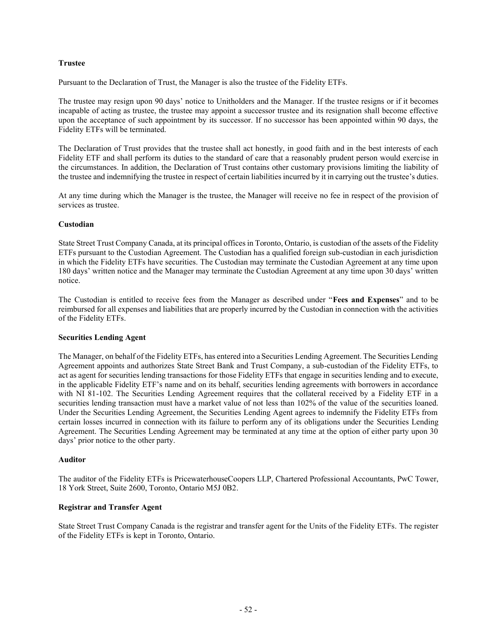### **Trustee**

Pursuant to the Declaration of Trust, the Manager is also the trustee of the Fidelity ETFs.

The trustee may resign upon 90 days' notice to Unitholders and the Manager. If the trustee resigns or if it becomes incapable of acting as trustee, the trustee may appoint a successor trustee and its resignation shall become effective upon the acceptance of such appointment by its successor. If no successor has been appointed within 90 days, the Fidelity ETFs will be terminated.

The Declaration of Trust provides that the trustee shall act honestly, in good faith and in the best interests of each Fidelity ETF and shall perform its duties to the standard of care that a reasonably prudent person would exercise in the circumstances. In addition, the Declaration of Trust contains other customary provisions limiting the liability of the trustee and indemnifying the trustee in respect of certain liabilities incurred by it in carrying out the trustee's duties.

At any time during which the Manager is the trustee, the Manager will receive no fee in respect of the provision of services as trustee.

### **Custodian**

State Street Trust Company Canada, at its principal offices in Toronto, Ontario, is custodian of the assets of the Fidelity ETFs pursuant to the Custodian Agreement. The Custodian has a qualified foreign sub-custodian in each jurisdiction in which the Fidelity ETFs have securities. The Custodian may terminate the Custodian Agreement at any time upon 180 days' written notice and the Manager may terminate the Custodian Agreement at any time upon 30 days' written notice.

The Custodian is entitled to receive fees from the Manager as described under "**[Fees and Expenses](#page-20-0)**" and to be reimbursed for all expenses and liabilities that are properly incurred by the Custodian in connection with the activities of the Fidelity ETFs.

### **Securities Lending Agent**

The Manager, on behalf of the Fidelity ETFs, has entered into a Securities Lending Agreement. The Securities Lending Agreement appoints and authorizes State Street Bank and Trust Company, a sub-custodian of the Fidelity ETFs, to act as agent for securities lending transactions for those Fidelity ETFs that engage in securities lending and to execute, in the applicable Fidelity ETF's name and on its behalf, securities lending agreements with borrowers in accordance with NI 81-102. The Securities Lending Agreement requires that the collateral received by a Fidelity ETF in a securities lending transaction must have a market value of not less than 102% of the value of the securities loaned. Under the Securities Lending Agreement, the Securities Lending Agent agrees to indemnify the Fidelity ETFs from certain losses incurred in connection with its failure to perform any of its obligations under the Securities Lending Agreement. The Securities Lending Agreement may be terminated at any time at the option of either party upon 30 days' prior notice to the other party.

### **Auditor**

The auditor of the Fidelity ETFs is PricewaterhouseCoopers LLP, Chartered Professional Accountants, PwC Tower, 18 York Street, Suite 2600, Toronto, Ontario M5J 0B2.

### **Registrar and Transfer Agent**

State Street Trust Company Canada is the registrar and transfer agent for the Units of the Fidelity ETFs. The register of the Fidelity ETFs is kept in Toronto, Ontario.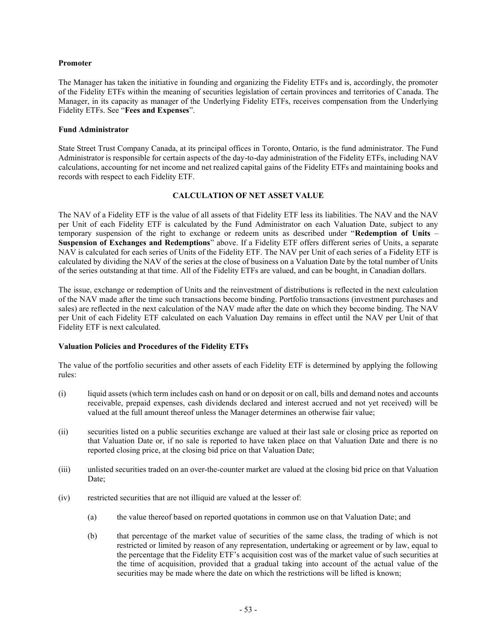### **Promoter**

The Manager has taken the initiative in founding and organizing the Fidelity ETFs and is, accordingly, the promoter of the Fidelity ETFs within the meaning of securities legislation of certain provinces and territories of Canada. The Manager, in its capacity as manager of the Underlying Fidelity ETFs, receives compensation from the Underlying Fidelity ETFs. See "**[Fees and Expenses](#page-20-0)**".

### **Fund Administrator**

State Street Trust Company Canada, at its principal offices in Toronto, Ontario, is the fund administrator. The Fund Administrator is responsible for certain aspects of the day-to-day administration of the Fidelity ETFs, including NAV calculations, accounting for net income and net realized capital gains of the Fidelity ETFs and maintaining books and records with respect to each Fidelity ETF.

### **CALCULATION OF NET ASSET VALUE**

The NAV of a Fidelity ETF is the value of all assets of that Fidelity ETF less its liabilities. The NAV and the NAV per Unit of each Fidelity ETF is calculated by the Fund Administrator on each Valuation Date, subject to any temporary suspension of the right to exchange or redeem units as described under "**[Redemption](#page-40-0) of Units** – **[Suspension of Exchanges and Redemptions](#page-41-0)**" above. If a Fidelity ETF offers different series of Units, a separate NAV is calculated for each series of Units of the Fidelity ETF. The NAV per Unit of each series of a Fidelity ETF is calculated by dividing the NAV of the series at the close of business on a Valuation Date by the total number of Units of the series outstanding at that time. All of the Fidelity ETFs are valued, and can be bought, in Canadian dollars.

The issue, exchange or redemption of Units and the reinvestment of distributions is reflected in the next calculation of the NAV made after the time such transactions become binding. Portfolio transactions (investment purchases and sales) are reflected in the next calculation of the NAV made after the date on which they become binding. The NAV per Unit of each Fidelity ETF calculated on each Valuation Day remains in effect until the NAV per Unit of that Fidelity ETF is next calculated.

### **Valuation Policies and Procedures of the Fidelity ETFs**

The value of the portfolio securities and other assets of each Fidelity ETF is determined by applying the following rules:

- (i) liquid assets (which term includes cash on hand or on deposit or on call, bills and demand notes and accounts receivable, prepaid expenses, cash dividends declared and interest accrued and not yet received) will be valued at the full amount thereof unless the Manager determines an otherwise fair value;
- (ii) securities listed on a public securities exchange are valued at their last sale or closing price as reported on that Valuation Date or, if no sale is reported to have taken place on that Valuation Date and there is no reported closing price, at the closing bid price on that Valuation Date;
- (iii) unlisted securities traded on an over-the-counter market are valued at the closing bid price on that Valuation Date;
- (iv) restricted securities that are not illiquid are valued at the lesser of:
	- (a) the value thereof based on reported quotations in common use on that Valuation Date; and
	- (b) that percentage of the market value of securities of the same class, the trading of which is not restricted or limited by reason of any representation, undertaking or agreement or by law, equal to the percentage that the Fidelity ETF's acquisition cost was of the market value of such securities at the time of acquisition, provided that a gradual taking into account of the actual value of the securities may be made where the date on which the restrictions will be lifted is known;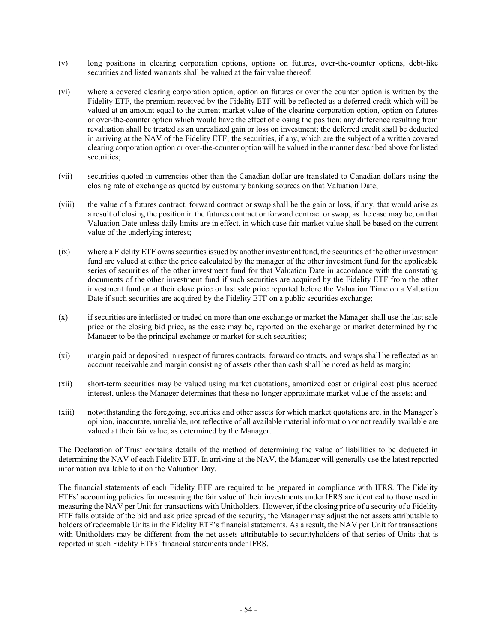- (v) long positions in clearing corporation options, options on futures, over-the-counter options, debt-like securities and listed warrants shall be valued at the fair value thereof;
- (vi) where a covered clearing corporation option, option on futures or over the counter option is written by the Fidelity ETF, the premium received by the Fidelity ETF will be reflected as a deferred credit which will be valued at an amount equal to the current market value of the clearing corporation option, option on futures or over-the-counter option which would have the effect of closing the position; any difference resulting from revaluation shall be treated as an unrealized gain or loss on investment; the deferred credit shall be deducted in arriving at the NAV of the Fidelity ETF; the securities, if any, which are the subject of a written covered clearing corporation option or over-the-counter option will be valued in the manner described above for listed securities;
- (vii) securities quoted in currencies other than the Canadian dollar are translated to Canadian dollars using the closing rate of exchange as quoted by customary banking sources on that Valuation Date;
- (viii) the value of a futures contract, forward contract or swap shall be the gain or loss, if any, that would arise as a result of closing the position in the futures contract or forward contract or swap, as the case may be, on that Valuation Date unless daily limits are in effect, in which case fair market value shall be based on the current value of the underlying interest;
- (ix) where a Fidelity ETF owns securities issued by another investment fund, the securities of the other investment fund are valued at either the price calculated by the manager of the other investment fund for the applicable series of securities of the other investment fund for that Valuation Date in accordance with the constating documents of the other investment fund if such securities are acquired by the Fidelity ETF from the other investment fund or at their close price or last sale price reported before the Valuation Time on a Valuation Date if such securities are acquired by the Fidelity ETF on a public securities exchange;
- (x) if securities are interlisted or traded on more than one exchange or market the Manager shall use the last sale price or the closing bid price, as the case may be, reported on the exchange or market determined by the Manager to be the principal exchange or market for such securities;
- (xi) margin paid or deposited in respect of futures contracts, forward contracts, and swaps shall be reflected as an account receivable and margin consisting of assets other than cash shall be noted as held as margin;
- (xii) short-term securities may be valued using market quotations, amortized cost or original cost plus accrued interest, unless the Manager determines that these no longer approximate market value of the assets; and
- (xiii) notwithstanding the foregoing, securities and other assets for which market quotations are, in the Manager's opinion, inaccurate, unreliable, not reflective of all available material information or not readily available are valued at their fair value, as determined by the Manager.

The Declaration of Trust contains details of the method of determining the value of liabilities to be deducted in determining the NAV of each Fidelity ETF. In arriving at the NAV, the Manager will generally use the latest reported information available to it on the Valuation Day.

The financial statements of each Fidelity ETF are required to be prepared in compliance with IFRS. The Fidelity ETFs' accounting policies for measuring the fair value of their investments under IFRS are identical to those used in measuring the NAV per Unit for transactions with Unitholders. However, if the closing price of a security of a Fidelity ETF falls outside of the bid and ask price spread of the security, the Manager may adjust the net assets attributable to holders of redeemable Units in the Fidelity ETF's financial statements. As a result, the NAV per Unit for transactions with Unitholders may be different from the net assets attributable to securityholders of that series of Units that is reported in such Fidelity ETFs' financial statements under IFRS.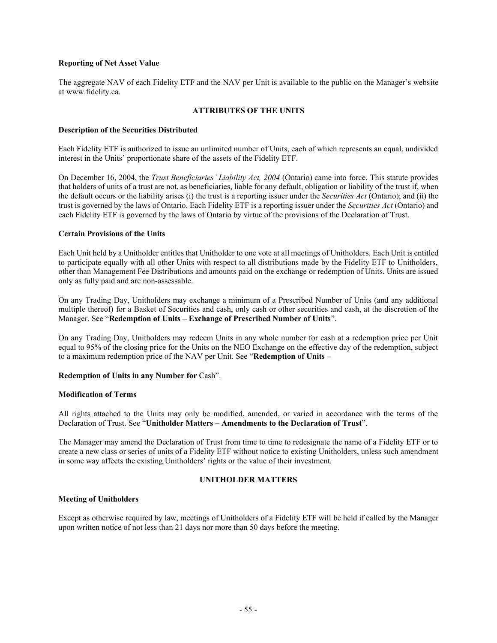### **Reporting of Net Asset Value**

The aggregate NAV of each Fidelity ETF and the NAV per Unit is available to the public on the Manager's website at www.fidelity.ca.

### **ATTRIBUTES OF THE UNITS**

#### **Description of the Securities Distributed**

Each Fidelity ETF is authorized to issue an unlimited number of Units, each of which represents an equal, undivided interest in the Units' proportionate share of the assets of the Fidelity ETF.

On December 16, 2004, the *Trust Beneficiaries' Liability Act, 2004* (Ontario) came into force. This statute provides that holders of units of a trust are not, as beneficiaries, liable for any default, obligation or liability of the trust if, when the default occurs or the liability arises (i) the trust is a reporting issuer under the *Securities Act* (Ontario); and (ii) the trust is governed by the laws of Ontario. Each Fidelity ETF is a reporting issuer under the *Securities Act* (Ontario) and each Fidelity ETF is governed by the laws of Ontario by virtue of the provisions of the Declaration of Trust.

### **Certain Provisions of the Units**

Each Unit held by a Unitholder entitles that Unitholder to one vote at all meetings of Unitholders. Each Unit is entitled to participate equally with all other Units with respect to all distributions made by the Fidelity ETF to Unitholders, other than Management Fee Distributions and amounts paid on the exchange or redemption of Units. Units are issued only as fully paid and are non-assessable.

On any Trading Day, Unitholders may exchange a minimum of a Prescribed Number of Units (and any additional multiple thereof) for a Basket of Securities and cash, only cash or other securities and cash, at the discretion of the Manager. See "**[Redemption](#page-40-0) of Units – [Exchange of Prescribed Number of Units](#page-40-1)**".

On any Trading Day, Unitholders may redeem Units in any whole number for cash at a redemption price per Unit equal to 95% of the closing price for the Units on the NEO Exchange on the effecti[ve day of the redemption, subject](#page-40-2)  to a maximum redemption price of the NAV per Unit. See "**[Redemption](#page-40-0) of Units –**

#### **[Redemption of Units in any Number for](#page-40-2)** Cash".

#### **Modification of Terms**

All rights attached to the Units may only be modified, amended, or varied in accordance with the terms of the Declaration of Trust. See "**[Unitholder Matters](#page-57-0) – [Amendments to the Declaration of Trust](#page-59-0)**".

The Manager may amend the Declaration of Trust from time to time to redesignate the name of a Fidelity ETF or to create a new class or series of units of a Fidelity ETF without notice to existing Unitholders, unless such amendment in some way affects the existing Unitholders' rights or the value of their investment.

### **UNITHOLDER MATTERS**

#### <span id="page-57-0"></span>**Meeting of Unitholders**

Except as otherwise required by law, meetings of Unitholders of a Fidelity ETF will be held if called by the Manager upon written notice of not less than 21 days nor more than 50 days before the meeting.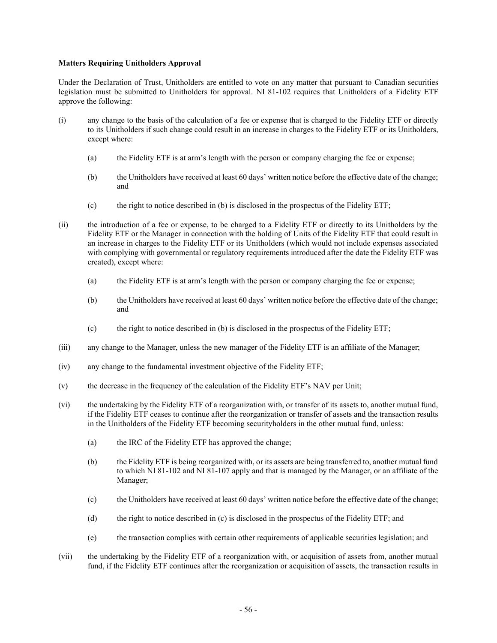### **Matters Requiring Unitholders Approval**

Under the Declaration of Trust, Unitholders are entitled to vote on any matter that pursuant to Canadian securities legislation must be submitted to Unitholders for approval. NI 81-102 requires that Unitholders of a Fidelity ETF approve the following:

- (i) any change to the basis of the calculation of a fee or expense that is charged to the Fidelity ETF or directly to its Unitholders if such change could result in an increase in charges to the Fidelity ETF or its Unitholders, except where:
	- (a) the Fidelity ETF is at arm's length with the person or company charging the fee or expense;
	- (b) the Unitholders have received at least 60 days' written notice before the effective date of the change; and
	- (c) the right to notice described in [\(b\)](#page-58-0) is disclosed in the prospectus of the Fidelity ETF;
- <span id="page-58-0"></span>(ii) the introduction of a fee or expense, to be charged to a Fidelity ETF or directly to its Unitholders by the Fidelity ETF or the Manager in connection with the holding of Units of the Fidelity ETF that could result in an increase in charges to the Fidelity ETF or its Unitholders (which would not include expenses associated with complying with governmental or regulatory requirements introduced after the date the Fidelity ETF was created), except where:
	- (a) the Fidelity ETF is at arm's length with the person or company charging the fee or expense;
	- (b) the Unitholders have received at least 60 days' written notice before the effective date of the change; and
	- (c) the right to notice described in [\(b\)](#page-58-1) is disclosed in the prospectus of the Fidelity ETF;
- <span id="page-58-1"></span>(iii) any change to the Manager, unless the new manager of the Fidelity ETF is an affiliate of the Manager;
- (iv) any change to the fundamental investment objective of the Fidelity ETF;
- (v) the decrease in the frequency of the calculation of the Fidelity ETF's NAV per Unit;
- (vi) the undertaking by the Fidelity ETF of a reorganization with, or transfer of its assets to, another mutual fund, if the Fidelity ETF ceases to continue after the reorganization or transfer of assets and the transaction results in the Unitholders of the Fidelity ETF becoming securityholders in the other mutual fund, unless:
	- (a) the IRC of the Fidelity ETF has approved the change;
	- (b) the Fidelity ETF is being reorganized with, or its assets are being transferred to, another mutual fund to which NI 81-102 and NI 81-107 apply and that is managed by the Manager, or an affiliate of the Manager;
	- (c) the Unitholders have received at least 60 days' written notice before the effective date of the change;
	- (d) the right to notice described in [\(c\)](#page-58-2) is disclosed in the prospectus of the Fidelity ETF; and
	- (e) the transaction complies with certain other requirements of applicable securities legislation; and
- <span id="page-58-2"></span>(vii) the undertaking by the Fidelity ETF of a reorganization with, or acquisition of assets from, another mutual fund, if the Fidelity ETF continues after the reorganization or acquisition of assets, the transaction results in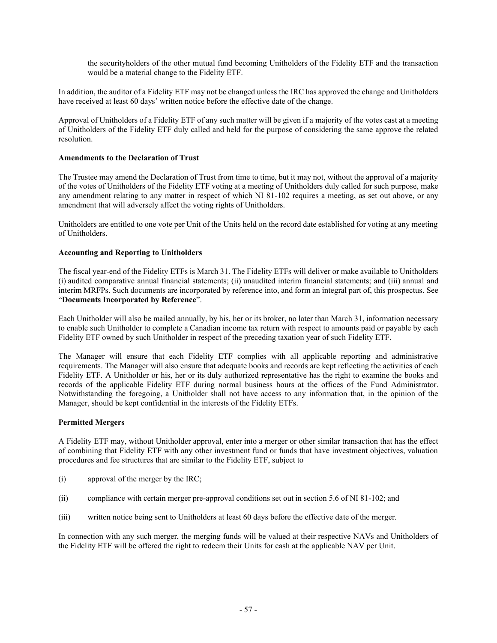the securityholders of the other mutual fund becoming Unitholders of the Fidelity ETF and the transaction would be a material change to the Fidelity ETF.

In addition, the auditor of a Fidelity ETF may not be changed unless the IRC has approved the change and Unitholders have received at least 60 days' written notice before the effective date of the change.

Approval of Unitholders of a Fidelity ETF of any such matter will be given if a majority of the votes cast at a meeting of Unitholders of the Fidelity ETF duly called and held for the purpose of considering the same approve the related resolution.

### <span id="page-59-0"></span>**Amendments to the Declaration of Trust**

The Trustee may amend the Declaration of Trust from time to time, but it may not, without the approval of a majority of the votes of Unitholders of the Fidelity ETF voting at a meeting of Unitholders duly called for such purpose, make any amendment relating to any matter in respect of which NI 81-102 requires a meeting, as set out above, or any amendment that will adversely affect the voting rights of Unitholders.

Unitholders are entitled to one vote per Unit of the Units held on the record date established for voting at any meeting of Unitholders.

### **Accounting and Reporting to Unitholders**

The fiscal year-end of the Fidelity ETFs is March 31. The Fidelity ETFs will deliver or make available to Unitholders (i) audited comparative annual financial statements; (ii) unaudited interim financial statements; and (iii) annual and interim MRFPs. Such documents are incorporated by reference into, and form an integral part of, this prospectus. See "**[Documents Incorporated by Reference](#page-63-0)**".

Each Unitholder will also be mailed annually, by his, her or its broker, no later than March 31, information necessary to enable such Unitholder to complete a Canadian income tax return with respect to amounts paid or payable by each Fidelity ETF owned by such Unitholder in respect of the preceding taxation year of such Fidelity ETF.

The Manager will ensure that each Fidelity ETF complies with all applicable reporting and administrative requirements. The Manager will also ensure that adequate books and records are kept reflecting the activities of each Fidelity ETF. A Unitholder or his, her or its duly authorized representative has the right to examine the books and records of the applicable Fidelity ETF during normal business hours at the offices of the Fund Administrator. Notwithstanding the foregoing, a Unitholder shall not have access to any information that, in the opinion of the Manager, should be kept confidential in the interests of the Fidelity ETFs.

#### **Permitted Mergers**

A Fidelity ETF may, without Unitholder approval, enter into a merger or other similar transaction that has the effect of combining that Fidelity ETF with any other investment fund or funds that have investment objectives, valuation procedures and fee structures that are similar to the Fidelity ETF, subject to

- (i) approval of the merger by the IRC;
- (ii) compliance with certain merger pre-approval conditions set out in section 5.6 of NI 81-102; and
- (iii) written notice being sent to Unitholders at least 60 days before the effective date of the merger.

In connection with any such merger, the merging funds will be valued at their respective NAVs and Unitholders of the Fidelity ETF will be offered the right to redeem their Units for cash at the applicable NAV per Unit.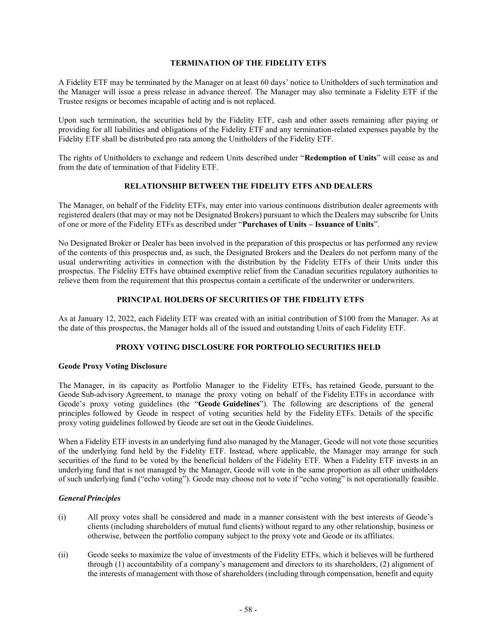## **TERMINATION OF THE FIDELITY ETFS**

A Fidelity ETF may be terminated by the Manager on at least 60 days' notice to Unitholders of such termination and the Manager will issue a press release in advance thereof. The Manager may also terminate a Fidelity ETF if the Trustee resigns or becomes incapable of acting and is not replaced.

Upon such termination, the securities held by the Fidelity ETF, cash and other assets remaining after paying or providing for all liabilities and obligations of the Fidelity ETF and any termination-related expenses payable by the Fidelity ETF shall be distributed pro rata among the Unitholders of the Fidelity ETF.

The rights of Unitholders to exchange and redeem Units described under "**[Redemption](#page-40-0) of Units**" will cease as and from the date of termination of that Fidelity ETF.

### **RELATIONSHIP BETWEEN THE FIDELITY ETFS AND DEALERS**

The Manager, on behalf of the Fidelity ETFs, may enter into various continuous distribution dealer agreements with registered dealers (that may or may not be Designated Brokers) pursuant to which the Dealers may subscribe for Units of one or more of the Fidelity ETFs as described under "**[Purchases of Units](#page-37-0) – [Issuance of Units](#page-37-1)**".

No Designated Broker or Dealer has been involved in the preparation of this prospectus or has performed any review of the contents of this prospectus and, as such, the Designated Brokers and the Dealers do not perform many of the usual underwriting activities in connection with the distribution by the Fidelity ETFs of their Units under this prospectus. The Fidelity ETFs have obtained exemptive relief from the Canadian securities regulatory authorities to relieve them from the requirement that this prospectus contain a certificate of the underwriter or underwriters.

## **PRINCIPAL HOLDERS OF SECURITIES OF THE FIDELITY ETFS**

As at January 12, 2022, each Fidelity ETF was created with an initial contribution of \$100 from the Manager. As at the date of this prospectus, the Manager holds all of the issued and outstanding Units of each Fidelity ETF.

#### **PROXY VOTING DISCLOSURE FOR PORTFOLIO SECURITIES HELD**

#### **Geode Proxy Voting Disclosure**

The Manager, in its capacity as Portfolio Manager to the Fidelity ETFs, has retained Geode, pursuant to the Geode Sub-advisory Agreement, to manage the proxy voting on behalf of the Fidelity ETFs in accordance with Geode's proxy voting guidelines (the "**Geode Guidelines**"). The following are descriptions of the general principles followed by Geode in respect of voting securities held by the Fidelity ETFs. Details of the specific proxy voting guidelines followed by Geode are set out in the Geode Guidelines.

When a Fidelity ETF invests in an underlying fund also managed by the Manager, Geode will not vote those securities of the underlying fund held by the Fidelity ETF. Instead, where applicable, the Manager may arrange for such securities of the fund to be voted by the beneficial holders of the Fidelity ETF. When a Fidelity ETF invests in an underlying fund that is not managed by the Manager, Geode will vote in the same proportion as all other unitholders of such underlying fund ("echo voting"). Geode may choose not to vote if "echo voting" is not operationally feasible.

#### *General Principles*

- (i) All proxy votes shall be considered and made in a manner consistent with the best interests of Geode's clients (including shareholders of mutual fund clients) without regard to any other relationship, business or otherwise, between the portfolio company subject to the proxy vote and Geode or its affiliates.
- (ii) Geode seeks to maximize the value of investments of the Fidelity ETFs, which it believes will be furthered through (1) accountability of a company's management and directors to its shareholders, (2) alignment of the interests of management with those of shareholders (including through compensation, benefit and equity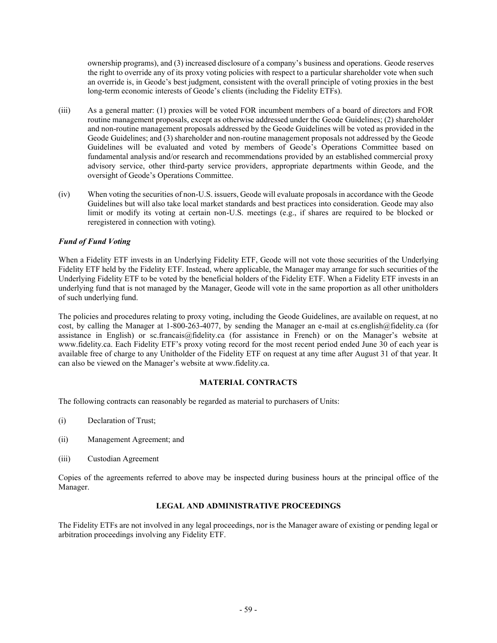ownership programs), and (3) increased disclosure of a company's business and operations. Geode reserves the right to override any of its proxy voting policies with respect to a particular shareholder vote when such an override is, in Geode's best judgment, consistent with the overall principle of voting proxies in the best long-term economic interests of Geode's clients (including the Fidelity ETFs).

- (iii) As a general matter: (1) proxies will be voted FOR incumbent members of a board of directors and FOR routine management proposals, except as otherwise addressed under the Geode Guidelines; (2) shareholder and non-routine management proposals addressed by the Geode Guidelines will be voted as provided in the Geode Guidelines; and (3) shareholder and non-routine management proposals not addressed by the Geode Guidelines will be evaluated and voted by members of Geode's Operations Committee based on fundamental analysis and/or research and recommendations provided by an established commercial proxy advisory service, other third-party service providers, appropriate departments within Geode, and the oversight of Geode's Operations Committee.
- (iv) When voting the securities of non-U.S. issuers, Geode will evaluate proposals in accordance with the Geode Guidelines but will also take local market standards and best practices into consideration. Geode may also limit or modify its voting at certain non-U.S. meetings (e.g., if shares are required to be blocked or reregistered in connection with voting).

## *Fund of Fund Voting*

When a Fidelity ETF invests in an Underlying Fidelity ETF, Geode will not vote those securities of the Underlying Fidelity ETF held by the Fidelity ETF. Instead, where applicable, the Manager may arrange for such securities of the Underlying Fidelity ETF to be voted by the beneficial holders of the Fidelity ETF. When a Fidelity ETF invests in an underlying fund that is not managed by the Manager, Geode will vote in the same proportion as all other unitholders of such underlying fund.

The policies and procedures relating to proxy voting, including the Geode Guidelines, are available on request, at no cost, by calling the Manager at 1-800-263-4077, by sending the Manager an e-mail at cs.english@fidelity.ca (for assistance in English) or sc.francais@fidelity.ca (for assistance in French) or on the Manager's website at www.fidelity.ca. Each Fidelity ETF's proxy voting record for the most recent period ended June 30 of each year is available free of charge to any Unitholder of the Fidelity ETF on request at any time after August 31 of that year. It can also be viewed on the Manager's website at www.fidelity.ca.

### **MATERIAL CONTRACTS**

The following contracts can reasonably be regarded as material to purchasers of Units:

- (i) Declaration of Trust;
- (ii) Management Agreement; and
- (iii) Custodian Agreement

Copies of the agreements referred to above may be inspected during business hours at the principal office of the Manager.

### **LEGAL AND ADMINISTRATIVE PROCEEDINGS**

The Fidelity ETFs are not involved in any legal proceedings, nor is the Manager aware of existing or pending legal or arbitration proceedings involving any Fidelity ETF.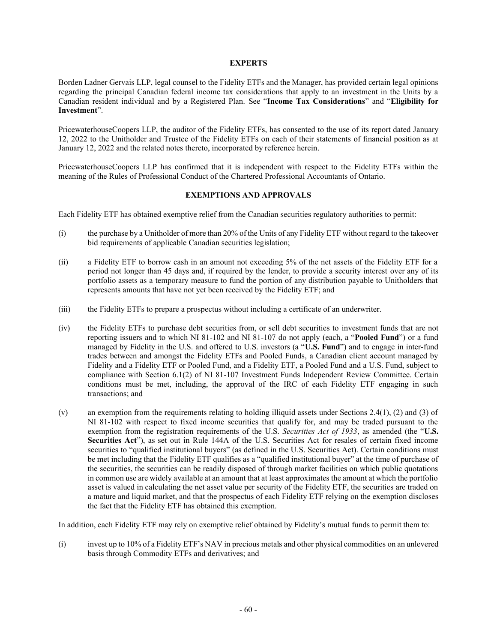### **EXPERTS**

Borden Ladner Gervais LLP, legal counsel to the Fidelity ETFs and the Manager, has provided certain legal opinions regarding the principal Canadian federal income tax considerations that apply to an investment in the Units by a Canadian resident individual and by a Registered Plan. See "**[Income Tax Considerations](#page-42-0)**" and "**[Eligibility for](#page-46-0)  [Investment](#page-46-0)**".

PricewaterhouseCoopers LLP, the auditor of the Fidelity ETFs, has consented to the use of its report dated January 12, 2022 to the Unitholder and Trustee of the Fidelity ETFs on each of their statements of financial position as at January 12, 2022 and the related notes thereto, incorporated by reference herein.

PricewaterhouseCoopers LLP has confirmed that it is independent with respect to the Fidelity ETFs within the meaning of the Rules of Professional Conduct of the Chartered Professional Accountants of Ontario.

### **EXEMPTIONS AND APPROVALS**

Each Fidelity ETF has obtained exemptive relief from the Canadian securities regulatory authorities to permit:

- (i) the purchase by a Unitholder of more than 20% of the Units of any Fidelity ETF without regard to the takeover bid requirements of applicable Canadian securities legislation;
- (ii) a Fidelity ETF to borrow cash in an amount not exceeding 5% of the net assets of the Fidelity ETF for a period not longer than 45 days and, if required by the lender, to provide a security interest over any of its portfolio assets as a temporary measure to fund the portion of any distribution payable to Unitholders that represents amounts that have not yet been received by the Fidelity ETF; and
- (iii) the Fidelity ETFs to prepare a prospectus without including a certificate of an underwriter.
- (iv) the Fidelity ETFs to purchase debt securities from, or sell debt securities to investment funds that are not reporting issuers and to which NI 81-102 and NI 81-107 do not apply (each, a "**Pooled Fund**") or a fund managed by Fidelity in the U.S. and offered to U.S. investors (a "**U.S. Fund**") and to engage in inter-fund trades between and amongst the Fidelity ETFs and Pooled Funds, a Canadian client account managed by Fidelity and a Fidelity ETF or Pooled Fund, and a Fidelity ETF, a Pooled Fund and a U.S. Fund, subject to compliance with Section 6.1(2) of NI 81-107 Investment Funds Independent Review Committee. Certain conditions must be met, including, the approval of the IRC of each Fidelity ETF engaging in such transactions; and
- (v) an exemption from the requirements relating to holding illiquid assets under Sections 2.4(1), (2) and (3) of NI 81-102 with respect to fixed income securities that qualify for, and may be traded pursuant to the exemption from the registration requirements of the U.S. *Securities Act of 1933*, as amended (the "**U.S. Securities Act**"), as set out in Rule 144A of the U.S. Securities Act for resales of certain fixed income securities to "qualified institutional buyers" (as defined in the U.S. Securities Act). Certain conditions must be met including that the Fidelity ETF qualifies as a "qualified institutional buyer" at the time of purchase of the securities, the securities can be readily disposed of through market facilities on which public quotations in common use are widely available at an amount that at least approximates the amount at which the portfolio asset is valued in calculating the net asset value per security of the Fidelity ETF, the securities are traded on a mature and liquid market, and that the prospectus of each Fidelity ETF relying on the exemption discloses the fact that the Fidelity ETF has obtained this exemption.

In addition, each Fidelity ETF may rely on exemptive relief obtained by Fidelity's mutual funds to permit them to:

(i) invest up to 10% of a Fidelity ETF's NAV in precious metals and other physical commodities on an unlevered basis through Commodity ETFs and derivatives; and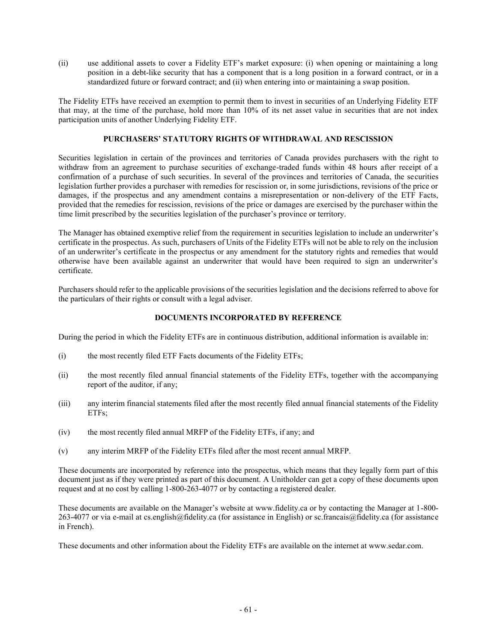(ii) use additional assets to cover a Fidelity ETF's market exposure: (i) when opening or maintaining a long position in a debt-like security that has a component that is a long position in a forward contract, or in a standardized future or forward contract; and (ii) when entering into or maintaining a swap position.

The Fidelity ETFs have received an exemption to permit them to invest in securities of an Underlying Fidelity ETF that may, at the time of the purchase, hold more than 10% of its net asset value in securities that are not index participation units of another Underlying Fidelity ETF.

## **PURCHASERS' STATUTORY RIGHTS OF WITHDRAWAL AND RESCISSION**

Securities legislation in certain of the provinces and territories of Canada provides purchasers with the right to withdraw from an agreement to purchase securities of exchange-traded funds within 48 hours after receipt of a confirmation of a purchase of such securities. In several of the provinces and territories of Canada, the securities legislation further provides a purchaser with remedies for rescission or, in some jurisdictions, revisions of the price or damages, if the prospectus and any amendment contains a misrepresentation or non-delivery of the ETF Facts, provided that the remedies for rescission, revisions of the price or damages are exercised by the purchaser within the time limit prescribed by the securities legislation of the purchaser's province or territory.

The Manager has obtained exemptive relief from the requirement in securities legislation to include an underwriter's certificate in the prospectus. As such, purchasers of Units of the Fidelity ETFs will not be able to rely on the inclusion of an underwriter's certificate in the prospectus or any amendment for the statutory rights and remedies that would otherwise have been available against an underwriter that would have been required to sign an underwriter's certificate.

Purchasers should refer to the applicable provisions of the securities legislation and the decisions referred to above for the particulars of their rights or consult with a legal adviser.

### **DOCUMENTS INCORPORATED BY REFERENCE**

<span id="page-63-0"></span>During the period in which the Fidelity ETFs are in continuous distribution, additional information is available in:

- (i) the most recently filed ETF Facts documents of the Fidelity ETFs;
- (ii) the most recently filed annual financial statements of the Fidelity ETFs, together with the accompanying report of the auditor, if any;
- (iii) any interim financial statements filed after the most recently filed annual financial statements of the Fidelity ETFs;
- (iv) the most recently filed annual MRFP of the Fidelity ETFs, if any; and
- (v) any interim MRFP of the Fidelity ETFs filed after the most recent annual MRFP.

These documents are incorporated by reference into the prospectus, which means that they legally form part of this document just as if they were printed as part of this document. A Unitholder can get a copy of these documents upon request and at no cost by calling 1-800-263-4077 or by contacting a registered dealer.

These documents are available on the Manager's website at www.fidelity.ca or by contacting the Manager at 1-800- 263-4077 or via e-mail at cs.english@fidelity.ca (for assistance in English) or sc.francais@fidelity.ca (for assistance in French).

These documents and other information about the Fidelity ETFs are available on the internet at www.sedar.com.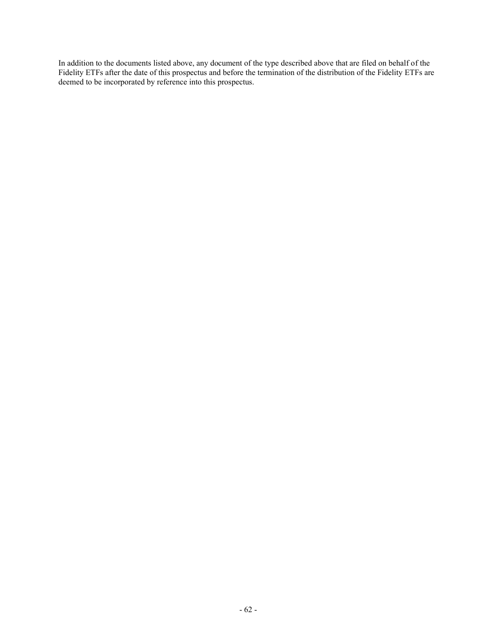In addition to the documents listed above, any document of the type described above that are filed on behalf of the Fidelity ETFs after the date of this prospectus and before the termination of the distribution of the Fidelity ETFs are deemed to be incorporated by reference into this prospectus.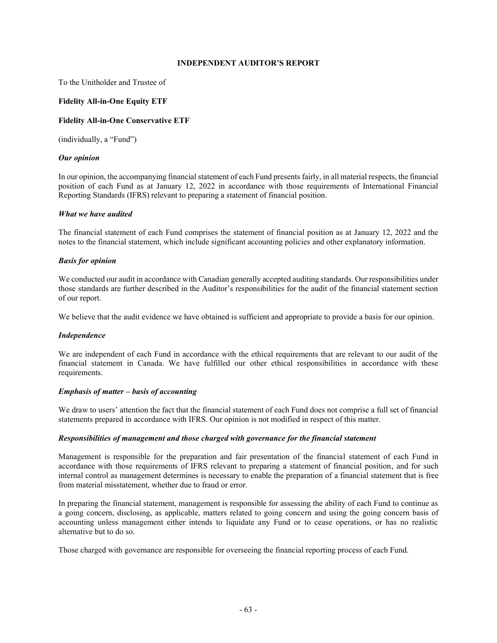## **INDEPENDENT AUDITOR'S REPORT**

To the Unitholder and Trustee of

## **Fidelity All-in-One Equity ETF**

## **Fidelity All-in-One Conservative ETF**

(individually, a "Fund")

## *Our opinion*

In our opinion, the accompanying financial statement of each Fund presents fairly, in all material respects, the financial position of each Fund as at January 12, 2022 in accordance with those requirements of International Financial Reporting Standards (IFRS) relevant to preparing a statement of financial position.

### *What we have audited*

The financial statement of each Fund comprises the statement of financial position as at January 12, 2022 and the notes to the financial statement, which include significant accounting policies and other explanatory information.

## *Basis for opinion*

We conducted our audit in accordance with Canadian generally accepted auditing standards. Our responsibilities under those standards are further described in the Auditor's responsibilities for the audit of the financial statement section of our report.

We believe that the audit evidence we have obtained is sufficient and appropriate to provide a basis for our opinion.

### *Independence*

We are independent of each Fund in accordance with the ethical requirements that are relevant to our audit of the financial statement in Canada. We have fulfilled our other ethical responsibilities in accordance with these requirements.

### *Emphasis of matter – basis of accounting*

We draw to users' attention the fact that the financial statement of each Fund does not comprise a full set of financial statements prepared in accordance with IFRS. Our opinion is not modified in respect of this matter.

### *Responsibilities of management and those charged with governance for the financial statement*

Management is responsible for the preparation and fair presentation of the financial statement of each Fund in accordance with those requirements of IFRS relevant to preparing a statement of financial position, and for such internal control as management determines is necessary to enable the preparation of a financial statement that is free from material misstatement, whether due to fraud or error.

In preparing the financial statement, management is responsible for assessing the ability of each Fund to continue as a going concern, disclosing, as applicable, matters related to going concern and using the going concern basis of accounting unless management either intends to liquidate any Fund or to cease operations, or has no realistic alternative but to do so.

Those charged with governance are responsible for overseeing the financial reporting process of each Fund.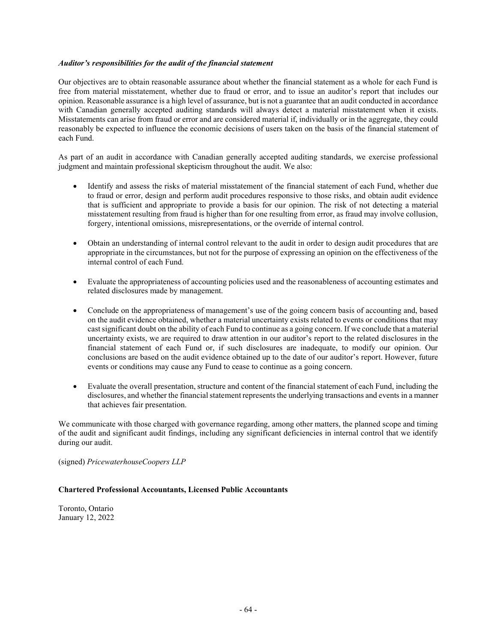### *Auditor's responsibilities for the audit of the financial statement*

Our objectives are to obtain reasonable assurance about whether the financial statement as a whole for each Fund is free from material misstatement, whether due to fraud or error, and to issue an auditor's report that includes our opinion. Reasonable assurance is a high level of assurance, but is not a guarantee that an audit conducted in accordance with Canadian generally accepted auditing standards will always detect a material misstatement when it exists. Misstatements can arise from fraud or error and are considered material if, individually or in the aggregate, they could reasonably be expected to influence the economic decisions of users taken on the basis of the financial statement of each Fund.

As part of an audit in accordance with Canadian generally accepted auditing standards, we exercise professional judgment and maintain professional skepticism throughout the audit. We also:

- Identify and assess the risks of material misstatement of the financial statement of each Fund, whether due to fraud or error, design and perform audit procedures responsive to those risks, and obtain audit evidence that is sufficient and appropriate to provide a basis for our opinion. The risk of not detecting a material misstatement resulting from fraud is higher than for one resulting from error, as fraud may involve collusion, forgery, intentional omissions, misrepresentations, or the override of internal control.
- Obtain an understanding of internal control relevant to the audit in order to design audit procedures that are appropriate in the circumstances, but not for the purpose of expressing an opinion on the effectiveness of the internal control of each Fund.
- Evaluate the appropriateness of accounting policies used and the reasonableness of accounting estimates and related disclosures made by management.
- Conclude on the appropriateness of management's use of the going concern basis of accounting and, based on the audit evidence obtained, whether a material uncertainty exists related to events or conditions that may cast significant doubt on the ability of each Fund to continue as a going concern. If we conclude that a material uncertainty exists, we are required to draw attention in our auditor's report to the related disclosures in the financial statement of each Fund or, if such disclosures are inadequate, to modify our opinion. Our conclusions are based on the audit evidence obtained up to the date of our auditor's report. However, future events or conditions may cause any Fund to cease to continue as a going concern.
- Evaluate the overall presentation, structure and content of the financial statement of each Fund, including the disclosures, and whether the financial statement represents the underlying transactions and events in a manner that achieves fair presentation.

We communicate with those charged with governance regarding, among other matters, the planned scope and timing of the audit and significant audit findings, including any significant deficiencies in internal control that we identify during our audit.

(signed) *PricewaterhouseCoopers LLP*

#### **Chartered Professional Accountants, Licensed Public Accountants**

Toronto, Ontario January 12, 2022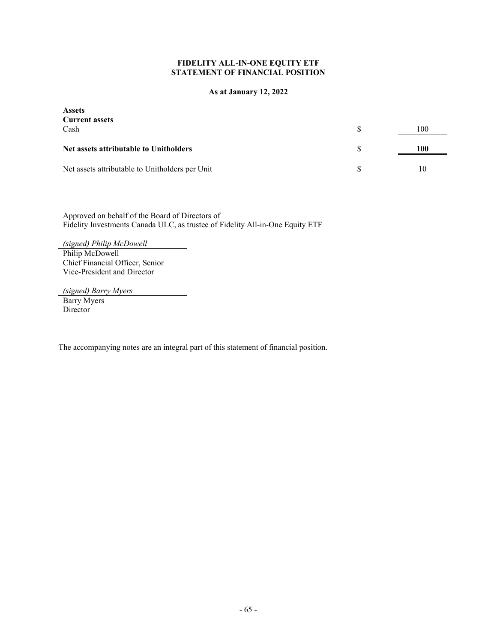## **FIDELITY ALL-IN-ONE EQUITY ETF STATEMENT OF FINANCIAL POSITION**

### **As at January 12, 2022**

| <b>Assets</b><br><b>Current assets</b>          |   |     |
|-------------------------------------------------|---|-----|
| Cash                                            | S | 100 |
| Net assets attributable to Unitholders          | S | 100 |
| Net assets attributable to Unitholders per Unit |   | 10  |

Approved on behalf of the Board of Directors of Fidelity Investments Canada ULC, as trustee of Fidelity All-in-One Equity ETF

*(signed) Philip McDowell* Philip McDowell Chief Financial Officer, Senior Vice-President and Director

*(signed) Barry Myers* Barry Myers

Director

The accompanying notes are an integral part of this statement of financial position.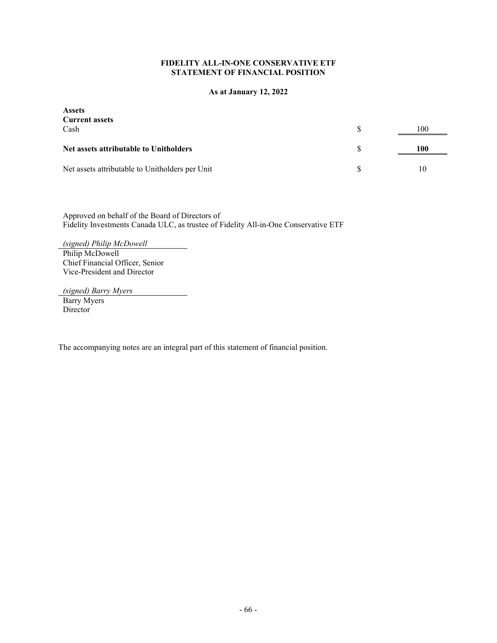## **FIDELITY ALL-IN-ONE CONSERVATIVE ETF STATEMENT OF FINANCIAL POSITION**

## **As at January 12, 2022**

| <b>Assets</b>                                   |   |     |
|-------------------------------------------------|---|-----|
| <b>Current assets</b>                           |   |     |
| Cash                                            | S | 100 |
| Net assets attributable to Unitholders          | S | 100 |
| Net assets attributable to Unitholders per Unit |   | 10  |

Approved on behalf of the Board of Directors of Fidelity Investments Canada ULC, as trustee of Fidelity All-in-One Conservative ETF

*(signed) Philip McDowell* Philip McDowell Chief Financial Officer, Senior Vice-President and Director

*(signed) Barry Myers* Barry Myers

Director

The accompanying notes are an integral part of this statement of financial position.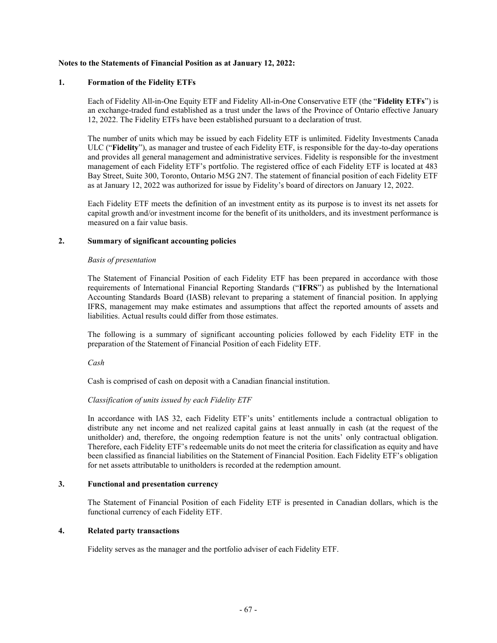#### **Notes to the Statements of Financial Position as at January 12, 2022:**

### **1. Formation of the Fidelity ETFs**

Each of Fidelity All-in-One Equity ETF and Fidelity All-in-One Conservative ETF (the "**Fidelity ETFs**") is an exchange-traded fund established as a trust under the laws of the Province of Ontario effective January 12, 2022. The Fidelity ETFs have been established pursuant to a declaration of trust.

The number of units which may be issued by each Fidelity ETF is unlimited. Fidelity Investments Canada ULC ("**Fidelity**"), as manager and trustee of each Fidelity ETF, is responsible for the day-to-day operations and provides all general management and administrative services. Fidelity is responsible for the investment management of each Fidelity ETF's portfolio. The registered office of each Fidelity ETF is located at 483 Bay Street, Suite 300, Toronto, Ontario M5G 2N7. The statement of financial position of each Fidelity ETF as at January 12, 2022 was authorized for issue by Fidelity's board of directors on January 12, 2022.

Each Fidelity ETF meets the definition of an investment entity as its purpose is to invest its net assets for capital growth and/or investment income for the benefit of its unitholders, and its investment performance is measured on a fair value basis.

#### **2. Summary of significant accounting policies**

### *Basis of presentation*

The Statement of Financial Position of each Fidelity ETF has been prepared in accordance with those requirements of International Financial Reporting Standards ("**IFRS**") as published by the International Accounting Standards Board (IASB) relevant to preparing a statement of financial position. In applying IFRS, management may make estimates and assumptions that affect the reported amounts of assets and liabilities. Actual results could differ from those estimates.

The following is a summary of significant accounting policies followed by each Fidelity ETF in the preparation of the Statement of Financial Position of each Fidelity ETF.

#### *Cash*

Cash is comprised of cash on deposit with a Canadian financial institution.

### *Classification of units issued by each Fidelity ETF*

In accordance with IAS 32, each Fidelity ETF's units' entitlements include a contractual obligation to distribute any net income and net realized capital gains at least annually in cash (at the request of the unitholder) and, therefore, the ongoing redemption feature is not the units' only contractual obligation. Therefore, each Fidelity ETF's redeemable units do not meet the criteria for classification as equity and have been classified as financial liabilities on the Statement of Financial Position. Each Fidelity ETF's obligation for net assets attributable to unitholders is recorded at the redemption amount.

#### **3. Functional and presentation currency**

The Statement of Financial Position of each Fidelity ETF is presented in Canadian dollars, which is the functional currency of each Fidelity ETF.

### **4. Related party transactions**

Fidelity serves as the manager and the portfolio adviser of each Fidelity ETF.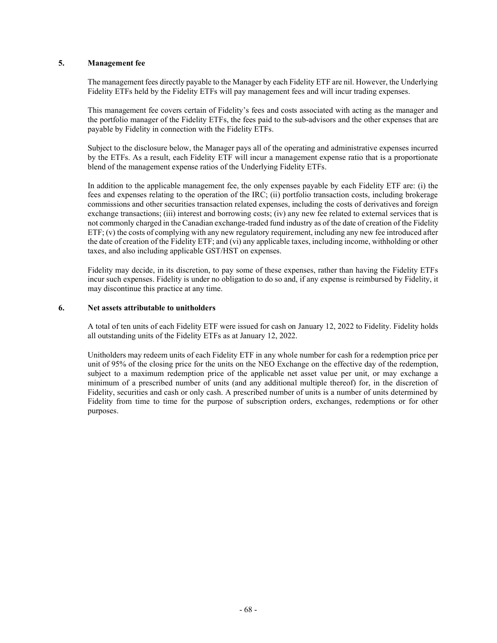### **5. Management fee**

The management fees directly payable to the Manager by each Fidelity ETF are nil. However, the Underlying Fidelity ETFs held by the Fidelity ETFs will pay management fees and will incur trading expenses.

This management fee covers certain of Fidelity's fees and costs associated with acting as the manager and the portfolio manager of the Fidelity ETFs, the fees paid to the sub-advisors and the other expenses that are payable by Fidelity in connection with the Fidelity ETFs.

Subject to the disclosure below, the Manager pays all of the operating and administrative expenses incurred by the ETFs. As a result, each Fidelity ETF will incur a management expense ratio that is a proportionate blend of the management expense ratios of the Underlying Fidelity ETFs.

In addition to the applicable management fee, the only expenses payable by each Fidelity ETF are: (i) the fees and expenses relating to the operation of the IRC; (ii) portfolio transaction costs, including brokerage commissions and other securities transaction related expenses, including the costs of derivatives and foreign exchange transactions; (iii) interest and borrowing costs; (iv) any new fee related to external services that is not commonly charged in the Canadian exchange-traded fund industry as of the date of creation of the Fidelity  $ETF$ ; (v) the costs of complying with any new regulatory requirement, including any new fee introduced after the date of creation of the Fidelity ETF; and (vi) any applicable taxes, including income, withholding or other taxes, and also including applicable GST/HST on expenses.

Fidelity may decide, in its discretion, to pay some of these expenses, rather than having the Fidelity ETFs incur such expenses. Fidelity is under no obligation to do so and, if any expense is reimbursed by Fidelity, it may discontinue this practice at any time.

### **6. Net assets attributable to unitholders**

A total of ten units of each Fidelity ETF were issued for cash on January 12, 2022 to Fidelity. Fidelity holds all outstanding units of the Fidelity ETFs as at January 12, 2022.

Unitholders may redeem units of each Fidelity ETF in any whole number for cash for a redemption price per unit of 95% of the closing price for the units on the NEO Exchange on the effective day of the redemption, subject to a maximum redemption price of the applicable net asset value per unit, or may exchange a minimum of a prescribed number of units (and any additional multiple thereof) for, in the discretion of Fidelity, securities and cash or only cash. A prescribed number of units is a number of units determined by Fidelity from time to time for the purpose of subscription orders, exchanges, redemptions or for other purposes.